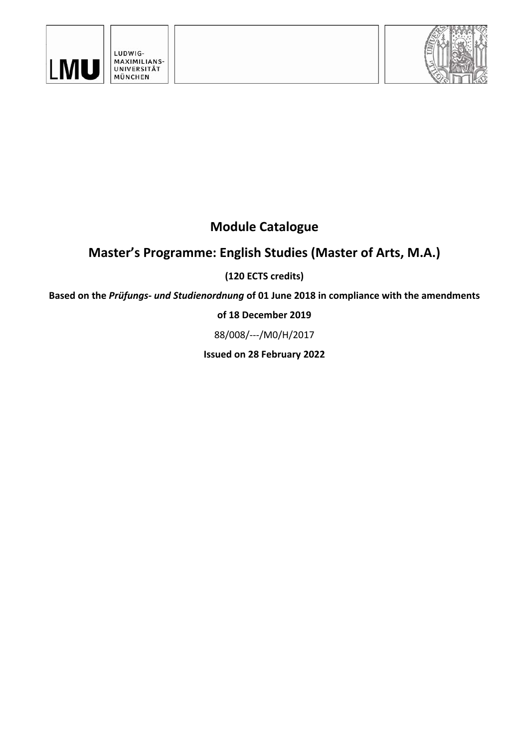



# **Module Catalogue**

# **Master's Programme: English Studies (Master of Arts, M.A.)**

### **(120 ECTS credits)**

**Based on the** *Prüfungs‐ und Studienordnung* **of 01 June 2018 in compliance with the amendments** 

### **of 18 December 2019**

88/008/‐‐‐/M0/H/2017

**Issued on 28 February 2022**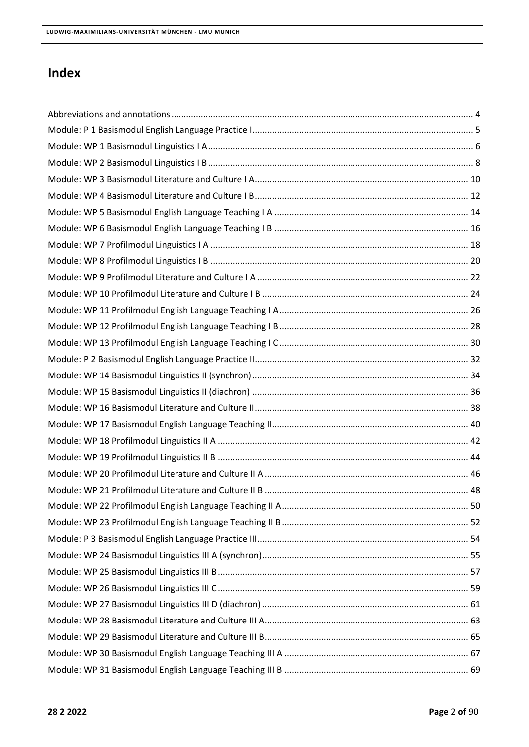### **Index**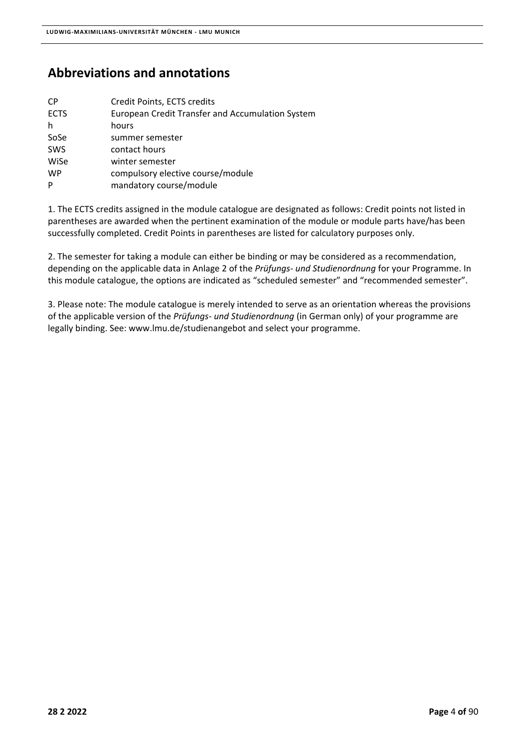### **Abbreviations and annotations**

| <b>CP</b>   | Credit Points, ECTS credits                      |
|-------------|--------------------------------------------------|
| <b>ECTS</b> | European Credit Transfer and Accumulation System |
| h           | hours                                            |
| SoSe        | summer semester                                  |
| <b>SWS</b>  | contact hours                                    |
| WiSe        | winter semester                                  |
| <b>WP</b>   | compulsory elective course/module                |
| P           | mandatory course/module                          |
|             |                                                  |

1. The ECTS credits assigned in the module catalogue are designated as follows: Credit points not listed in parentheses are awarded when the pertinent examination of the module or module parts have/has been successfully completed. Credit Points in parentheses are listed for calculatory purposes only.

2. The semester for taking a module can either be binding or may be considered as a recommendation, depending on the applicable data in Anlage 2 of the *Prüfungs‐ und Studienordnung* for your Programme. In this module catalogue, the options are indicated as "scheduled semester" and "recommended semester".

3. Please note: The module catalogue is merely intended to serve as an orientation whereas the provisions of the applicable version of the *Prüfungs‐ und Studienordnung* (in German only) of your programme are legally binding. See: www.lmu.de/studienangebot and select your programme.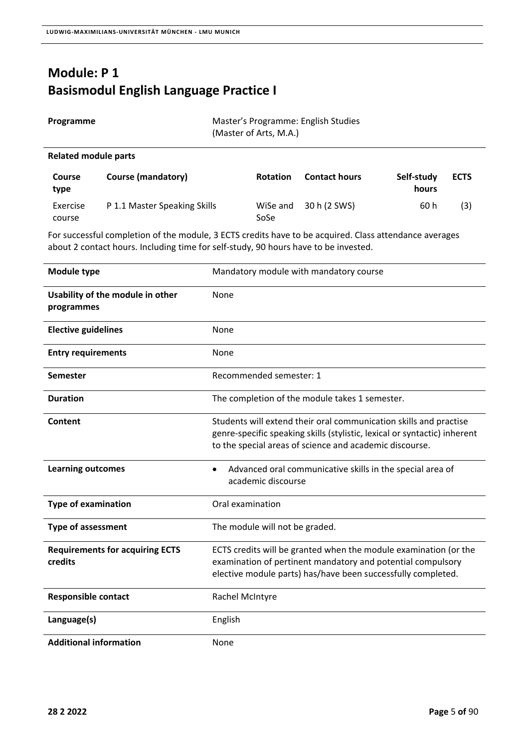$\overline{\phantom{a}}$ 

# **Module: P 1 Basismodul English Language Practice I**

| Programme                   |                                                                                                                                                                                               |      | (Master of Arts, M.A.) | Master's Programme: English Studies    |                     |             |
|-----------------------------|-----------------------------------------------------------------------------------------------------------------------------------------------------------------------------------------------|------|------------------------|----------------------------------------|---------------------|-------------|
| <b>Related module parts</b> |                                                                                                                                                                                               |      |                        |                                        |                     |             |
| <b>Course</b><br>type       | Course (mandatory)                                                                                                                                                                            |      | <b>Rotation</b>        | <b>Contact hours</b>                   | Self-study<br>hours | <b>ECTS</b> |
| Exercise<br>course          | P 1.1 Master Speaking Skills                                                                                                                                                                  |      | WiSe and<br>SoSe       | 30 h (2 SWS)                           | 60 h                | (3)         |
|                             | For successful completion of the module, 3 ECTS credits have to be acquired. Class attendance averages<br>about 2 contact hours. Including time for self-study, 90 hours have to be invested. |      |                        |                                        |                     |             |
| Module type                 |                                                                                                                                                                                               |      |                        | Mandatory module with mandatory course |                     |             |
| programmes                  | Usability of the module in other                                                                                                                                                              | None |                        |                                        |                     |             |
| <b>Elective guidelines</b>  |                                                                                                                                                                                               | None |                        |                                        |                     |             |

| Module type                                       | Mandatory module with mandatory course                                                                                                                                                                    |
|---------------------------------------------------|-----------------------------------------------------------------------------------------------------------------------------------------------------------------------------------------------------------|
| Usability of the module in other<br>programmes    | None                                                                                                                                                                                                      |
| <b>Elective guidelines</b>                        | None                                                                                                                                                                                                      |
| <b>Entry requirements</b>                         | None                                                                                                                                                                                                      |
| Semester                                          | Recommended semester: 1                                                                                                                                                                                   |
| <b>Duration</b>                                   | The completion of the module takes 1 semester.                                                                                                                                                            |
| Content                                           | Students will extend their oral communication skills and practise<br>genre-specific speaking skills (stylistic, lexical or syntactic) inherent<br>to the special areas of science and academic discourse. |
| <b>Learning outcomes</b>                          | Advanced oral communicative skills in the special area of<br>academic discourse                                                                                                                           |
| <b>Type of examination</b>                        | Oral examination                                                                                                                                                                                          |
| <b>Type of assessment</b>                         | The module will not be graded.                                                                                                                                                                            |
| <b>Requirements for acquiring ECTS</b><br>credits | ECTS credits will be granted when the module examination (or the<br>examination of pertinent mandatory and potential compulsory<br>elective module parts) has/have been successfully completed.           |
| <b>Responsible contact</b>                        | Rachel McIntyre                                                                                                                                                                                           |
| Language(s)                                       | English                                                                                                                                                                                                   |
| <b>Additional information</b>                     | None                                                                                                                                                                                                      |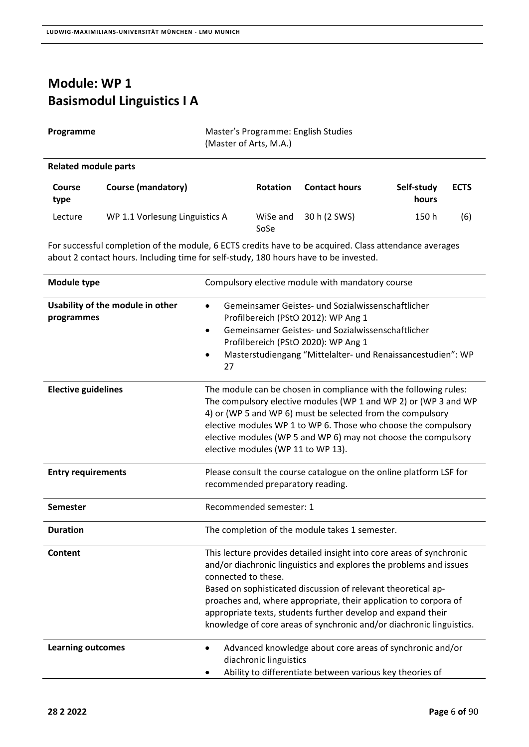## **Module: WP 1 Basismodul Linguistics I A**

| Programme | Master's Programme: English Studies |
|-----------|-------------------------------------|
|           | (Master of Arts, M.A.)              |

### **Related module parts**

| <b>Course</b><br>type | Course (mandatory)             | <b>Rotation</b>  | <b>Contact hours</b> | Self-study<br>hours | <b>ECTS</b> |
|-----------------------|--------------------------------|------------------|----------------------|---------------------|-------------|
| Lecture               | WP 1.1 Vorlesung Linguistics A | WiSe and<br>SoSe | 30 h (2 SWS)         | 150 h               | (6)         |

| <b>Module type</b>                             | Compulsory elective module with mandatory course                                                                                                                                                                                                                                                                                                                                                                                               |
|------------------------------------------------|------------------------------------------------------------------------------------------------------------------------------------------------------------------------------------------------------------------------------------------------------------------------------------------------------------------------------------------------------------------------------------------------------------------------------------------------|
| Usability of the module in other<br>programmes | Gemeinsamer Geistes- und Sozialwissenschaftlicher<br>$\bullet$<br>Profilbereich (PStO 2012): WP Ang 1<br>Gemeinsamer Geistes- und Sozialwissenschaftlicher<br>$\bullet$<br>Profilbereich (PStO 2020): WP Ang 1<br>Masterstudiengang "Mittelalter- und Renaissancestudien": WP<br>$\bullet$<br>27                                                                                                                                               |
| <b>Elective guidelines</b>                     | The module can be chosen in compliance with the following rules:<br>The compulsory elective modules (WP 1 and WP 2) or (WP 3 and WP<br>4) or (WP 5 and WP 6) must be selected from the compulsory<br>elective modules WP 1 to WP 6. Those who choose the compulsory<br>elective modules (WP 5 and WP 6) may not choose the compulsory<br>elective modules (WP 11 to WP 13).                                                                    |
| <b>Entry requirements</b>                      | Please consult the course catalogue on the online platform LSF for<br>recommended preparatory reading.                                                                                                                                                                                                                                                                                                                                         |
| <b>Semester</b>                                | Recommended semester: 1                                                                                                                                                                                                                                                                                                                                                                                                                        |
| <b>Duration</b>                                | The completion of the module takes 1 semester.                                                                                                                                                                                                                                                                                                                                                                                                 |
| Content                                        | This lecture provides detailed insight into core areas of synchronic<br>and/or diachronic linguistics and explores the problems and issues<br>connected to these.<br>Based on sophisticated discussion of relevant theoretical ap-<br>proaches and, where appropriate, their application to corpora of<br>appropriate texts, students further develop and expand their<br>knowledge of core areas of synchronic and/or diachronic linguistics. |
| <b>Learning outcomes</b>                       | Advanced knowledge about core areas of synchronic and/or<br>$\bullet$<br>diachronic linguistics<br>Ability to differentiate between various key theories of                                                                                                                                                                                                                                                                                    |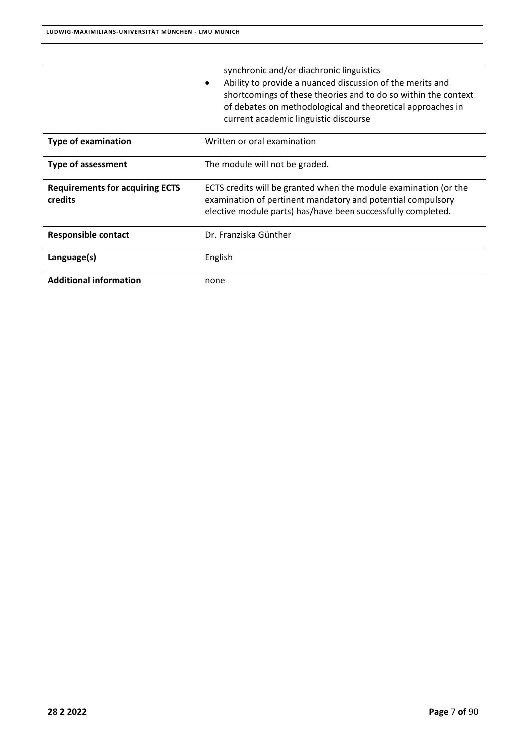|                                                   | synchronic and/or diachronic linguistics<br>Ability to provide a nuanced discussion of the merits and<br>$\bullet$<br>shortcomings of these theories and to do so within the context<br>of debates on methodological and theoretical approaches in<br>current academic linguistic discourse |
|---------------------------------------------------|---------------------------------------------------------------------------------------------------------------------------------------------------------------------------------------------------------------------------------------------------------------------------------------------|
| <b>Type of examination</b>                        | Written or oral examination                                                                                                                                                                                                                                                                 |
| <b>Type of assessment</b>                         | The module will not be graded.                                                                                                                                                                                                                                                              |
| <b>Requirements for acquiring ECTS</b><br>credits | ECTS credits will be granted when the module examination (or the<br>examination of pertinent mandatory and potential compulsory<br>elective module parts) has/have been successfully completed.                                                                                             |
| <b>Responsible contact</b>                        | Dr. Franziska Günther                                                                                                                                                                                                                                                                       |
| Language(s)                                       | English                                                                                                                                                                                                                                                                                     |
| <b>Additional information</b>                     | none                                                                                                                                                                                                                                                                                        |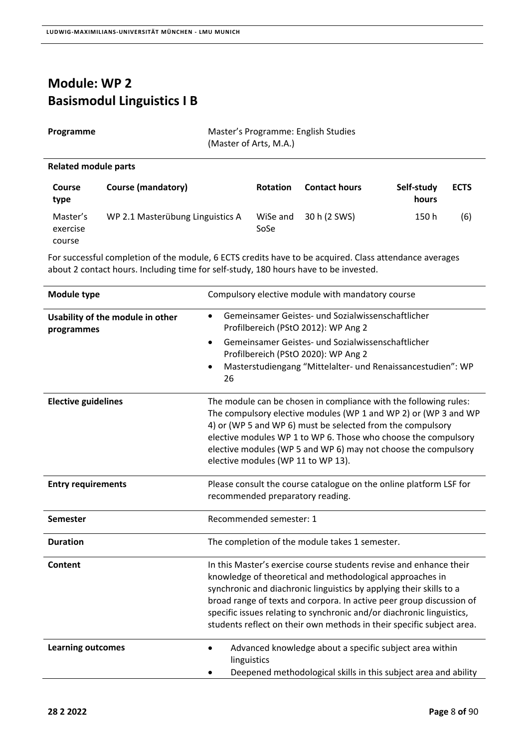### **Module: WP 2 Basismodul Linguistics I B**

|  |  | Programme |
|--|--|-----------|
|--|--|-----------|

**Master's Programme: English Studies** (Master of Arts, M.A.)

### **Related module parts**

| <b>Course</b><br>type          | Course (mandatory)               | <b>Rotation</b>  | <b>Contact hours</b> | Self-study<br>hours | <b>ECTS</b> |
|--------------------------------|----------------------------------|------------------|----------------------|---------------------|-------------|
| Master's<br>exercise<br>course | WP 2.1 Masterübung Linguistics A | WiSe and<br>SoSe | 30 h (2 SWS)         | 150 h               | (6)         |

| Module type                                    | Compulsory elective module with mandatory course                                                                                                                                                                                                                                                                                                                                                                                 |
|------------------------------------------------|----------------------------------------------------------------------------------------------------------------------------------------------------------------------------------------------------------------------------------------------------------------------------------------------------------------------------------------------------------------------------------------------------------------------------------|
| Usability of the module in other<br>programmes | Gemeinsamer Geistes- und Sozialwissenschaftlicher<br>$\bullet$<br>Profilbereich (PStO 2012): WP Ang 2                                                                                                                                                                                                                                                                                                                            |
|                                                | Gemeinsamer Geistes- und Sozialwissenschaftlicher<br>$\bullet$<br>Profilbereich (PStO 2020): WP Ang 2<br>Masterstudiengang "Mittelalter- und Renaissancestudien": WP<br>$\bullet$<br>26                                                                                                                                                                                                                                          |
| <b>Elective guidelines</b>                     | The module can be chosen in compliance with the following rules:<br>The compulsory elective modules (WP 1 and WP 2) or (WP 3 and WP<br>4) or (WP 5 and WP 6) must be selected from the compulsory<br>elective modules WP 1 to WP 6. Those who choose the compulsory<br>elective modules (WP 5 and WP 6) may not choose the compulsory<br>elective modules (WP 11 to WP 13).                                                      |
| <b>Entry requirements</b>                      | Please consult the course catalogue on the online platform LSF for<br>recommended preparatory reading.                                                                                                                                                                                                                                                                                                                           |
| Semester                                       | Recommended semester: 1                                                                                                                                                                                                                                                                                                                                                                                                          |
| <b>Duration</b>                                | The completion of the module takes 1 semester.                                                                                                                                                                                                                                                                                                                                                                                   |
| <b>Content</b>                                 | In this Master's exercise course students revise and enhance their<br>knowledge of theoretical and methodological approaches in<br>synchronic and diachronic linguistics by applying their skills to a<br>broad range of texts and corpora. In active peer group discussion of<br>specific issues relating to synchronic and/or diachronic linguistics,<br>students reflect on their own methods in their specific subject area. |
| <b>Learning outcomes</b>                       | Advanced knowledge about a specific subject area within<br>$\bullet$<br>linguistics<br>Deepened methodological skills in this subject area and ability                                                                                                                                                                                                                                                                           |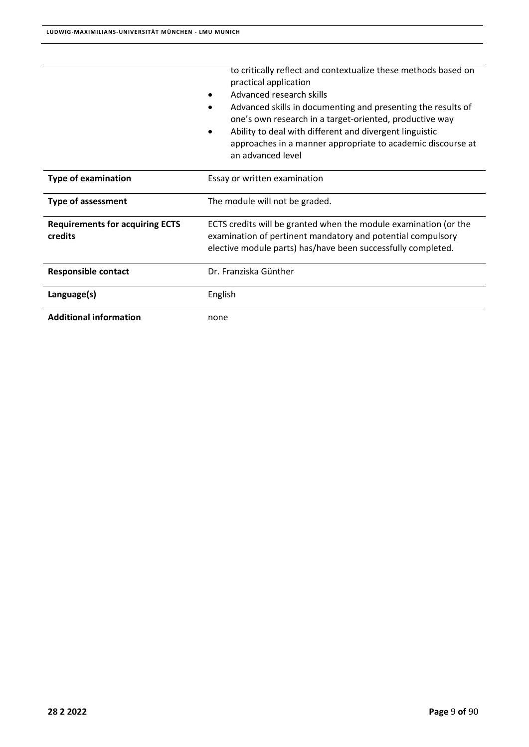|                                                   | to critically reflect and contextualize these methods based on<br>practical application<br>Advanced research skills<br>Advanced skills in documenting and presenting the results of<br>one's own research in a target-oriented, productive way<br>Ability to deal with different and divergent linguistic<br>approaches in a manner appropriate to academic discourse at<br>an advanced level |  |
|---------------------------------------------------|-----------------------------------------------------------------------------------------------------------------------------------------------------------------------------------------------------------------------------------------------------------------------------------------------------------------------------------------------------------------------------------------------|--|
| <b>Type of examination</b>                        | Essay or written examination                                                                                                                                                                                                                                                                                                                                                                  |  |
| <b>Type of assessment</b>                         | The module will not be graded.                                                                                                                                                                                                                                                                                                                                                                |  |
| <b>Requirements for acquiring ECTS</b><br>credits | ECTS credits will be granted when the module examination (or the<br>examination of pertinent mandatory and potential compulsory<br>elective module parts) has/have been successfully completed.                                                                                                                                                                                               |  |
| <b>Responsible contact</b>                        | Dr. Franziska Günther                                                                                                                                                                                                                                                                                                                                                                         |  |
| Language(s)                                       | English                                                                                                                                                                                                                                                                                                                                                                                       |  |
| <b>Additional information</b>                     | none                                                                                                                                                                                                                                                                                                                                                                                          |  |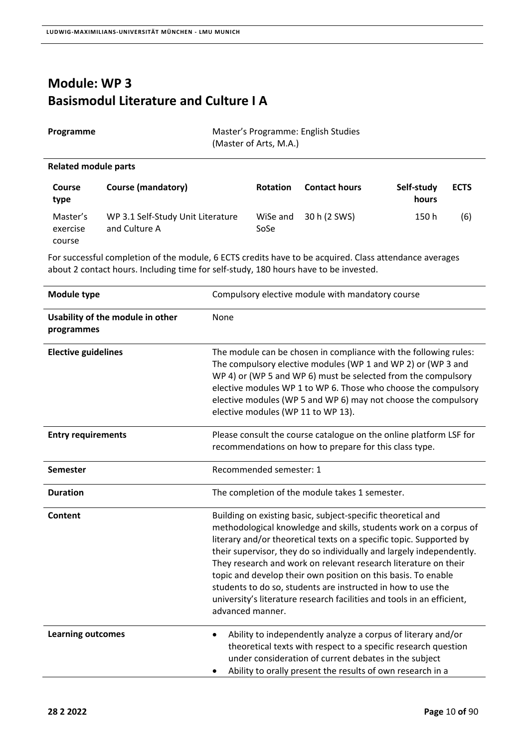## **Module: WP 3 Basismodul Literature and Culture I A**

| Programme | Master's Programme: English Studies |
|-----------|-------------------------------------|
|           | (Master of Arts, M.A.)              |

### **Related module parts**

| <b>Course</b><br>type          | <b>Course (mandatory)</b>                          | <b>Rotation</b>  | <b>Contact hours</b> | Self-study<br>hours | <b>ECTS</b> |
|--------------------------------|----------------------------------------------------|------------------|----------------------|---------------------|-------------|
| Master's<br>exercise<br>course | WP 3.1 Self-Study Unit Literature<br>and Culture A | WiSe and<br>SoSe | 30 h (2 SWS)         | 150 h               | (6)         |

| <b>Module type</b>                             | Compulsory elective module with mandatory course                                                                                                                                                                                                                                                                                                                                                                                                                                                                                                                                   |
|------------------------------------------------|------------------------------------------------------------------------------------------------------------------------------------------------------------------------------------------------------------------------------------------------------------------------------------------------------------------------------------------------------------------------------------------------------------------------------------------------------------------------------------------------------------------------------------------------------------------------------------|
| Usability of the module in other<br>programmes | None                                                                                                                                                                                                                                                                                                                                                                                                                                                                                                                                                                               |
| <b>Elective guidelines</b>                     | The module can be chosen in compliance with the following rules:<br>The compulsory elective modules (WP 1 and WP 2) or (WP 3 and<br>WP 4) or (WP 5 and WP 6) must be selected from the compulsory<br>elective modules WP 1 to WP 6. Those who choose the compulsory<br>elective modules (WP 5 and WP 6) may not choose the compulsory<br>elective modules (WP 11 to WP 13).                                                                                                                                                                                                        |
| <b>Entry requirements</b>                      | Please consult the course catalogue on the online platform LSF for<br>recommendations on how to prepare for this class type.                                                                                                                                                                                                                                                                                                                                                                                                                                                       |
| <b>Semester</b>                                | Recommended semester: 1                                                                                                                                                                                                                                                                                                                                                                                                                                                                                                                                                            |
| <b>Duration</b>                                | The completion of the module takes 1 semester.                                                                                                                                                                                                                                                                                                                                                                                                                                                                                                                                     |
| Content                                        | Building on existing basic, subject-specific theoretical and<br>methodological knowledge and skills, students work on a corpus of<br>literary and/or theoretical texts on a specific topic. Supported by<br>their supervisor, they do so individually and largely independently.<br>They research and work on relevant research literature on their<br>topic and develop their own position on this basis. To enable<br>students to do so, students are instructed in how to use the<br>university's literature research facilities and tools in an efficient,<br>advanced manner. |
| <b>Learning outcomes</b>                       | Ability to independently analyze a corpus of literary and/or<br>$\bullet$<br>theoretical texts with respect to a specific research question<br>under consideration of current debates in the subject<br>Ability to orally present the results of own research in a                                                                                                                                                                                                                                                                                                                 |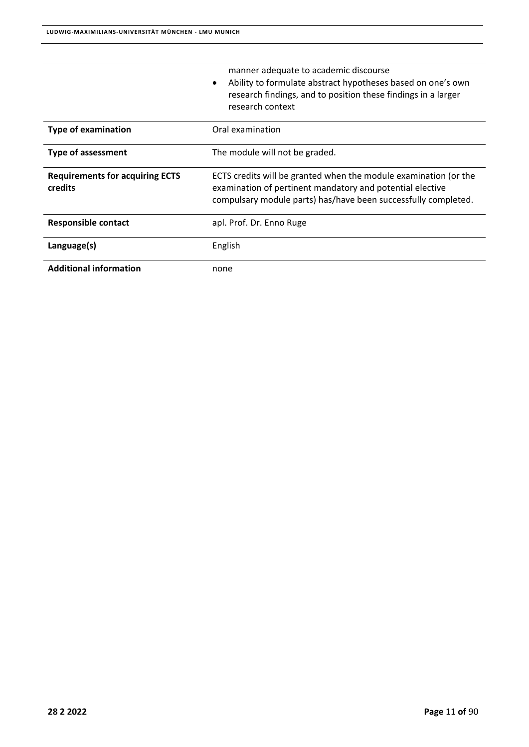|                                                   | manner adequate to academic discourse<br>Ability to formulate abstract hypotheses based on one's own<br>$\bullet$<br>research findings, and to position these findings in a larger<br>research context |
|---------------------------------------------------|--------------------------------------------------------------------------------------------------------------------------------------------------------------------------------------------------------|
| <b>Type of examination</b>                        | Oral examination                                                                                                                                                                                       |
| <b>Type of assessment</b>                         | The module will not be graded.                                                                                                                                                                         |
| <b>Requirements for acquiring ECTS</b><br>credits | ECTS credits will be granted when the module examination (or the<br>examination of pertinent mandatory and potential elective<br>compulsary module parts) has/have been successfully completed.        |
| <b>Responsible contact</b>                        | apl. Prof. Dr. Enno Ruge                                                                                                                                                                               |
| Language(s)                                       | English                                                                                                                                                                                                |
| <b>Additional information</b>                     | none                                                                                                                                                                                                   |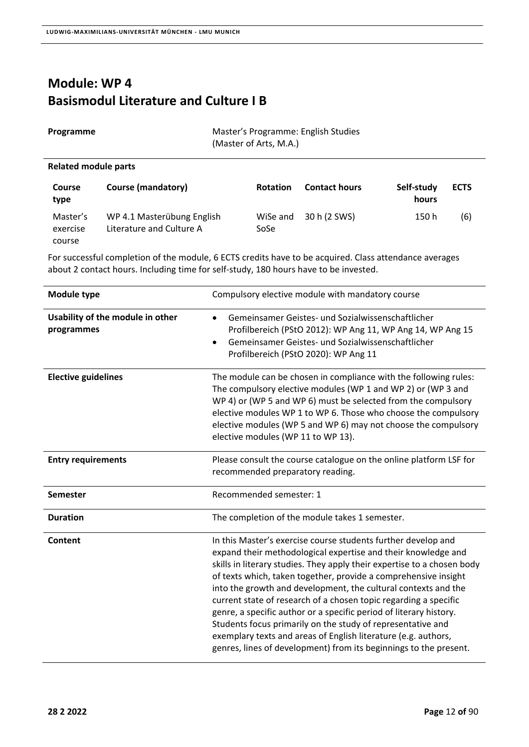### **Module: WP 4 Basismodul Literature and Culture I B**

| Programme | Master's Programme: English Studies |
|-----------|-------------------------------------|
|           | (Master of Arts, M.A.)              |

### **Related module parts**

| <b>Course</b><br>type          | <b>Course (mandatory)</b>                              | <b>Rotation</b>  | <b>Contact hours</b> | Self-study<br>hours | <b>ECTS</b> |
|--------------------------------|--------------------------------------------------------|------------------|----------------------|---------------------|-------------|
| Master's<br>exercise<br>course | WP 4.1 Masterübung English<br>Literature and Culture A | WiSe and<br>SoSe | 30 h (2 SWS)         | 150 h               | (6)         |

| Module type                                    | Compulsory elective module with mandatory course                                                                                                                                                                                                                                                                                                                                                                                                                                                                                                                                                                                                                                               |
|------------------------------------------------|------------------------------------------------------------------------------------------------------------------------------------------------------------------------------------------------------------------------------------------------------------------------------------------------------------------------------------------------------------------------------------------------------------------------------------------------------------------------------------------------------------------------------------------------------------------------------------------------------------------------------------------------------------------------------------------------|
| Usability of the module in other<br>programmes | Gemeinsamer Geistes- und Sozialwissenschaftlicher<br>$\bullet$<br>Profilbereich (PStO 2012): WP Ang 11, WP Ang 14, WP Ang 15<br>Gemeinsamer Geistes- und Sozialwissenschaftlicher<br>Profilbereich (PStO 2020): WP Ang 11                                                                                                                                                                                                                                                                                                                                                                                                                                                                      |
| <b>Elective guidelines</b>                     | The module can be chosen in compliance with the following rules:<br>The compulsory elective modules (WP 1 and WP 2) or (WP 3 and<br>WP 4) or (WP 5 and WP 6) must be selected from the compulsory<br>elective modules WP 1 to WP 6. Those who choose the compulsory<br>elective modules (WP 5 and WP 6) may not choose the compulsory<br>elective modules (WP 11 to WP 13).                                                                                                                                                                                                                                                                                                                    |
| <b>Entry requirements</b>                      | Please consult the course catalogue on the online platform LSF for<br>recommended preparatory reading.                                                                                                                                                                                                                                                                                                                                                                                                                                                                                                                                                                                         |
| <b>Semester</b>                                | Recommended semester: 1                                                                                                                                                                                                                                                                                                                                                                                                                                                                                                                                                                                                                                                                        |
| <b>Duration</b>                                | The completion of the module takes 1 semester.                                                                                                                                                                                                                                                                                                                                                                                                                                                                                                                                                                                                                                                 |
| Content                                        | In this Master's exercise course students further develop and<br>expand their methodological expertise and their knowledge and<br>skills in literary studies. They apply their expertise to a chosen body<br>of texts which, taken together, provide a comprehensive insight<br>into the growth and development, the cultural contexts and the<br>current state of research of a chosen topic regarding a specific<br>genre, a specific author or a specific period of literary history.<br>Students focus primarily on the study of representative and<br>exemplary texts and areas of English literature (e.g. authors,<br>genres, lines of development) from its beginnings to the present. |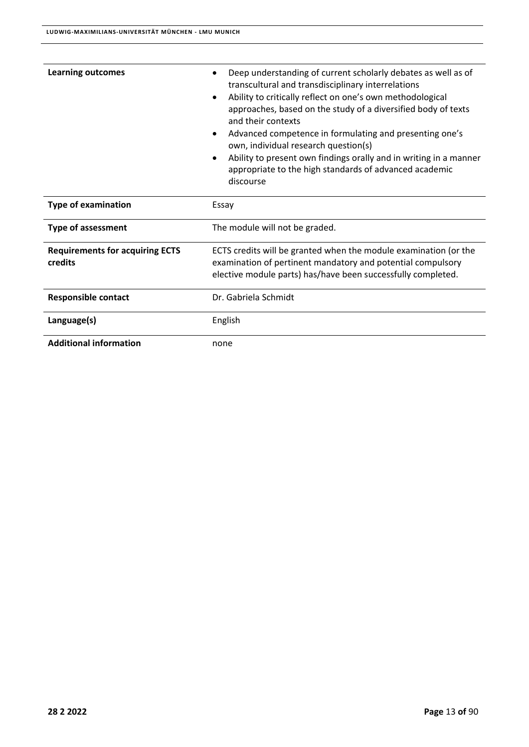| Deep understanding of current scholarly debates as well as of<br>transcultural and transdisciplinary interrelations<br>Ability to critically reflect on one's own methodological<br>$\bullet$<br>approaches, based on the study of a diversified body of texts<br>and their contexts<br>Advanced competence in formulating and presenting one's<br>$\bullet$<br>own, individual research question(s)<br>Ability to present own findings orally and in writing in a manner<br>$\bullet$<br>appropriate to the high standards of advanced academic<br>discourse |  |
|---------------------------------------------------------------------------------------------------------------------------------------------------------------------------------------------------------------------------------------------------------------------------------------------------------------------------------------------------------------------------------------------------------------------------------------------------------------------------------------------------------------------------------------------------------------|--|
| Essay                                                                                                                                                                                                                                                                                                                                                                                                                                                                                                                                                         |  |
| The module will not be graded.                                                                                                                                                                                                                                                                                                                                                                                                                                                                                                                                |  |
| ECTS credits will be granted when the module examination (or the<br>examination of pertinent mandatory and potential compulsory<br>elective module parts) has/have been successfully completed.                                                                                                                                                                                                                                                                                                                                                               |  |
| Dr. Gabriela Schmidt                                                                                                                                                                                                                                                                                                                                                                                                                                                                                                                                          |  |
| English                                                                                                                                                                                                                                                                                                                                                                                                                                                                                                                                                       |  |
| none                                                                                                                                                                                                                                                                                                                                                                                                                                                                                                                                                          |  |
|                                                                                                                                                                                                                                                                                                                                                                                                                                                                                                                                                               |  |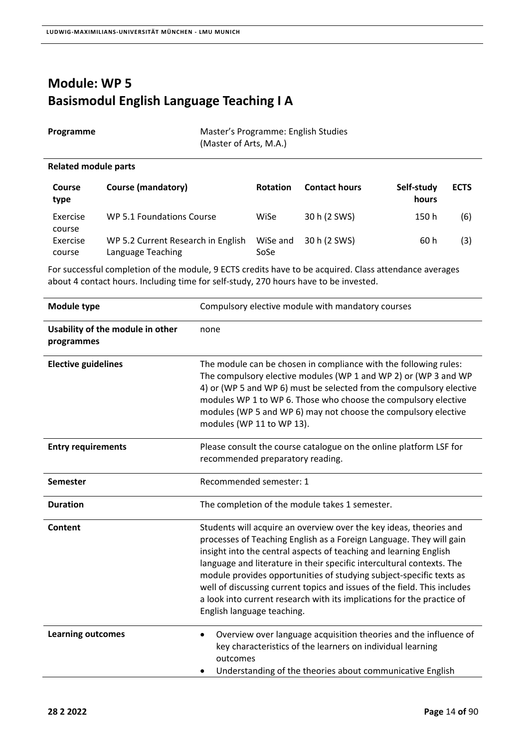## **Module: WP 5 Basismodul English Language Teaching I A**

**Programme Master's Programme: English Studies** (Master of Arts, M.A.)

### **Related module parts**

| <b>Course</b><br>type | <b>Course (mandatory)</b>                               | <b>Rotation</b>  | <b>Contact hours</b> | Self-study<br>hours | <b>ECTS</b> |
|-----------------------|---------------------------------------------------------|------------------|----------------------|---------------------|-------------|
| Exercise<br>course    | WP 5.1 Foundations Course                               | WiSe             | 30 h (2 SWS)         | 150 h               | (6)         |
| Exercise<br>course    | WP 5.2 Current Research in English<br>Language Teaching | WiSe and<br>SoSe | 30 h (2 SWS)         | 60 h                | (3)         |

| <b>Module type</b>                             | Compulsory elective module with mandatory courses                                                                                                                                                                                                                                                                                                                                                                                                                                                                                                  |
|------------------------------------------------|----------------------------------------------------------------------------------------------------------------------------------------------------------------------------------------------------------------------------------------------------------------------------------------------------------------------------------------------------------------------------------------------------------------------------------------------------------------------------------------------------------------------------------------------------|
| Usability of the module in other<br>programmes | none                                                                                                                                                                                                                                                                                                                                                                                                                                                                                                                                               |
| <b>Elective guidelines</b>                     | The module can be chosen in compliance with the following rules:<br>The compulsory elective modules (WP 1 and WP 2) or (WP 3 and WP<br>4) or (WP 5 and WP 6) must be selected from the compulsory elective<br>modules WP 1 to WP 6. Those who choose the compulsory elective<br>modules (WP 5 and WP 6) may not choose the compulsory elective<br>modules (WP 11 to WP 13).                                                                                                                                                                        |
| <b>Entry requirements</b>                      | Please consult the course catalogue on the online platform LSF for<br>recommended preparatory reading.                                                                                                                                                                                                                                                                                                                                                                                                                                             |
| Semester                                       | Recommended semester: 1                                                                                                                                                                                                                                                                                                                                                                                                                                                                                                                            |
| <b>Duration</b>                                | The completion of the module takes 1 semester.                                                                                                                                                                                                                                                                                                                                                                                                                                                                                                     |
| Content                                        | Students will acquire an overview over the key ideas, theories and<br>processes of Teaching English as a Foreign Language. They will gain<br>insight into the central aspects of teaching and learning English<br>language and literature in their specific intercultural contexts. The<br>module provides opportunities of studying subject-specific texts as<br>well of discussing current topics and issues of the field. This includes<br>a look into current research with its implications for the practice of<br>English language teaching. |
| <b>Learning outcomes</b>                       | Overview over language acquisition theories and the influence of<br>$\bullet$<br>key characteristics of the learners on individual learning<br>outcomes<br>Understanding of the theories about communicative English                                                                                                                                                                                                                                                                                                                               |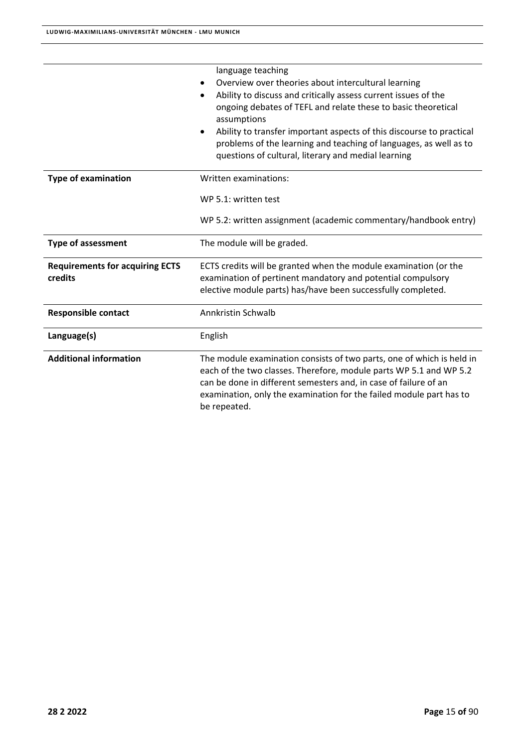|                                                   | language teaching<br>Overview over theories about intercultural learning<br>Ability to discuss and critically assess current issues of the<br>ongoing debates of TEFL and relate these to basic theoretical<br>assumptions<br>Ability to transfer important aspects of this discourse to practical<br>$\bullet$<br>problems of the learning and teaching of languages, as well as to<br>questions of cultural, literary and medial learning |
|---------------------------------------------------|---------------------------------------------------------------------------------------------------------------------------------------------------------------------------------------------------------------------------------------------------------------------------------------------------------------------------------------------------------------------------------------------------------------------------------------------|
| <b>Type of examination</b>                        | Written examinations:                                                                                                                                                                                                                                                                                                                                                                                                                       |
|                                                   | WP 5.1: written test                                                                                                                                                                                                                                                                                                                                                                                                                        |
|                                                   | WP 5.2: written assignment (academic commentary/handbook entry)                                                                                                                                                                                                                                                                                                                                                                             |
| <b>Type of assessment</b>                         | The module will be graded.                                                                                                                                                                                                                                                                                                                                                                                                                  |
| <b>Requirements for acquiring ECTS</b><br>credits | ECTS credits will be granted when the module examination (or the<br>examination of pertinent mandatory and potential compulsory<br>elective module parts) has/have been successfully completed.                                                                                                                                                                                                                                             |
| <b>Responsible contact</b>                        | <b>Annkristin Schwalb</b>                                                                                                                                                                                                                                                                                                                                                                                                                   |
| Language(s)                                       | English                                                                                                                                                                                                                                                                                                                                                                                                                                     |
| <b>Additional information</b>                     | The module examination consists of two parts, one of which is held in<br>each of the two classes. Therefore, module parts WP 5.1 and WP 5.2<br>can be done in different semesters and, in case of failure of an<br>examination, only the examination for the failed module part has to<br>be repeated.                                                                                                                                      |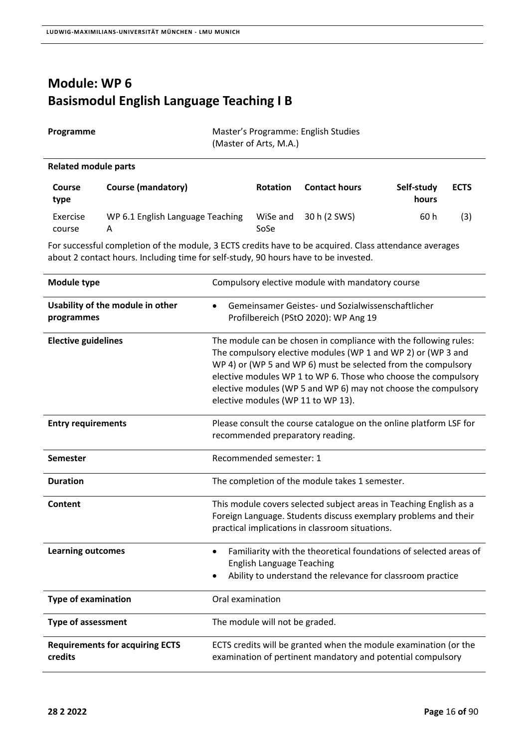## **Module: WP 6 Basismodul English Language Teaching I B**

| Programme            | Master's Programme: English Studies<br>(Master of Arts, M.A.) |
|----------------------|---------------------------------------------------------------|
| Related module parts |                                                               |

| <b>Course</b><br>type | Course (mandatory)                    | <b>Rotation</b>  | <b>Contact hours</b> | Self-study<br>hours | <b>ECTS</b> |
|-----------------------|---------------------------------------|------------------|----------------------|---------------------|-------------|
| Exercise<br>course    | WP 6.1 English Language Teaching<br>А | WiSe and<br>SoSe | 30 h (2 SWS)         | 60 h                | (3)         |

| Module type                                       | Compulsory elective module with mandatory course                                                                                                                                                                                                                                                                                                                            |
|---------------------------------------------------|-----------------------------------------------------------------------------------------------------------------------------------------------------------------------------------------------------------------------------------------------------------------------------------------------------------------------------------------------------------------------------|
| Usability of the module in other<br>programmes    | Gemeinsamer Geistes- und Sozialwissenschaftlicher<br>Profilbereich (PStO 2020): WP Ang 19                                                                                                                                                                                                                                                                                   |
| <b>Elective guidelines</b>                        | The module can be chosen in compliance with the following rules:<br>The compulsory elective modules (WP 1 and WP 2) or (WP 3 and<br>WP 4) or (WP 5 and WP 6) must be selected from the compulsory<br>elective modules WP 1 to WP 6. Those who choose the compulsory<br>elective modules (WP 5 and WP 6) may not choose the compulsory<br>elective modules (WP 11 to WP 13). |
| <b>Entry requirements</b>                         | Please consult the course catalogue on the online platform LSF for<br>recommended preparatory reading.                                                                                                                                                                                                                                                                      |
| Semester                                          | Recommended semester: 1                                                                                                                                                                                                                                                                                                                                                     |
| <b>Duration</b>                                   | The completion of the module takes 1 semester.                                                                                                                                                                                                                                                                                                                              |
| Content                                           | This module covers selected subject areas in Teaching English as a<br>Foreign Language. Students discuss exemplary problems and their<br>practical implications in classroom situations.                                                                                                                                                                                    |
| <b>Learning outcomes</b>                          | Familiarity with the theoretical foundations of selected areas of<br>$\bullet$<br><b>English Language Teaching</b><br>Ability to understand the relevance for classroom practice                                                                                                                                                                                            |
| <b>Type of examination</b>                        | Oral examination                                                                                                                                                                                                                                                                                                                                                            |
| <b>Type of assessment</b>                         | The module will not be graded.                                                                                                                                                                                                                                                                                                                                              |
| <b>Requirements for acquiring ECTS</b><br>credits | ECTS credits will be granted when the module examination (or the<br>examination of pertinent mandatory and potential compulsory                                                                                                                                                                                                                                             |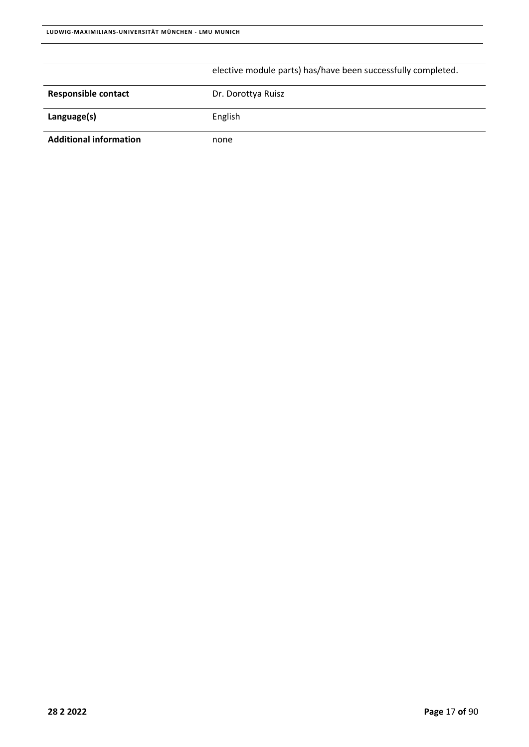|                               | elective module parts) has/have been successfully completed. |
|-------------------------------|--------------------------------------------------------------|
| <b>Responsible contact</b>    | Dr. Dorottya Ruisz                                           |
| Language(s)                   | English                                                      |
| <b>Additional information</b> | none                                                         |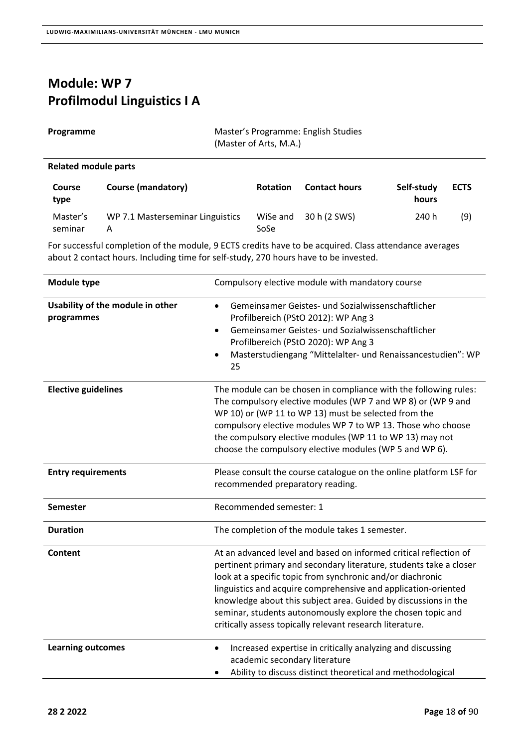## **Module: WP 7 Profilmodul Linguistics I A**

| Programme | Master's Programme: English Studies |
|-----------|-------------------------------------|
|           | (Master of Arts, M.A.)              |

### **Related module parts**

| <b>Course</b><br>type | Course (mandatory)                    | <b>Rotation</b>  | <b>Contact hours</b> | Self-study<br>hours | <b>ECTS</b> |
|-----------------------|---------------------------------------|------------------|----------------------|---------------------|-------------|
| Master's<br>seminar   | WP 7.1 Masterseminar Linguistics<br>А | WiSe and<br>SoSe | 30 h (2 SWS)         | 240 h               | (9)         |

| Module type                                    | Compulsory elective module with mandatory course                                                                                                                                                                                                                                                                                                                                                                                                                       |
|------------------------------------------------|------------------------------------------------------------------------------------------------------------------------------------------------------------------------------------------------------------------------------------------------------------------------------------------------------------------------------------------------------------------------------------------------------------------------------------------------------------------------|
| Usability of the module in other<br>programmes | Gemeinsamer Geistes- und Sozialwissenschaftlicher<br>$\bullet$<br>Profilbereich (PStO 2012): WP Ang 3<br>Gemeinsamer Geistes- und Sozialwissenschaftlicher<br>$\bullet$<br>Profilbereich (PStO 2020): WP Ang 3<br>Masterstudiengang "Mittelalter- und Renaissancestudien": WP<br>$\bullet$<br>25                                                                                                                                                                       |
| <b>Elective guidelines</b>                     | The module can be chosen in compliance with the following rules:<br>The compulsory elective modules (WP 7 and WP 8) or (WP 9 and<br>WP 10) or (WP 11 to WP 13) must be selected from the<br>compulsory elective modules WP 7 to WP 13. Those who choose<br>the compulsory elective modules (WP 11 to WP 13) may not<br>choose the compulsory elective modules (WP 5 and WP 6).                                                                                         |
| <b>Entry requirements</b>                      | Please consult the course catalogue on the online platform LSF for<br>recommended preparatory reading.                                                                                                                                                                                                                                                                                                                                                                 |
| <b>Semester</b>                                | Recommended semester: 1                                                                                                                                                                                                                                                                                                                                                                                                                                                |
| <b>Duration</b>                                | The completion of the module takes 1 semester.                                                                                                                                                                                                                                                                                                                                                                                                                         |
| Content                                        | At an advanced level and based on informed critical reflection of<br>pertinent primary and secondary literature, students take a closer<br>look at a specific topic from synchronic and/or diachronic<br>linguistics and acquire comprehensive and application-oriented<br>knowledge about this subject area. Guided by discussions in the<br>seminar, students autonomously explore the chosen topic and<br>critically assess topically relevant research literature. |
| <b>Learning outcomes</b>                       | Increased expertise in critically analyzing and discussing<br>$\bullet$<br>academic secondary literature<br>Ability to discuss distinct theoretical and methodological                                                                                                                                                                                                                                                                                                 |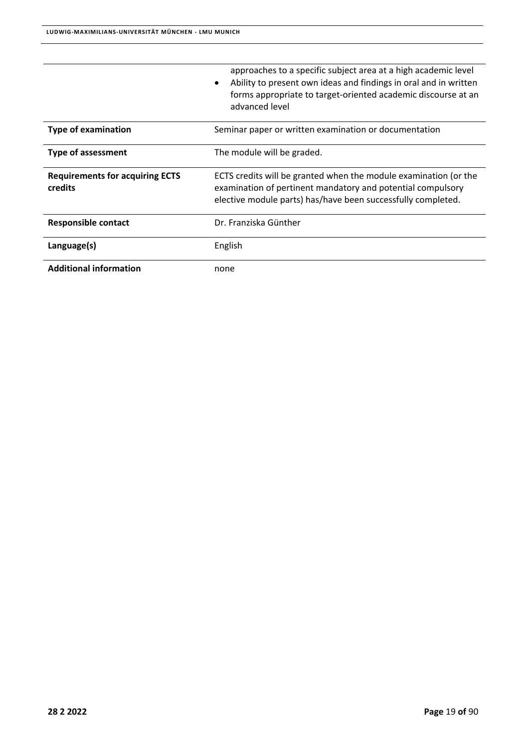|                                                   | approaches to a specific subject area at a high academic level<br>Ability to present own ideas and findings in oral and in written<br>$\bullet$<br>forms appropriate to target-oriented academic discourse at an<br>advanced level |
|---------------------------------------------------|------------------------------------------------------------------------------------------------------------------------------------------------------------------------------------------------------------------------------------|
| <b>Type of examination</b>                        | Seminar paper or written examination or documentation                                                                                                                                                                              |
| <b>Type of assessment</b>                         | The module will be graded.                                                                                                                                                                                                         |
| <b>Requirements for acquiring ECTS</b><br>credits | ECTS credits will be granted when the module examination (or the<br>examination of pertinent mandatory and potential compulsory<br>elective module parts) has/have been successfully completed.                                    |
| <b>Responsible contact</b>                        | Dr. Franziska Günther                                                                                                                                                                                                              |
| Language(s)                                       | English                                                                                                                                                                                                                            |
| <b>Additional information</b>                     | none                                                                                                                                                                                                                               |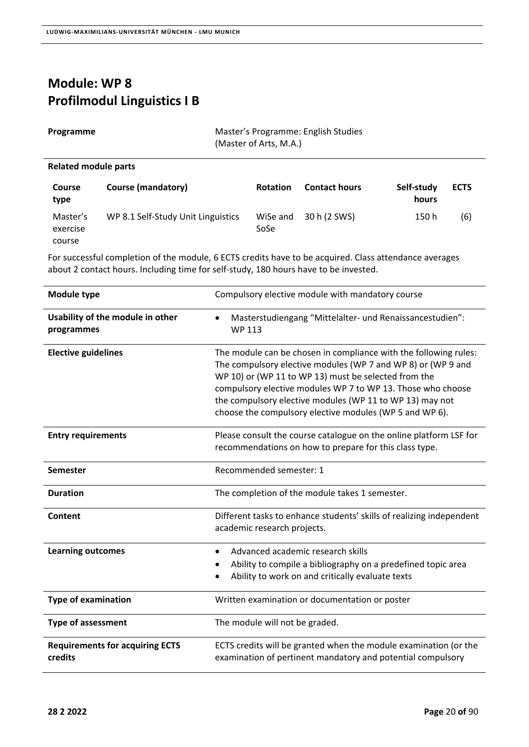### **Module: WP 8 Profilmodul Linguistics I B**

| Programme |  |
|-----------|--|
|-----------|--|

**Master's Programme: English Studies** (Master of Arts, M.A.)

### **Related module parts**

| <b>Course</b><br>type          | <b>Course (mandatory)</b>          | <b>Rotation</b>  | <b>Contact hours</b> | Self-study<br>hours | <b>ECTS</b> |
|--------------------------------|------------------------------------|------------------|----------------------|---------------------|-------------|
| Master's<br>exercise<br>course | WP 8.1 Self-Study Unit Linguistics | WiSe and<br>SoSe | 30 h (2 SWS)         | 150 h               | (6)         |

| Module type                                       | Compulsory elective module with mandatory course                                                                                                                                                                                                                                                                                                                               |
|---------------------------------------------------|--------------------------------------------------------------------------------------------------------------------------------------------------------------------------------------------------------------------------------------------------------------------------------------------------------------------------------------------------------------------------------|
| Usability of the module in other<br>programmes    | Masterstudiengang "Mittelalter- und Renaissancestudien":<br><b>WP 113</b>                                                                                                                                                                                                                                                                                                      |
| <b>Elective guidelines</b>                        | The module can be chosen in compliance with the following rules:<br>The compulsory elective modules (WP 7 and WP 8) or (WP 9 and<br>WP 10) or (WP 11 to WP 13) must be selected from the<br>compulsory elective modules WP 7 to WP 13. Those who choose<br>the compulsory elective modules (WP 11 to WP 13) may not<br>choose the compulsory elective modules (WP 5 and WP 6). |
| <b>Entry requirements</b>                         | Please consult the course catalogue on the online platform LSF for<br>recommendations on how to prepare for this class type.                                                                                                                                                                                                                                                   |
| <b>Semester</b>                                   | Recommended semester: 1                                                                                                                                                                                                                                                                                                                                                        |
| <b>Duration</b>                                   | The completion of the module takes 1 semester.                                                                                                                                                                                                                                                                                                                                 |
| Content                                           | Different tasks to enhance students' skills of realizing independent<br>academic research projects.                                                                                                                                                                                                                                                                            |
| <b>Learning outcomes</b>                          | Advanced academic research skills<br>$\bullet$<br>Ability to compile a bibliography on a predefined topic area<br>Ability to work on and critically evaluate texts                                                                                                                                                                                                             |
| <b>Type of examination</b>                        | Written examination or documentation or poster                                                                                                                                                                                                                                                                                                                                 |
| <b>Type of assessment</b>                         | The module will not be graded.                                                                                                                                                                                                                                                                                                                                                 |
| <b>Requirements for acquiring ECTS</b><br>credits | ECTS credits will be granted when the module examination (or the<br>examination of pertinent mandatory and potential compulsory                                                                                                                                                                                                                                                |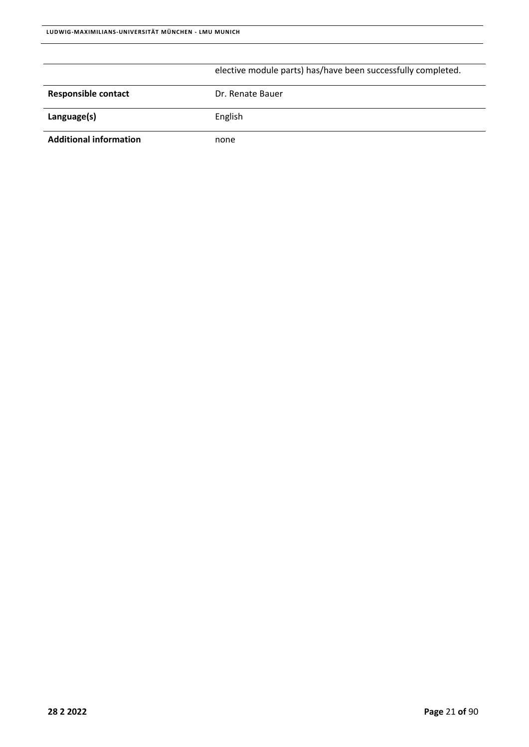|                               | elective module parts) has/have been successfully completed. |
|-------------------------------|--------------------------------------------------------------|
| <b>Responsible contact</b>    | Dr. Renate Bauer                                             |
| Language(s)                   | English                                                      |
| <b>Additional information</b> | none                                                         |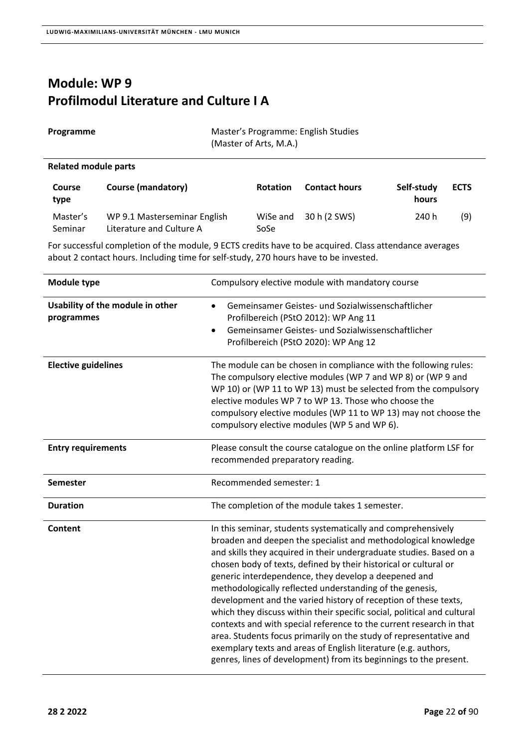### **Module: WP 9 Profilmodul Literature and Culture I A**

| Programme            | Master's Programme: English Studies<br>(Master of Arts, M.A.) |
|----------------------|---------------------------------------------------------------|
| Related module parts |                                                               |

| <b>Course</b><br>type | <b>Course (mandatory)</b>                                | <b>Rotation</b>  | <b>Contact hours</b> | Self-study<br>hours | <b>ECTS</b> |
|-----------------------|----------------------------------------------------------|------------------|----------------------|---------------------|-------------|
| Master's<br>Seminar   | WP 9.1 Masterseminar English<br>Literature and Culture A | WiSe and<br>SoSe | 30 h (2 SWS)         | 240 h               | (9)         |

| <b>Module type</b>                             | Compulsory elective module with mandatory course                                                                                                                                                                                                                                                                                                                                                                                                                                                                                                                                                                                                                                                                                                                                                                               |
|------------------------------------------------|--------------------------------------------------------------------------------------------------------------------------------------------------------------------------------------------------------------------------------------------------------------------------------------------------------------------------------------------------------------------------------------------------------------------------------------------------------------------------------------------------------------------------------------------------------------------------------------------------------------------------------------------------------------------------------------------------------------------------------------------------------------------------------------------------------------------------------|
| Usability of the module in other<br>programmes | Gemeinsamer Geistes- und Sozialwissenschaftlicher<br>$\bullet$<br>Profilbereich (PStO 2012): WP Ang 11<br>Gemeinsamer Geistes- und Sozialwissenschaftlicher<br>$\bullet$<br>Profilbereich (PStO 2020): WP Ang 12                                                                                                                                                                                                                                                                                                                                                                                                                                                                                                                                                                                                               |
| <b>Elective guidelines</b>                     | The module can be chosen in compliance with the following rules:<br>The compulsory elective modules (WP 7 and WP 8) or (WP 9 and<br>WP 10) or (WP 11 to WP 13) must be selected from the compulsory<br>elective modules WP 7 to WP 13. Those who choose the<br>compulsory elective modules (WP 11 to WP 13) may not choose the<br>compulsory elective modules (WP 5 and WP 6).                                                                                                                                                                                                                                                                                                                                                                                                                                                 |
| <b>Entry requirements</b>                      | Please consult the course catalogue on the online platform LSF for<br>recommended preparatory reading.                                                                                                                                                                                                                                                                                                                                                                                                                                                                                                                                                                                                                                                                                                                         |
| Semester                                       | Recommended semester: 1                                                                                                                                                                                                                                                                                                                                                                                                                                                                                                                                                                                                                                                                                                                                                                                                        |
| <b>Duration</b>                                | The completion of the module takes 1 semester.                                                                                                                                                                                                                                                                                                                                                                                                                                                                                                                                                                                                                                                                                                                                                                                 |
| Content                                        | In this seminar, students systematically and comprehensively<br>broaden and deepen the specialist and methodological knowledge<br>and skills they acquired in their undergraduate studies. Based on a<br>chosen body of texts, defined by their historical or cultural or<br>generic interdependence, they develop a deepened and<br>methodologically reflected understanding of the genesis,<br>development and the varied history of reception of these texts,<br>which they discuss within their specific social, political and cultural<br>contexts and with special reference to the current research in that<br>area. Students focus primarily on the study of representative and<br>exemplary texts and areas of English literature (e.g. authors,<br>genres, lines of development) from its beginnings to the present. |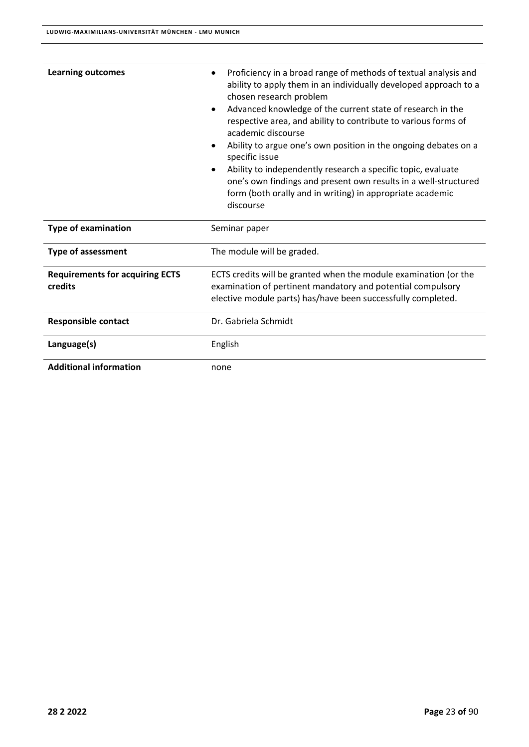| <b>Learning outcomes</b>                          | Proficiency in a broad range of methods of textual analysis and<br>ability to apply them in an individually developed approach to a<br>chosen research problem<br>Advanced knowledge of the current state of research in the<br>$\bullet$<br>respective area, and ability to contribute to various forms of<br>academic discourse<br>Ability to argue one's own position in the ongoing debates on a<br>٠<br>specific issue<br>Ability to independently research a specific topic, evaluate<br>one's own findings and present own results in a well-structured<br>form (both orally and in writing) in appropriate academic<br>discourse |
|---------------------------------------------------|------------------------------------------------------------------------------------------------------------------------------------------------------------------------------------------------------------------------------------------------------------------------------------------------------------------------------------------------------------------------------------------------------------------------------------------------------------------------------------------------------------------------------------------------------------------------------------------------------------------------------------------|
| <b>Type of examination</b>                        | Seminar paper                                                                                                                                                                                                                                                                                                                                                                                                                                                                                                                                                                                                                            |
| <b>Type of assessment</b>                         | The module will be graded.                                                                                                                                                                                                                                                                                                                                                                                                                                                                                                                                                                                                               |
| <b>Requirements for acquiring ECTS</b><br>credits | ECTS credits will be granted when the module examination (or the<br>examination of pertinent mandatory and potential compulsory<br>elective module parts) has/have been successfully completed.                                                                                                                                                                                                                                                                                                                                                                                                                                          |
| <b>Responsible contact</b>                        | Dr. Gabriela Schmidt                                                                                                                                                                                                                                                                                                                                                                                                                                                                                                                                                                                                                     |
| Language(s)                                       | English                                                                                                                                                                                                                                                                                                                                                                                                                                                                                                                                                                                                                                  |
| <b>Additional information</b>                     | none                                                                                                                                                                                                                                                                                                                                                                                                                                                                                                                                                                                                                                     |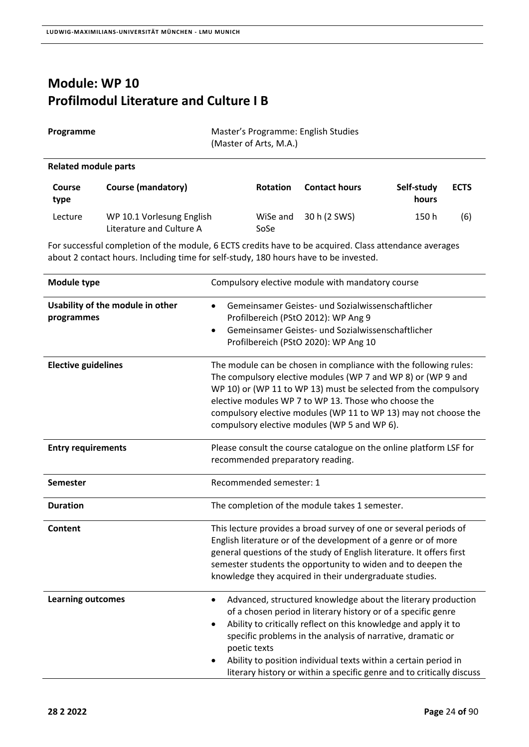### **Module: WP 10 Profilmodul Literature and Culture I B**

| Programme | Master's Programme: English Studies<br>(Master of Arts, M.A.) |
|-----------|---------------------------------------------------------------|
|           |                                                               |

### **Related module parts**

| <b>Course</b><br>type | <b>Course (mandatory)</b>                             | <b>Rotation</b>  | <b>Contact hours</b> | Self-study<br>hours | <b>ECTS</b> |
|-----------------------|-------------------------------------------------------|------------------|----------------------|---------------------|-------------|
| Lecture               | WP 10.1 Vorlesung English<br>Literature and Culture A | WiSe and<br>SoSe | 30 h (2 SWS)         | 150 h               | (6)         |

| <b>Module type</b>                             | Compulsory elective module with mandatory course                                                                                                                                                                                                                                                                                                                                                                                         |
|------------------------------------------------|------------------------------------------------------------------------------------------------------------------------------------------------------------------------------------------------------------------------------------------------------------------------------------------------------------------------------------------------------------------------------------------------------------------------------------------|
| Usability of the module in other<br>programmes | Gemeinsamer Geistes- und Sozialwissenschaftlicher<br>$\bullet$<br>Profilbereich (PStO 2012): WP Ang 9<br>Gemeinsamer Geistes- und Sozialwissenschaftlicher<br>Profilbereich (PStO 2020): WP Ang 10                                                                                                                                                                                                                                       |
| <b>Elective guidelines</b>                     | The module can be chosen in compliance with the following rules:<br>The compulsory elective modules (WP 7 and WP 8) or (WP 9 and<br>WP 10) or (WP 11 to WP 13) must be selected from the compulsory<br>elective modules WP 7 to WP 13. Those who choose the<br>compulsory elective modules (WP 11 to WP 13) may not choose the<br>compulsory elective modules (WP 5 and WP 6).                                                           |
| <b>Entry requirements</b>                      | Please consult the course catalogue on the online platform LSF for<br>recommended preparatory reading.                                                                                                                                                                                                                                                                                                                                   |
| <b>Semester</b>                                | Recommended semester: 1                                                                                                                                                                                                                                                                                                                                                                                                                  |
| <b>Duration</b>                                | The completion of the module takes 1 semester.                                                                                                                                                                                                                                                                                                                                                                                           |
| Content                                        | This lecture provides a broad survey of one or several periods of<br>English literature or of the development of a genre or of more<br>general questions of the study of English literature. It offers first<br>semester students the opportunity to widen and to deepen the<br>knowledge they acquired in their undergraduate studies.                                                                                                  |
| <b>Learning outcomes</b>                       | Advanced, structured knowledge about the literary production<br>$\bullet$<br>of a chosen period in literary history or of a specific genre<br>Ability to critically reflect on this knowledge and apply it to<br>specific problems in the analysis of narrative, dramatic or<br>poetic texts<br>Ability to position individual texts within a certain period in<br>literary history or within a specific genre and to critically discuss |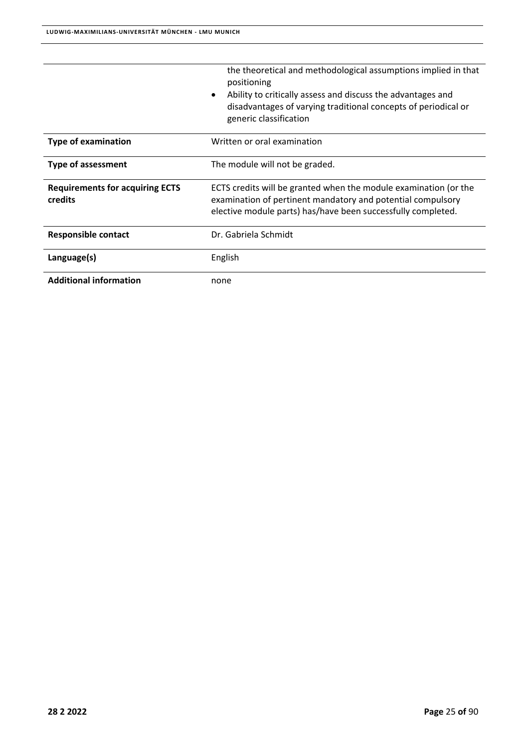|                                                   | the theoretical and methodological assumptions implied in that<br>positioning<br>Ability to critically assess and discuss the advantages and<br>disadvantages of varying traditional concepts of periodical or<br>generic classification |
|---------------------------------------------------|------------------------------------------------------------------------------------------------------------------------------------------------------------------------------------------------------------------------------------------|
| <b>Type of examination</b>                        | Written or oral examination                                                                                                                                                                                                              |
| <b>Type of assessment</b>                         | The module will not be graded.                                                                                                                                                                                                           |
| <b>Requirements for acquiring ECTS</b><br>credits | ECTS credits will be granted when the module examination (or the<br>examination of pertinent mandatory and potential compulsory<br>elective module parts) has/have been successfully completed.                                          |
| <b>Responsible contact</b>                        | Dr. Gabriela Schmidt                                                                                                                                                                                                                     |
| Language(s)                                       | English                                                                                                                                                                                                                                  |
| <b>Additional information</b>                     | none                                                                                                                                                                                                                                     |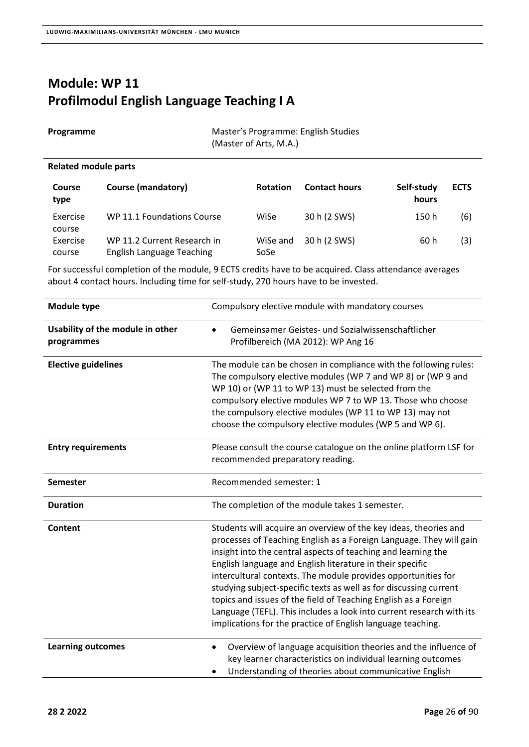## **Module: WP 11 Profilmodul English Language Teaching I A**

| Programme | Master's Programme: English Studies |
|-----------|-------------------------------------|
|           | (Master of Arts, M.A.)              |

#### **Related module parts**

| <b>Course</b><br>type | <b>Course (mandatory)</b>                                       | <b>Rotation</b>  | <b>Contact hours</b> | Self-study<br>hours | <b>ECTS</b> |
|-----------------------|-----------------------------------------------------------------|------------------|----------------------|---------------------|-------------|
| Exercise<br>course    | WP 11.1 Foundations Course                                      | WiSe             | 30 h (2 SWS)         | 150 h               | (6)         |
| Exercise<br>course    | WP 11.2 Current Research in<br><b>English Language Teaching</b> | WiSe and<br>SoSe | 30 h (2 SWS)         | 60 h                | (3)         |

| <b>Module type</b>                             | Compulsory elective module with mandatory courses                                                                                                                                                                                                                                                                                                                                                                                                                                                                                                                                                                     |
|------------------------------------------------|-----------------------------------------------------------------------------------------------------------------------------------------------------------------------------------------------------------------------------------------------------------------------------------------------------------------------------------------------------------------------------------------------------------------------------------------------------------------------------------------------------------------------------------------------------------------------------------------------------------------------|
| Usability of the module in other<br>programmes | Gemeinsamer Geistes- und Sozialwissenschaftlicher<br>Profilbereich (MA 2012): WP Ang 16                                                                                                                                                                                                                                                                                                                                                                                                                                                                                                                               |
| <b>Elective guidelines</b>                     | The module can be chosen in compliance with the following rules:<br>The compulsory elective modules (WP 7 and WP 8) or (WP 9 and<br>WP 10) or (WP 11 to WP 13) must be selected from the<br>compulsory elective modules WP 7 to WP 13. Those who choose<br>the compulsory elective modules (WP 11 to WP 13) may not<br>choose the compulsory elective modules (WP 5 and WP 6).                                                                                                                                                                                                                                        |
| <b>Entry requirements</b>                      | Please consult the course catalogue on the online platform LSF for<br>recommended preparatory reading.                                                                                                                                                                                                                                                                                                                                                                                                                                                                                                                |
| <b>Semester</b>                                | Recommended semester: 1                                                                                                                                                                                                                                                                                                                                                                                                                                                                                                                                                                                               |
| <b>Duration</b>                                | The completion of the module takes 1 semester.                                                                                                                                                                                                                                                                                                                                                                                                                                                                                                                                                                        |
| Content                                        | Students will acquire an overview of the key ideas, theories and<br>processes of Teaching English as a Foreign Language. They will gain<br>insight into the central aspects of teaching and learning the<br>English language and English literature in their specific<br>intercultural contexts. The module provides opportunities for<br>studying subject-specific texts as well as for discussing current<br>topics and issues of the field of Teaching English as a Foreign<br>Language (TEFL). This includes a look into current research with its<br>implications for the practice of English language teaching. |
| <b>Learning outcomes</b>                       | Overview of language acquisition theories and the influence of<br>٠<br>key learner characteristics on individual learning outcomes<br>Understanding of theories about communicative English                                                                                                                                                                                                                                                                                                                                                                                                                           |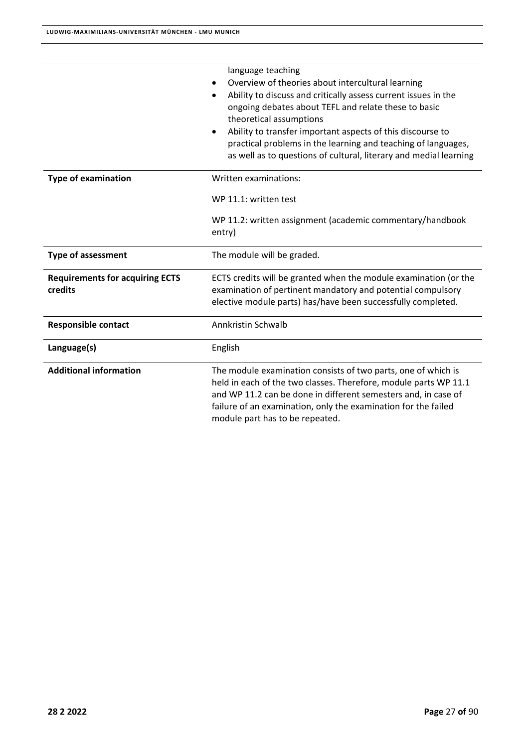|                                                   | language teaching<br>Overview of theories about intercultural learning<br>Ability to discuss and critically assess current issues in the<br>ongoing debates about TEFL and relate these to basic<br>theoretical assumptions<br>Ability to transfer important aspects of this discourse to<br>practical problems in the learning and teaching of languages,<br>as well as to questions of cultural, literary and medial learning |  |
|---------------------------------------------------|---------------------------------------------------------------------------------------------------------------------------------------------------------------------------------------------------------------------------------------------------------------------------------------------------------------------------------------------------------------------------------------------------------------------------------|--|
| <b>Type of examination</b>                        | Written examinations:                                                                                                                                                                                                                                                                                                                                                                                                           |  |
|                                                   | WP 11.1: written test                                                                                                                                                                                                                                                                                                                                                                                                           |  |
|                                                   | WP 11.2: written assignment (academic commentary/handbook<br>entry)                                                                                                                                                                                                                                                                                                                                                             |  |
| <b>Type of assessment</b>                         | The module will be graded.                                                                                                                                                                                                                                                                                                                                                                                                      |  |
| <b>Requirements for acquiring ECTS</b><br>credits | ECTS credits will be granted when the module examination (or the<br>examination of pertinent mandatory and potential compulsory<br>elective module parts) has/have been successfully completed.                                                                                                                                                                                                                                 |  |
| <b>Responsible contact</b>                        | Annkristin Schwalb                                                                                                                                                                                                                                                                                                                                                                                                              |  |
| Language(s)                                       | English                                                                                                                                                                                                                                                                                                                                                                                                                         |  |
| <b>Additional information</b>                     | The module examination consists of two parts, one of which is<br>held in each of the two classes. Therefore, module parts WP 11.1<br>and WP 11.2 can be done in different semesters and, in case of<br>failure of an examination, only the examination for the failed<br>module part has to be repeated.                                                                                                                        |  |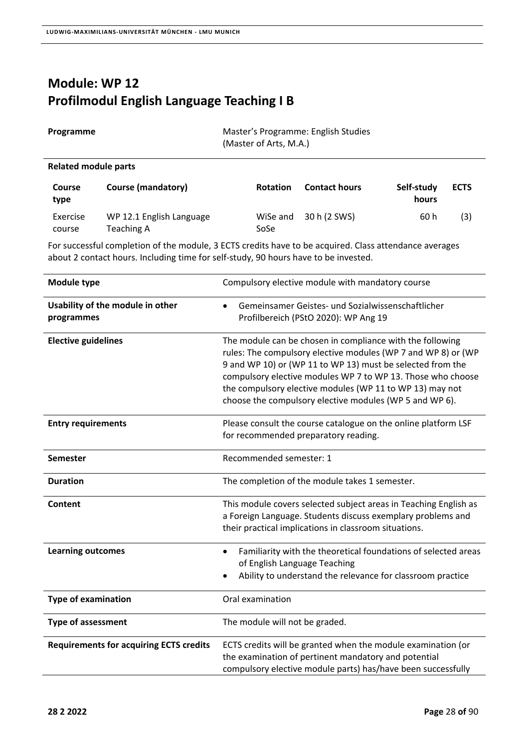## **Module: WP 12 Profilmodul English Language Teaching I B**

| Programme            |                           | Master's Programme: English Studies<br>(Master of Arts, M.A.) |                      |            |
|----------------------|---------------------------|---------------------------------------------------------------|----------------------|------------|
| Related module parts |                           |                                                               |                      |            |
| <b>Course</b>        | <b>Course (mandatory)</b> | <b>Rotation</b>                                               | <b>Contact hours</b> | Self-study |

| type     |                          |      |                       | hours |     |
|----------|--------------------------|------|-----------------------|-------|-----|
| Exercise | WP 12.1 English Language |      | WiSe and 30 h (2 SWS) | 60 h  | (3) |
| course   | Teaching A               | SoSe |                       |       |     |

For successful completion of the module, 3 ECTS credits have to be acquired. Class attendance averages about 2 contact hours. Including time for self‐study, 90 hours have to be invested.

| Module type                                    | Compulsory elective module with mandatory course                                                                                                                                                                                                                                                                                                                               |
|------------------------------------------------|--------------------------------------------------------------------------------------------------------------------------------------------------------------------------------------------------------------------------------------------------------------------------------------------------------------------------------------------------------------------------------|
| Usability of the module in other<br>programmes | Gemeinsamer Geistes- und Sozialwissenschaftlicher<br>$\bullet$<br>Profilbereich (PStO 2020): WP Ang 19                                                                                                                                                                                                                                                                         |
| <b>Elective guidelines</b>                     | The module can be chosen in compliance with the following<br>rules: The compulsory elective modules (WP 7 and WP 8) or (WP<br>9 and WP 10) or (WP 11 to WP 13) must be selected from the<br>compulsory elective modules WP 7 to WP 13. Those who choose<br>the compulsory elective modules (WP 11 to WP 13) may not<br>choose the compulsory elective modules (WP 5 and WP 6). |
| <b>Entry requirements</b>                      | Please consult the course catalogue on the online platform LSF<br>for recommended preparatory reading.                                                                                                                                                                                                                                                                         |
| <b>Semester</b>                                | Recommended semester: 1                                                                                                                                                                                                                                                                                                                                                        |
| <b>Duration</b>                                | The completion of the module takes 1 semester.                                                                                                                                                                                                                                                                                                                                 |
| Content                                        | This module covers selected subject areas in Teaching English as<br>a Foreign Language. Students discuss exemplary problems and<br>their practical implications in classroom situations.                                                                                                                                                                                       |
| <b>Learning outcomes</b>                       | Familiarity with the theoretical foundations of selected areas<br>$\bullet$<br>of English Language Teaching<br>Ability to understand the relevance for classroom practice                                                                                                                                                                                                      |
| <b>Type of examination</b>                     | Oral examination                                                                                                                                                                                                                                                                                                                                                               |
| <b>Type of assessment</b>                      | The module will not be graded.                                                                                                                                                                                                                                                                                                                                                 |
| <b>Requirements for acquiring ECTS credits</b> | ECTS credits will be granted when the module examination (or<br>the examination of pertinent mandatory and potential<br>compulsory elective module parts) has/have been successfully                                                                                                                                                                                           |

**ECTS**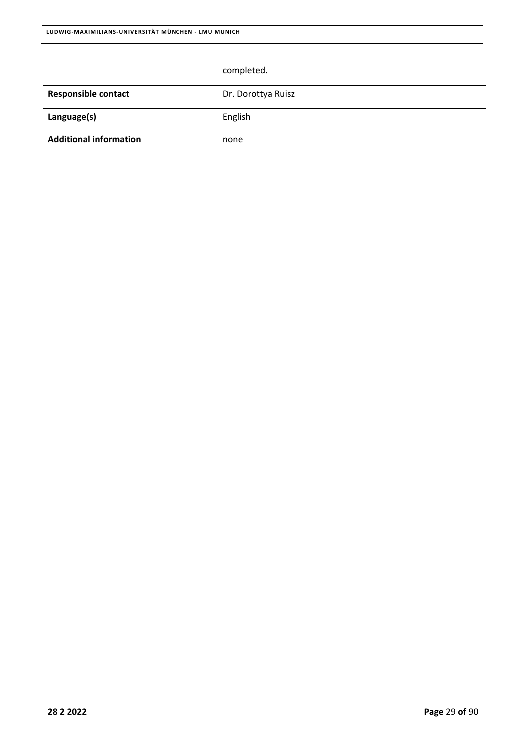|                               | completed.         |
|-------------------------------|--------------------|
|                               |                    |
| <b>Responsible contact</b>    | Dr. Dorottya Ruisz |
| Language(s)                   | English            |
| <b>Additional information</b> | none               |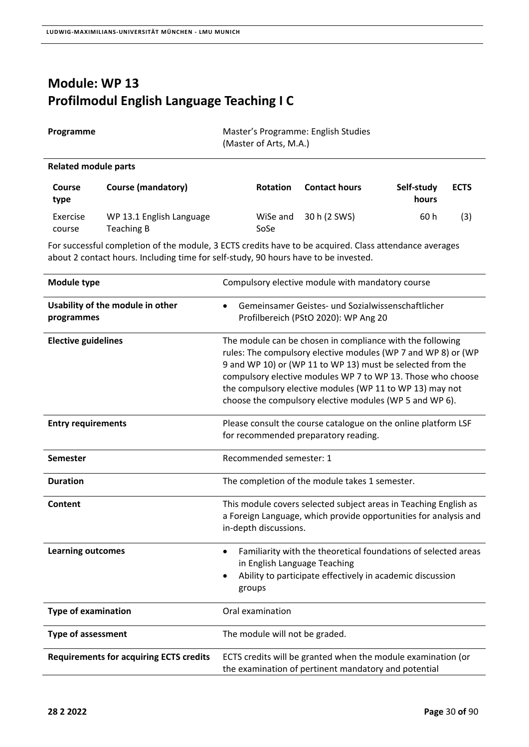## **Module: WP 13 Profilmodul English Language Teaching I C**

| Programme             |                           | Master's Programme: English Studies<br>(Master of Arts, M.A.) |                      |                     |
|-----------------------|---------------------------|---------------------------------------------------------------|----------------------|---------------------|
|                       | Related module parts      |                                                               |                      |                     |
| <b>Course</b><br>type | <b>Course (mandatory)</b> | <b>Rotation</b>                                               | <b>Contact hours</b> | Self-study<br>hours |

| $\mathbf{F}$ |                          |      |                       | .    |     |
|--------------|--------------------------|------|-----------------------|------|-----|
| Exercise     | WP 13.1 English Language |      | WiSe and 30 h (2 SWS) | 60 h | (3) |
| course       | Teaching B               | SoSe |                       |      |     |

For successful completion of the module, 3 ECTS credits have to be acquired. Class attendance averages about 2 contact hours. Including time for self‐study, 90 hours have to be invested.

| <b>Module type</b>                             | Compulsory elective module with mandatory course                                                                                                                                                                                                                                                                                                                               |
|------------------------------------------------|--------------------------------------------------------------------------------------------------------------------------------------------------------------------------------------------------------------------------------------------------------------------------------------------------------------------------------------------------------------------------------|
| Usability of the module in other<br>programmes | Gemeinsamer Geistes- und Sozialwissenschaftlicher<br>$\bullet$<br>Profilbereich (PStO 2020): WP Ang 20                                                                                                                                                                                                                                                                         |
| <b>Elective guidelines</b>                     | The module can be chosen in compliance with the following<br>rules: The compulsory elective modules (WP 7 and WP 8) or (WP<br>9 and WP 10) or (WP 11 to WP 13) must be selected from the<br>compulsory elective modules WP 7 to WP 13. Those who choose<br>the compulsory elective modules (WP 11 to WP 13) may not<br>choose the compulsory elective modules (WP 5 and WP 6). |
| <b>Entry requirements</b>                      | Please consult the course catalogue on the online platform LSF<br>for recommended preparatory reading.                                                                                                                                                                                                                                                                         |
| <b>Semester</b>                                | Recommended semester: 1                                                                                                                                                                                                                                                                                                                                                        |
| <b>Duration</b>                                | The completion of the module takes 1 semester.                                                                                                                                                                                                                                                                                                                                 |
| Content                                        | This module covers selected subject areas in Teaching English as<br>a Foreign Language, which provide opportunities for analysis and<br>in-depth discussions.                                                                                                                                                                                                                  |
| <b>Learning outcomes</b>                       | Familiarity with the theoretical foundations of selected areas<br>$\bullet$<br>in English Language Teaching<br>Ability to participate effectively in academic discussion<br>groups                                                                                                                                                                                             |
| <b>Type of examination</b>                     | Oral examination                                                                                                                                                                                                                                                                                                                                                               |
| <b>Type of assessment</b>                      | The module will not be graded.                                                                                                                                                                                                                                                                                                                                                 |
| <b>Requirements for acquiring ECTS credits</b> | ECTS credits will be granted when the module examination (or<br>the examination of pertinent mandatory and potential                                                                                                                                                                                                                                                           |

**ECTS**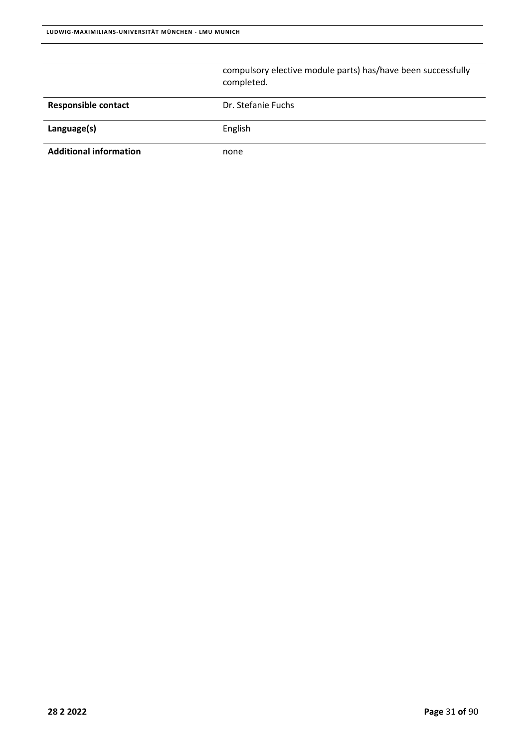|                               | compulsory elective module parts) has/have been successfully<br>completed. |
|-------------------------------|----------------------------------------------------------------------------|
| <b>Responsible contact</b>    | Dr. Stefanie Fuchs                                                         |
| Language(s)                   | English                                                                    |
| <b>Additional information</b> | none                                                                       |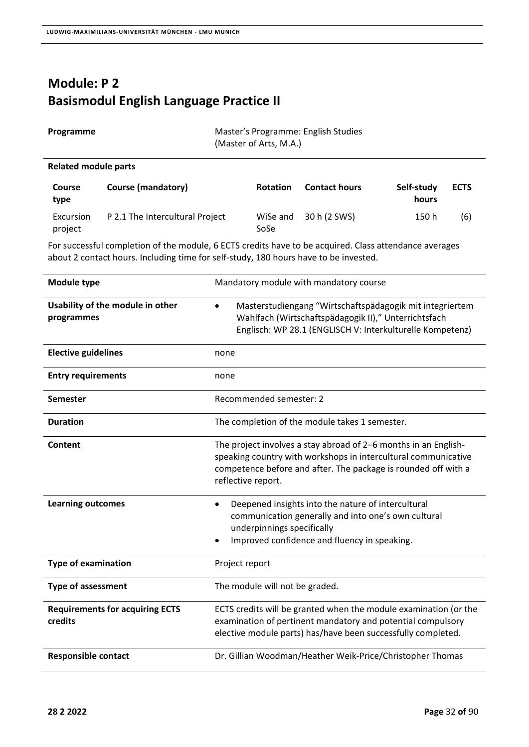## **Module: P 2 Basismodul English Language Practice II**

| Programme | Master's Programme: English Studies |
|-----------|-------------------------------------|
|           | (Master of Arts, M.A.)              |

#### **Related module parts**

| <b>Course</b><br>type | <b>Course (mandatory)</b>       | <b>Rotation</b>  | <b>Contact hours</b> | Self-study<br>hours | <b>ECTS</b> |
|-----------------------|---------------------------------|------------------|----------------------|---------------------|-------------|
| Excursion<br>project  | P 2.1 The Intercultural Project | WiSe and<br>SoSe | 30 h (2 SWS)         | 150 h               | (6)         |

| <b>Module type</b>                                | Mandatory module with mandatory course                                                                                                                                                                                    |
|---------------------------------------------------|---------------------------------------------------------------------------------------------------------------------------------------------------------------------------------------------------------------------------|
| Usability of the module in other<br>programmes    | Masterstudiengang "Wirtschaftspädagogik mit integriertem<br>Wahlfach (Wirtschaftspädagogik II)," Unterrichtsfach<br>Englisch: WP 28.1 (ENGLISCH V: Interkulturelle Kompetenz)                                             |
| <b>Elective guidelines</b>                        | none                                                                                                                                                                                                                      |
| <b>Entry requirements</b>                         | none                                                                                                                                                                                                                      |
| <b>Semester</b>                                   | Recommended semester: 2                                                                                                                                                                                                   |
| <b>Duration</b>                                   | The completion of the module takes 1 semester.                                                                                                                                                                            |
| Content                                           | The project involves a stay abroad of 2-6 months in an English-<br>speaking country with workshops in intercultural communicative<br>competence before and after. The package is rounded off with a<br>reflective report. |
| <b>Learning outcomes</b>                          | Deepened insights into the nature of intercultural<br>٠<br>communication generally and into one's own cultural<br>underpinnings specifically<br>Improved confidence and fluency in speaking.                              |
| <b>Type of examination</b>                        | Project report                                                                                                                                                                                                            |
| <b>Type of assessment</b>                         | The module will not be graded.                                                                                                                                                                                            |
| <b>Requirements for acquiring ECTS</b><br>credits | ECTS credits will be granted when the module examination (or the<br>examination of pertinent mandatory and potential compulsory<br>elective module parts) has/have been successfully completed.                           |
| <b>Responsible contact</b>                        | Dr. Gillian Woodman/Heather Weik-Price/Christopher Thomas                                                                                                                                                                 |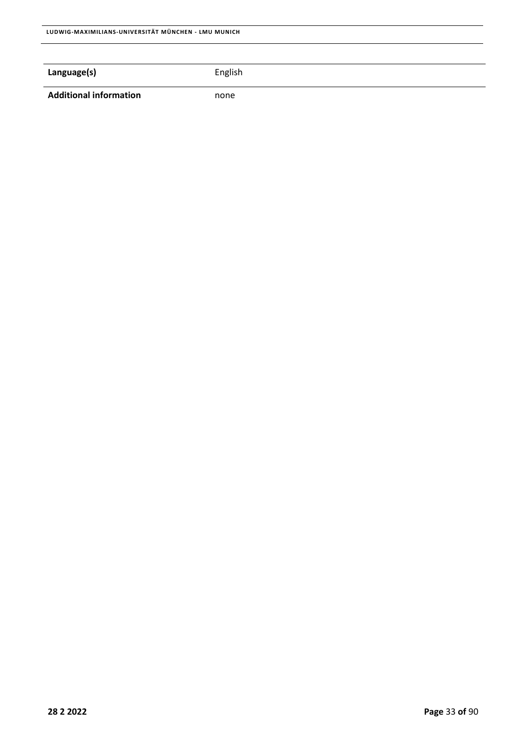### **Language(s) English**

Additional information **none**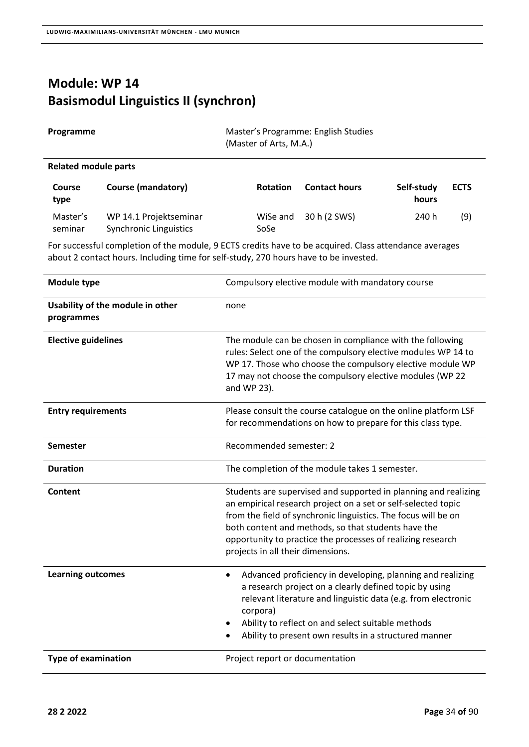## **Module: WP 14 Basismodul Linguistics II (synchron)**

| Programme | Master's Programme: English Studies<br>(Master of Arts, M.A.) |
|-----------|---------------------------------------------------------------|
|           |                                                               |

### **Related module parts**

| <b>Course</b><br>type | <b>Course (mandatory)</b>                        | <b>Rotation</b>  | <b>Contact hours</b> | Self-study<br>hours | <b>ECTS</b> |
|-----------------------|--------------------------------------------------|------------------|----------------------|---------------------|-------------|
| Master's<br>seminar   | WP 14.1 Projektseminar<br>Synchronic Linguistics | WiSe and<br>SoSe | 30 h (2 SWS)         | 240 h               | (9)         |

| <b>Module type</b>                             | Compulsory elective module with mandatory course                                                                                                                                                                                                                                                                                                              |
|------------------------------------------------|---------------------------------------------------------------------------------------------------------------------------------------------------------------------------------------------------------------------------------------------------------------------------------------------------------------------------------------------------------------|
| Usability of the module in other<br>programmes | none                                                                                                                                                                                                                                                                                                                                                          |
| <b>Elective guidelines</b>                     | The module can be chosen in compliance with the following<br>rules: Select one of the compulsory elective modules WP 14 to<br>WP 17. Those who choose the compulsory elective module WP<br>17 may not choose the compulsory elective modules (WP 22<br>and WP 23).                                                                                            |
| <b>Entry requirements</b>                      | Please consult the course catalogue on the online platform LSF<br>for recommendations on how to prepare for this class type.                                                                                                                                                                                                                                  |
| <b>Semester</b>                                | Recommended semester: 2                                                                                                                                                                                                                                                                                                                                       |
| <b>Duration</b>                                | The completion of the module takes 1 semester.                                                                                                                                                                                                                                                                                                                |
| Content                                        | Students are supervised and supported in planning and realizing<br>an empirical research project on a set or self-selected topic<br>from the field of synchronic linguistics. The focus will be on<br>both content and methods, so that students have the<br>opportunity to practice the processes of realizing research<br>projects in all their dimensions. |
| <b>Learning outcomes</b>                       | Advanced proficiency in developing, planning and realizing<br>$\bullet$<br>a research project on a clearly defined topic by using<br>relevant literature and linguistic data (e.g. from electronic<br>corpora)<br>Ability to reflect on and select suitable methods<br>Ability to present own results in a structured manner                                  |
| <b>Type of examination</b>                     | Project report or documentation                                                                                                                                                                                                                                                                                                                               |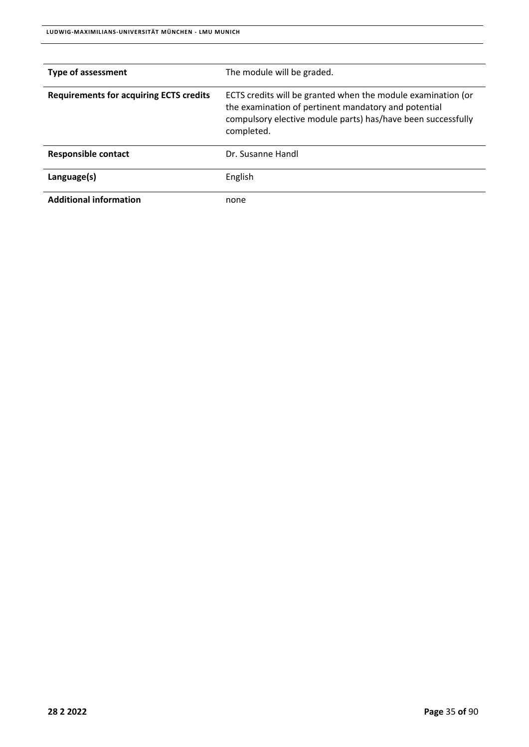| <b>Type of assessment</b>                      | The module will be graded.                                                                                                                                                                         |
|------------------------------------------------|----------------------------------------------------------------------------------------------------------------------------------------------------------------------------------------------------|
| <b>Requirements for acquiring ECTS credits</b> | ECTS credits will be granted when the module examination (or<br>the examination of pertinent mandatory and potential<br>compulsory elective module parts) has/have been successfully<br>completed. |
| <b>Responsible contact</b>                     | Dr. Susanne Handl                                                                                                                                                                                  |
| Language(s)                                    | English                                                                                                                                                                                            |
| <b>Additional information</b>                  | none                                                                                                                                                                                               |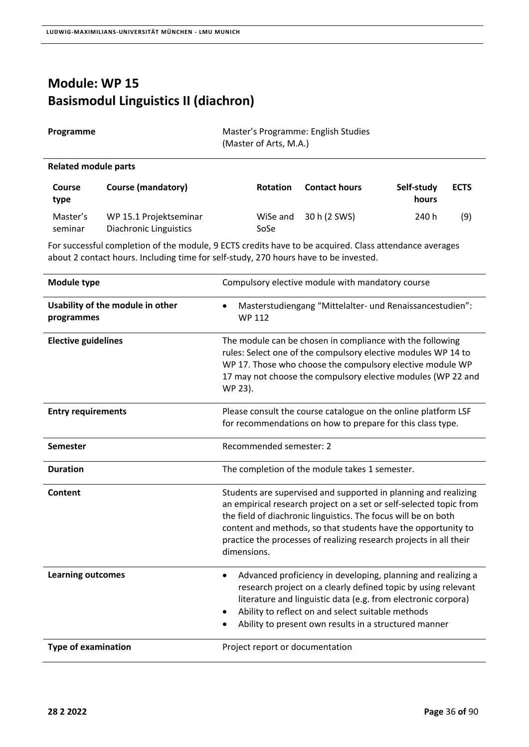## **Module: WP 15 Basismodul Linguistics II (diachron)**

| Programme            | Master's Programme: English Studies<br>(Master of Arts, M.A.) |
|----------------------|---------------------------------------------------------------|
| Related module parts |                                                               |

| <b>Course</b><br>type | Course (mandatory)                               | <b>Rotation</b>  | <b>Contact hours</b> | Self-study<br>hours | <b>ECTS</b> |
|-----------------------|--------------------------------------------------|------------------|----------------------|---------------------|-------------|
| Master's<br>seminar   | WP 15.1 Projektseminar<br>Diachronic Linguistics | WiSe and<br>SoSe | 30 h (2 SWS)         | 240 h               | (9)         |

| Module type                                    | Compulsory elective module with mandatory course                                                                                                                                                                                                                                                                                                              |
|------------------------------------------------|---------------------------------------------------------------------------------------------------------------------------------------------------------------------------------------------------------------------------------------------------------------------------------------------------------------------------------------------------------------|
| Usability of the module in other<br>programmes | Masterstudiengang "Mittelalter- und Renaissancestudien":<br><b>WP 112</b>                                                                                                                                                                                                                                                                                     |
| <b>Elective guidelines</b>                     | The module can be chosen in compliance with the following<br>rules: Select one of the compulsory elective modules WP 14 to<br>WP 17. Those who choose the compulsory elective module WP<br>17 may not choose the compulsory elective modules (WP 22 and<br>WP 23).                                                                                            |
| <b>Entry requirements</b>                      | Please consult the course catalogue on the online platform LSF<br>for recommendations on how to prepare for this class type.                                                                                                                                                                                                                                  |
| <b>Semester</b>                                | Recommended semester: 2                                                                                                                                                                                                                                                                                                                                       |
| <b>Duration</b>                                | The completion of the module takes 1 semester.                                                                                                                                                                                                                                                                                                                |
| Content                                        | Students are supervised and supported in planning and realizing<br>an empirical research project on a set or self-selected topic from<br>the field of diachronic linguistics. The focus will be on both<br>content and methods, so that students have the opportunity to<br>practice the processes of realizing research projects in all their<br>dimensions. |
| <b>Learning outcomes</b>                       | Advanced proficiency in developing, planning and realizing a<br>٠<br>research project on a clearly defined topic by using relevant<br>literature and linguistic data (e.g. from electronic corpora)<br>Ability to reflect on and select suitable methods<br>Ability to present own results in a structured manner                                             |
| <b>Type of examination</b>                     | Project report or documentation                                                                                                                                                                                                                                                                                                                               |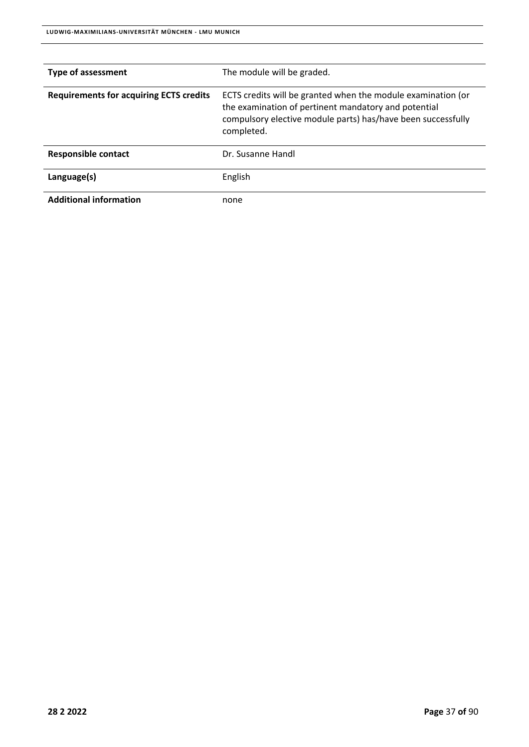| <b>Type of assessment</b>                      | The module will be graded.                                                                                                                                                                         |
|------------------------------------------------|----------------------------------------------------------------------------------------------------------------------------------------------------------------------------------------------------|
| <b>Requirements for acquiring ECTS credits</b> | ECTS credits will be granted when the module examination (or<br>the examination of pertinent mandatory and potential<br>compulsory elective module parts) has/have been successfully<br>completed. |
| <b>Responsible contact</b>                     | Dr. Susanne Handl                                                                                                                                                                                  |
| Language(s)                                    | English                                                                                                                                                                                            |
| <b>Additional information</b>                  | none                                                                                                                                                                                               |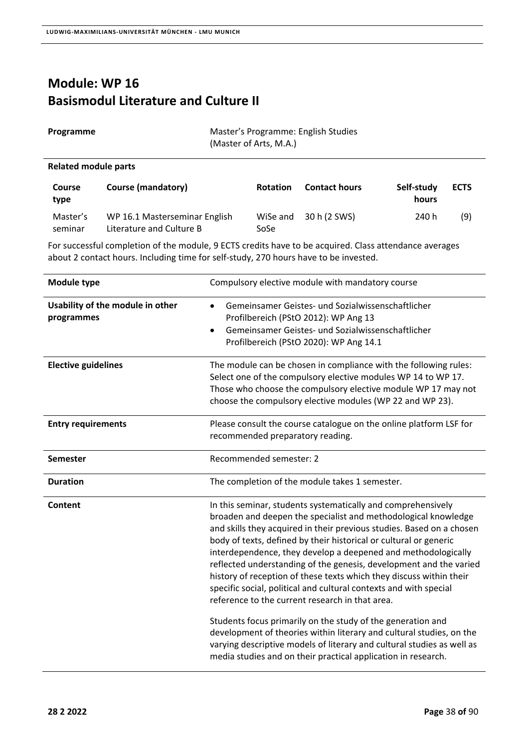#### **Module: WP 16 Basismodul Literature and Culture II**

| Programme | Master's Programme: English Studies |
|-----------|-------------------------------------|
|           | (Master of Arts, M.A.)              |
|           |                                     |

#### **Related module parts**

| <b>Course</b><br>type | <b>Course (mandatory)</b>                                 | <b>Rotation</b>  | <b>Contact hours</b> | Self-study<br>hours | <b>ECTS</b> |
|-----------------------|-----------------------------------------------------------|------------------|----------------------|---------------------|-------------|
| Master's<br>seminar   | WP 16.1 Masterseminar English<br>Literature and Culture B | WiSe and<br>SoSe | 30 h (2 SWS)         | 240 h               | (9)         |

| <b>Module type</b>                             | Compulsory elective module with mandatory course                                                                                                                                                                                                                                                                                                                                                                                                                                                                                                                                                                                                                                                                                                          |
|------------------------------------------------|-----------------------------------------------------------------------------------------------------------------------------------------------------------------------------------------------------------------------------------------------------------------------------------------------------------------------------------------------------------------------------------------------------------------------------------------------------------------------------------------------------------------------------------------------------------------------------------------------------------------------------------------------------------------------------------------------------------------------------------------------------------|
| Usability of the module in other<br>programmes | Gemeinsamer Geistes- und Sozialwissenschaftlicher<br>$\bullet$<br>Profilbereich (PStO 2012): WP Ang 13<br>Gemeinsamer Geistes- und Sozialwissenschaftlicher<br>$\bullet$<br>Profilbereich (PStO 2020): WP Ang 14.1                                                                                                                                                                                                                                                                                                                                                                                                                                                                                                                                        |
| <b>Elective guidelines</b>                     | The module can be chosen in compliance with the following rules:<br>Select one of the compulsory elective modules WP 14 to WP 17.<br>Those who choose the compulsory elective module WP 17 may not<br>choose the compulsory elective modules (WP 22 and WP 23).                                                                                                                                                                                                                                                                                                                                                                                                                                                                                           |
| <b>Entry requirements</b>                      | Please consult the course catalogue on the online platform LSF for<br>recommended preparatory reading.                                                                                                                                                                                                                                                                                                                                                                                                                                                                                                                                                                                                                                                    |
| <b>Semester</b>                                | Recommended semester: 2                                                                                                                                                                                                                                                                                                                                                                                                                                                                                                                                                                                                                                                                                                                                   |
| <b>Duration</b>                                | The completion of the module takes 1 semester.                                                                                                                                                                                                                                                                                                                                                                                                                                                                                                                                                                                                                                                                                                            |
| Content                                        | In this seminar, students systematically and comprehensively<br>broaden and deepen the specialist and methodological knowledge<br>and skills they acquired in their previous studies. Based on a chosen<br>body of texts, defined by their historical or cultural or generic<br>interdependence, they develop a deepened and methodologically<br>reflected understanding of the genesis, development and the varied<br>history of reception of these texts which they discuss within their<br>specific social, political and cultural contexts and with special<br>reference to the current research in that area.<br>Students focus primarily on the study of the generation and<br>development of theories within literary and cultural studies, on the |
|                                                | varying descriptive models of literary and cultural studies as well as<br>media studies and on their practical application in research.                                                                                                                                                                                                                                                                                                                                                                                                                                                                                                                                                                                                                   |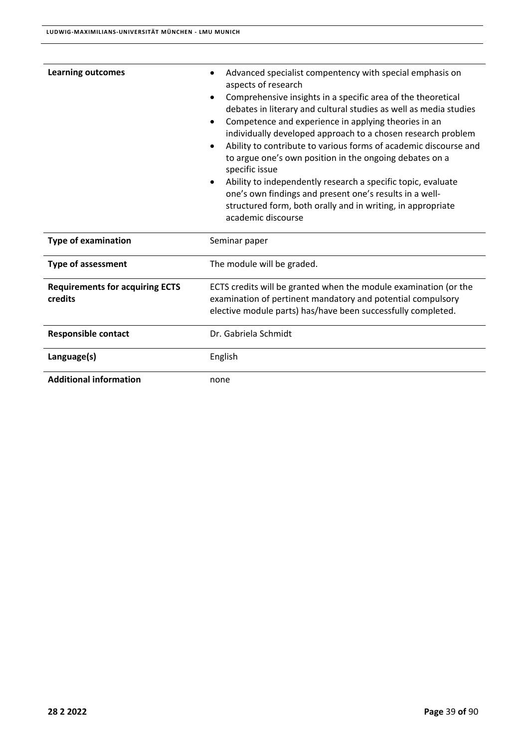| <b>Learning outcomes</b>                          | Advanced specialist compentency with special emphasis on<br>aspects of research<br>Comprehensive insights in a specific area of the theoretical<br>debates in literary and cultural studies as well as media studies<br>Competence and experience in applying theories in an<br>$\bullet$<br>individually developed approach to a chosen research problem<br>Ability to contribute to various forms of academic discourse and<br>to argue one's own position in the ongoing debates on a<br>specific issue<br>Ability to independently research a specific topic, evaluate<br>one's own findings and present one's results in a well-<br>structured form, both orally and in writing, in appropriate<br>academic discourse |  |
|---------------------------------------------------|----------------------------------------------------------------------------------------------------------------------------------------------------------------------------------------------------------------------------------------------------------------------------------------------------------------------------------------------------------------------------------------------------------------------------------------------------------------------------------------------------------------------------------------------------------------------------------------------------------------------------------------------------------------------------------------------------------------------------|--|
| <b>Type of examination</b>                        | Seminar paper                                                                                                                                                                                                                                                                                                                                                                                                                                                                                                                                                                                                                                                                                                              |  |
| <b>Type of assessment</b>                         | The module will be graded.                                                                                                                                                                                                                                                                                                                                                                                                                                                                                                                                                                                                                                                                                                 |  |
| <b>Requirements for acquiring ECTS</b><br>credits | ECTS credits will be granted when the module examination (or the<br>examination of pertinent mandatory and potential compulsory<br>elective module parts) has/have been successfully completed.                                                                                                                                                                                                                                                                                                                                                                                                                                                                                                                            |  |
| <b>Responsible contact</b>                        | Dr. Gabriela Schmidt                                                                                                                                                                                                                                                                                                                                                                                                                                                                                                                                                                                                                                                                                                       |  |
| Language(s)                                       | English                                                                                                                                                                                                                                                                                                                                                                                                                                                                                                                                                                                                                                                                                                                    |  |
| <b>Additional information</b>                     | none                                                                                                                                                                                                                                                                                                                                                                                                                                                                                                                                                                                                                                                                                                                       |  |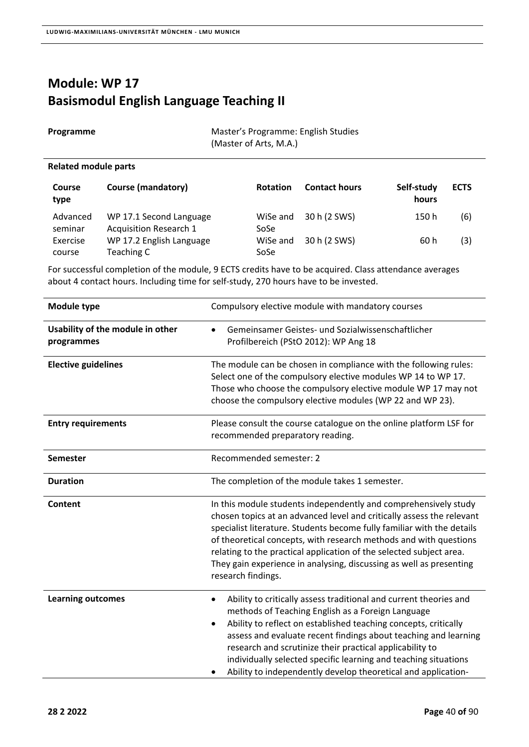# **Module: WP 17 Basismodul English Language Teaching II**

| Programme            | Master's Programme: English Studies<br>(Master of Arts, M.A.) |
|----------------------|---------------------------------------------------------------|
| Related module parts |                                                               |

| <b>Course</b><br>type | <b>Course (mandatory)</b>                                | <b>Rotation</b>  | <b>Contact hours</b> | Self-study<br>hours | <b>ECTS</b> |
|-----------------------|----------------------------------------------------------|------------------|----------------------|---------------------|-------------|
| Advanced<br>seminar   | WP 17.1 Second Language<br><b>Acquisition Research 1</b> | WiSe and<br>SoSe | 30 h (2 SWS)         | 150 h               | (6)         |
| Exercise<br>course    | WP 17.2 English Language<br>Teaching C                   | WiSe and<br>SoSe | 30 h (2 SWS)         | 60 h                | (3)         |

| Module type                                    | Compulsory elective module with mandatory courses                                                                                                                                                                                                                                                                                                                                                                                                                              |
|------------------------------------------------|--------------------------------------------------------------------------------------------------------------------------------------------------------------------------------------------------------------------------------------------------------------------------------------------------------------------------------------------------------------------------------------------------------------------------------------------------------------------------------|
| Usability of the module in other<br>programmes | Gemeinsamer Geistes- und Sozialwissenschaftlicher<br>Profilbereich (PStO 2012): WP Ang 18                                                                                                                                                                                                                                                                                                                                                                                      |
| <b>Elective guidelines</b>                     | The module can be chosen in compliance with the following rules:<br>Select one of the compulsory elective modules WP 14 to WP 17.<br>Those who choose the compulsory elective module WP 17 may not<br>choose the compulsory elective modules (WP 22 and WP 23).                                                                                                                                                                                                                |
| <b>Entry requirements</b>                      | Please consult the course catalogue on the online platform LSF for<br>recommended preparatory reading.                                                                                                                                                                                                                                                                                                                                                                         |
| <b>Semester</b>                                | Recommended semester: 2                                                                                                                                                                                                                                                                                                                                                                                                                                                        |
| <b>Duration</b>                                | The completion of the module takes 1 semester.                                                                                                                                                                                                                                                                                                                                                                                                                                 |
| Content                                        | In this module students independently and comprehensively study<br>chosen topics at an advanced level and critically assess the relevant<br>specialist literature. Students become fully familiar with the details<br>of theoretical concepts, with research methods and with questions<br>relating to the practical application of the selected subject area.<br>They gain experience in analysing, discussing as well as presenting<br>research findings.                    |
| <b>Learning outcomes</b>                       | Ability to critically assess traditional and current theories and<br>methods of Teaching English as a Foreign Language<br>Ability to reflect on established teaching concepts, critically<br>$\bullet$<br>assess and evaluate recent findings about teaching and learning<br>research and scrutinize their practical applicability to<br>individually selected specific learning and teaching situations<br>Ability to independently develop theoretical and application-<br>٠ |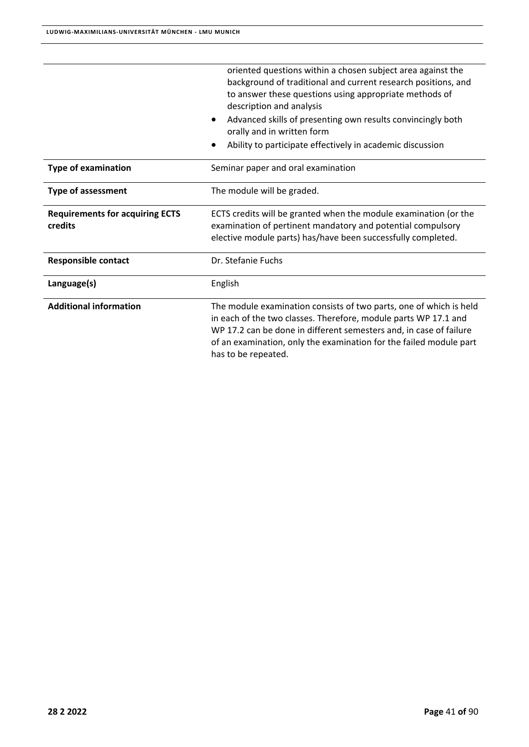|                                                   | oriented questions within a chosen subject area against the<br>background of traditional and current research positions, and<br>to answer these questions using appropriate methods of<br>description and analysis<br>Advanced skills of presenting own results convincingly both<br>$\bullet$<br>orally and in written form<br>Ability to participate effectively in academic discussion<br>٠ |
|---------------------------------------------------|------------------------------------------------------------------------------------------------------------------------------------------------------------------------------------------------------------------------------------------------------------------------------------------------------------------------------------------------------------------------------------------------|
| Type of examination                               | Seminar paper and oral examination                                                                                                                                                                                                                                                                                                                                                             |
| <b>Type of assessment</b>                         | The module will be graded.                                                                                                                                                                                                                                                                                                                                                                     |
| <b>Requirements for acquiring ECTS</b><br>credits | ECTS credits will be granted when the module examination (or the<br>examination of pertinent mandatory and potential compulsory<br>elective module parts) has/have been successfully completed.                                                                                                                                                                                                |
| <b>Responsible contact</b>                        | Dr. Stefanie Fuchs                                                                                                                                                                                                                                                                                                                                                                             |
| Language(s)                                       | English                                                                                                                                                                                                                                                                                                                                                                                        |
| <b>Additional information</b>                     | The module examination consists of two parts, one of which is held<br>in each of the two classes. Therefore, module parts WP 17.1 and<br>WP 17.2 can be done in different semesters and, in case of failure<br>of an examination, only the examination for the failed module part<br>has to be repeated.                                                                                       |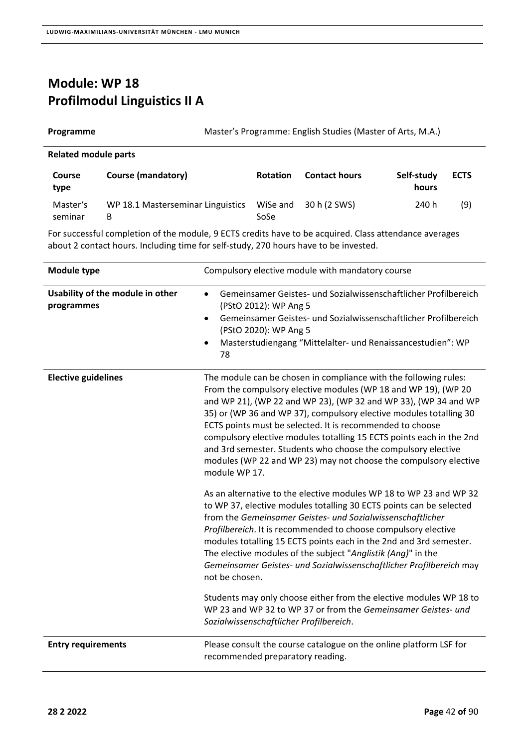### **Module: WP 18 Profilmodul Linguistics II A**

| Programme                   |                           |                 |                      | Master's Programme: English Studies (Master of Arts, M.A.) |             |
|-----------------------------|---------------------------|-----------------|----------------------|------------------------------------------------------------|-------------|
| <b>Related module parts</b> |                           |                 |                      |                                                            |             |
| <b>Course</b>               | <b>Course (mandatory)</b> | <b>Rotation</b> | <b>Contact hours</b> | Self-study                                                 | <b>ECTS</b> |

| type     |                                                         |      | hours |     |
|----------|---------------------------------------------------------|------|-------|-----|
| Master's | WP 18.1 Masterseminar Linguistics WiSe and 30 h (2 SWS) |      | 240 h | (9) |
| seminar  |                                                         | SoSe |       |     |

| Module type                                    | Compulsory elective module with mandatory course                                                                                                                                                                                                                                                                                                                                                                                                                                                                                                                       |
|------------------------------------------------|------------------------------------------------------------------------------------------------------------------------------------------------------------------------------------------------------------------------------------------------------------------------------------------------------------------------------------------------------------------------------------------------------------------------------------------------------------------------------------------------------------------------------------------------------------------------|
| Usability of the module in other<br>programmes | Gemeinsamer Geistes- und Sozialwissenschaftlicher Profilbereich<br>$\bullet$<br>(PStO 2012): WP Ang 5<br>Gemeinsamer Geistes- und Sozialwissenschaftlicher Profilbereich<br>$\bullet$<br>(PStO 2020): WP Ang 5<br>Masterstudiengang "Mittelalter- und Renaissancestudien": WP<br>$\bullet$<br>78                                                                                                                                                                                                                                                                       |
| <b>Elective guidelines</b>                     | The module can be chosen in compliance with the following rules:<br>From the compulsory elective modules (WP 18 and WP 19), (WP 20<br>and WP 21), (WP 22 and WP 23), (WP 32 and WP 33), (WP 34 and WP<br>35) or (WP 36 and WP 37), compulsory elective modules totalling 30<br>ECTS points must be selected. It is recommended to choose<br>compulsory elective modules totalling 15 ECTS points each in the 2nd<br>and 3rd semester. Students who choose the compulsory elective<br>modules (WP 22 and WP 23) may not choose the compulsory elective<br>module WP 17. |
|                                                | As an alternative to the elective modules WP 18 to WP 23 and WP 32<br>to WP 37, elective modules totalling 30 ECTS points can be selected<br>from the Gemeinsamer Geistes- und Sozialwissenschaftlicher<br>Profilbereich. It is recommended to choose compulsory elective<br>modules totalling 15 ECTS points each in the 2nd and 3rd semester.<br>The elective modules of the subject "Anglistik (Ang)" in the<br>Gemeinsamer Geistes- und Sozialwissenschaftlicher Profilbereich may<br>not be chosen.                                                               |
|                                                | Students may only choose either from the elective modules WP 18 to<br>WP 23 and WP 32 to WP 37 or from the Gemeinsamer Geistes- und<br>Sozialwissenschaftlicher Profilbereich.                                                                                                                                                                                                                                                                                                                                                                                         |
| <b>Entry requirements</b>                      | Please consult the course catalogue on the online platform LSF for<br>recommended preparatory reading.                                                                                                                                                                                                                                                                                                                                                                                                                                                                 |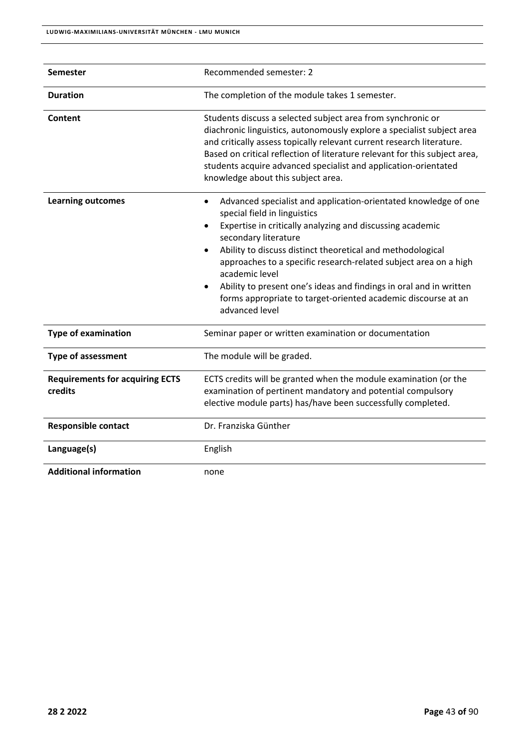| <b>Semester</b>                                   | Recommended semester: 2                                                                                                                                                                                                                                                                                                                                                                                                                                                                                                                  |
|---------------------------------------------------|------------------------------------------------------------------------------------------------------------------------------------------------------------------------------------------------------------------------------------------------------------------------------------------------------------------------------------------------------------------------------------------------------------------------------------------------------------------------------------------------------------------------------------------|
| <b>Duration</b>                                   | The completion of the module takes 1 semester.                                                                                                                                                                                                                                                                                                                                                                                                                                                                                           |
| Content                                           | Students discuss a selected subject area from synchronic or<br>diachronic linguistics, autonomously explore a specialist subject area<br>and critically assess topically relevant current research literature.<br>Based on critical reflection of literature relevant for this subject area,<br>students acquire advanced specialist and application-orientated<br>knowledge about this subject area.                                                                                                                                    |
| <b>Learning outcomes</b>                          | Advanced specialist and application-orientated knowledge of one<br>$\bullet$<br>special field in linguistics<br>Expertise in critically analyzing and discussing academic<br>$\bullet$<br>secondary literature<br>Ability to discuss distinct theoretical and methodological<br>$\bullet$<br>approaches to a specific research-related subject area on a high<br>academic level<br>Ability to present one's ideas and findings in oral and in written<br>forms appropriate to target-oriented academic discourse at an<br>advanced level |
| <b>Type of examination</b>                        | Seminar paper or written examination or documentation                                                                                                                                                                                                                                                                                                                                                                                                                                                                                    |
| <b>Type of assessment</b>                         | The module will be graded.                                                                                                                                                                                                                                                                                                                                                                                                                                                                                                               |
| <b>Requirements for acquiring ECTS</b><br>credits | ECTS credits will be granted when the module examination (or the<br>examination of pertinent mandatory and potential compulsory<br>elective module parts) has/have been successfully completed.                                                                                                                                                                                                                                                                                                                                          |
| <b>Responsible contact</b>                        | Dr. Franziska Günther                                                                                                                                                                                                                                                                                                                                                                                                                                                                                                                    |
| Language(s)                                       | English                                                                                                                                                                                                                                                                                                                                                                                                                                                                                                                                  |
| <b>Additional information</b>                     | none                                                                                                                                                                                                                                                                                                                                                                                                                                                                                                                                     |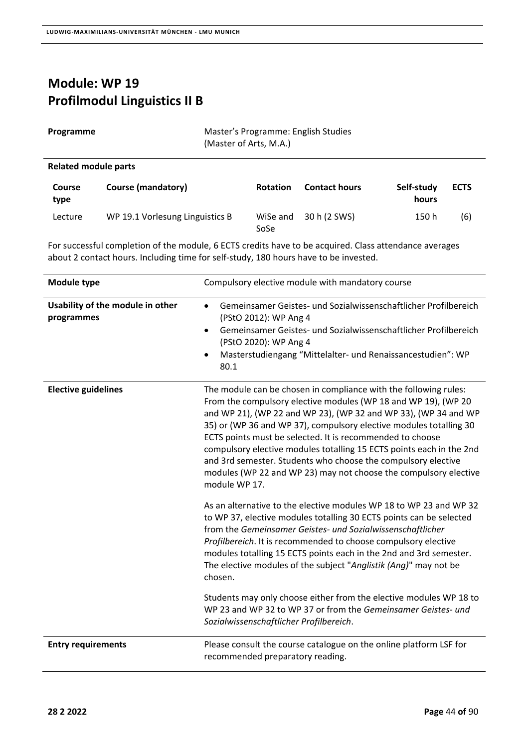# **Module: WP 19 Profilmodul Linguistics II B**

| Programme | Master's Programme: English Studies |
|-----------|-------------------------------------|
|           | (Master of Arts, M.A.)              |

#### **Related module parts**

| <b>Course</b><br>type | Course (mandatory)              | <b>Rotation</b>  | <b>Contact hours</b> | Self-study<br>hours | <b>ECTS</b> |
|-----------------------|---------------------------------|------------------|----------------------|---------------------|-------------|
| Lecture               | WP 19.1 Vorlesung Linguistics B | WiSe and<br>SoSe | 30 h (2 SWS)         | 150 h               | (6)         |

| Module type                                    | Compulsory elective module with mandatory course                                                                                                                                                                                                                                                                                                                                                                                                                                                                                                                       |
|------------------------------------------------|------------------------------------------------------------------------------------------------------------------------------------------------------------------------------------------------------------------------------------------------------------------------------------------------------------------------------------------------------------------------------------------------------------------------------------------------------------------------------------------------------------------------------------------------------------------------|
| Usability of the module in other<br>programmes | Gemeinsamer Geistes- und Sozialwissenschaftlicher Profilbereich<br>$\bullet$<br>(PStO 2012): WP Ang 4<br>Gemeinsamer Geistes- und Sozialwissenschaftlicher Profilbereich<br>$\bullet$<br>(PStO 2020): WP Ang 4<br>Masterstudiengang "Mittelalter- und Renaissancestudien": WP<br>80.1                                                                                                                                                                                                                                                                                  |
| <b>Elective guidelines</b>                     | The module can be chosen in compliance with the following rules:<br>From the compulsory elective modules (WP 18 and WP 19), (WP 20<br>and WP 21), (WP 22 and WP 23), (WP 32 and WP 33), (WP 34 and WP<br>35) or (WP 36 and WP 37), compulsory elective modules totalling 30<br>ECTS points must be selected. It is recommended to choose<br>compulsory elective modules totalling 15 ECTS points each in the 2nd<br>and 3rd semester. Students who choose the compulsory elective<br>modules (WP 22 and WP 23) may not choose the compulsory elective<br>module WP 17. |
|                                                | As an alternative to the elective modules WP 18 to WP 23 and WP 32<br>to WP 37, elective modules totalling 30 ECTS points can be selected<br>from the Gemeinsamer Geistes- und Sozialwissenschaftlicher<br>Profilbereich. It is recommended to choose compulsory elective<br>modules totalling 15 ECTS points each in the 2nd and 3rd semester.<br>The elective modules of the subject "Anglistik (Ang)" may not be<br>chosen.                                                                                                                                         |
|                                                | Students may only choose either from the elective modules WP 18 to<br>WP 23 and WP 32 to WP 37 or from the Gemeinsamer Geistes- und<br>Sozialwissenschaftlicher Profilbereich.                                                                                                                                                                                                                                                                                                                                                                                         |
| <b>Entry requirements</b>                      | Please consult the course catalogue on the online platform LSF for<br>recommended preparatory reading.                                                                                                                                                                                                                                                                                                                                                                                                                                                                 |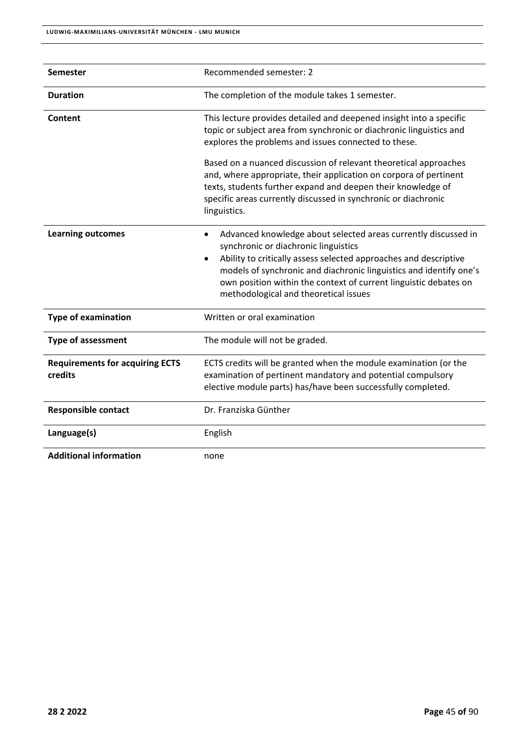| <b>Semester</b>                                   | Recommended semester: 2                                                                                                                                                                                                                                                                                                                                                 |
|---------------------------------------------------|-------------------------------------------------------------------------------------------------------------------------------------------------------------------------------------------------------------------------------------------------------------------------------------------------------------------------------------------------------------------------|
| <b>Duration</b>                                   | The completion of the module takes 1 semester.                                                                                                                                                                                                                                                                                                                          |
| Content                                           | This lecture provides detailed and deepened insight into a specific<br>topic or subject area from synchronic or diachronic linguistics and<br>explores the problems and issues connected to these.                                                                                                                                                                      |
|                                                   | Based on a nuanced discussion of relevant theoretical approaches<br>and, where appropriate, their application on corpora of pertinent<br>texts, students further expand and deepen their knowledge of<br>specific areas currently discussed in synchronic or diachronic<br>linguistics.                                                                                 |
| <b>Learning outcomes</b>                          | Advanced knowledge about selected areas currently discussed in<br>٠<br>synchronic or diachronic linguistics<br>Ability to critically assess selected approaches and descriptive<br>٠<br>models of synchronic and diachronic linguistics and identify one's<br>own position within the context of current linguistic debates on<br>methodological and theoretical issues |
| <b>Type of examination</b>                        | Written or oral examination                                                                                                                                                                                                                                                                                                                                             |
| <b>Type of assessment</b>                         | The module will not be graded.                                                                                                                                                                                                                                                                                                                                          |
| <b>Requirements for acquiring ECTS</b><br>credits | ECTS credits will be granted when the module examination (or the<br>examination of pertinent mandatory and potential compulsory<br>elective module parts) has/have been successfully completed.                                                                                                                                                                         |
| <b>Responsible contact</b>                        | Dr. Franziska Günther                                                                                                                                                                                                                                                                                                                                                   |
| Language(s)                                       | English                                                                                                                                                                                                                                                                                                                                                                 |
| <b>Additional information</b>                     | none                                                                                                                                                                                                                                                                                                                                                                    |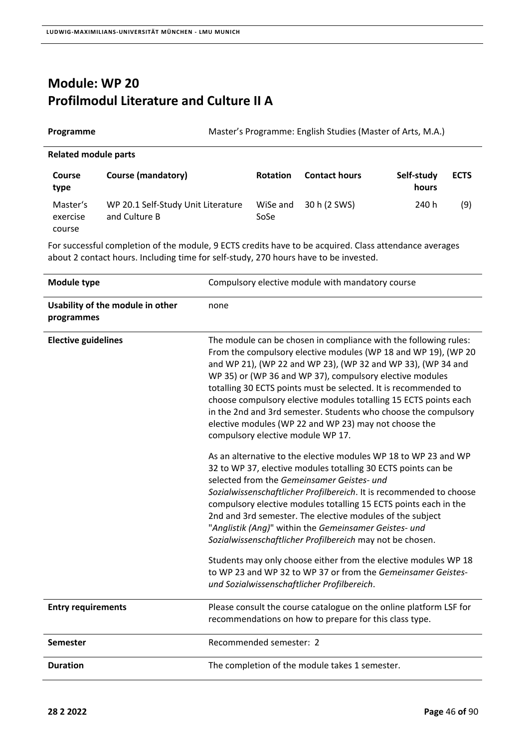#### **Module: WP 20 Profilmodul Literature and Culture II A**

| Programme                      | Master's Programme: English Studies (Master of Arts, M.A.) |                  |                      |                     |             |
|--------------------------------|------------------------------------------------------------|------------------|----------------------|---------------------|-------------|
| <b>Related module parts</b>    |                                                            |                  |                      |                     |             |
| <b>Course</b><br>type          | <b>Course (mandatory)</b>                                  | <b>Rotation</b>  | <b>Contact hours</b> | Self-study<br>hours | <b>ECTS</b> |
| Master's<br>exercise<br>course | WP 20.1 Self-Study Unit Literature<br>and Culture B        | WiSe and<br>SoSe | 30 h (2 SWS)         | 240 h               | (9)         |

| Module type                                    | Compulsory elective module with mandatory course                                                                                                                                                                                                                                                                                                                                                                                                                                                                                                                       |
|------------------------------------------------|------------------------------------------------------------------------------------------------------------------------------------------------------------------------------------------------------------------------------------------------------------------------------------------------------------------------------------------------------------------------------------------------------------------------------------------------------------------------------------------------------------------------------------------------------------------------|
| Usability of the module in other<br>programmes | none                                                                                                                                                                                                                                                                                                                                                                                                                                                                                                                                                                   |
| <b>Elective guidelines</b>                     | The module can be chosen in compliance with the following rules:<br>From the compulsory elective modules (WP 18 and WP 19), (WP 20<br>and WP 21), (WP 22 and WP 23), (WP 32 and WP 33), (WP 34 and<br>WP 35) or (WP 36 and WP 37), compulsory elective modules<br>totalling 30 ECTS points must be selected. It is recommended to<br>choose compulsory elective modules totalling 15 ECTS points each<br>in the 2nd and 3rd semester. Students who choose the compulsory<br>elective modules (WP 22 and WP 23) may not choose the<br>compulsory elective module WP 17. |
|                                                | As an alternative to the elective modules WP 18 to WP 23 and WP<br>32 to WP 37, elective modules totalling 30 ECTS points can be<br>selected from the Gemeinsamer Geistes- und<br>Sozialwissenschaftlicher Profilbereich. It is recommended to choose<br>compulsory elective modules totalling 15 ECTS points each in the<br>2nd and 3rd semester. The elective modules of the subject<br>"Anglistik (Ang)" within the Gemeinsamer Geistes- und<br>Sozialwissenschaftlicher Profilbereich may not be chosen.                                                           |
|                                                | Students may only choose either from the elective modules WP 18<br>to WP 23 and WP 32 to WP 37 or from the Gemeinsamer Geistes-<br>und Sozialwissenschaftlicher Profilbereich.                                                                                                                                                                                                                                                                                                                                                                                         |
| <b>Entry requirements</b>                      | Please consult the course catalogue on the online platform LSF for<br>recommendations on how to prepare for this class type.                                                                                                                                                                                                                                                                                                                                                                                                                                           |
| <b>Semester</b>                                | Recommended semester: 2                                                                                                                                                                                                                                                                                                                                                                                                                                                                                                                                                |
| <b>Duration</b>                                | The completion of the module takes 1 semester.                                                                                                                                                                                                                                                                                                                                                                                                                                                                                                                         |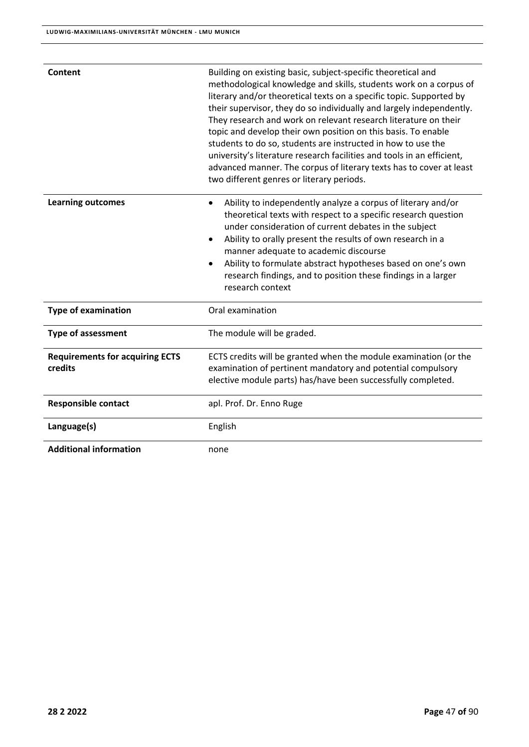| Content                                           | Building on existing basic, subject-specific theoretical and<br>methodological knowledge and skills, students work on a corpus of<br>literary and/or theoretical texts on a specific topic. Supported by<br>their supervisor, they do so individually and largely independently.<br>They research and work on relevant research literature on their<br>topic and develop their own position on this basis. To enable<br>students to do so, students are instructed in how to use the<br>university's literature research facilities and tools in an efficient,<br>advanced manner. The corpus of literary texts has to cover at least<br>two different genres or literary periods. |
|---------------------------------------------------|------------------------------------------------------------------------------------------------------------------------------------------------------------------------------------------------------------------------------------------------------------------------------------------------------------------------------------------------------------------------------------------------------------------------------------------------------------------------------------------------------------------------------------------------------------------------------------------------------------------------------------------------------------------------------------|
| <b>Learning outcomes</b>                          | Ability to independently analyze a corpus of literary and/or<br>theoretical texts with respect to a specific research question<br>under consideration of current debates in the subject<br>Ability to orally present the results of own research in a<br>$\bullet$<br>manner adequate to academic discourse<br>Ability to formulate abstract hypotheses based on one's own<br>research findings, and to position these findings in a larger<br>research context                                                                                                                                                                                                                    |
| <b>Type of examination</b>                        | Oral examination                                                                                                                                                                                                                                                                                                                                                                                                                                                                                                                                                                                                                                                                   |
| <b>Type of assessment</b>                         | The module will be graded.                                                                                                                                                                                                                                                                                                                                                                                                                                                                                                                                                                                                                                                         |
| <b>Requirements for acquiring ECTS</b><br>credits | ECTS credits will be granted when the module examination (or the<br>examination of pertinent mandatory and potential compulsory<br>elective module parts) has/have been successfully completed.                                                                                                                                                                                                                                                                                                                                                                                                                                                                                    |
| <b>Responsible contact</b>                        | apl. Prof. Dr. Enno Ruge                                                                                                                                                                                                                                                                                                                                                                                                                                                                                                                                                                                                                                                           |
| Language(s)                                       | English                                                                                                                                                                                                                                                                                                                                                                                                                                                                                                                                                                                                                                                                            |
| <b>Additional information</b>                     | none                                                                                                                                                                                                                                                                                                                                                                                                                                                                                                                                                                                                                                                                               |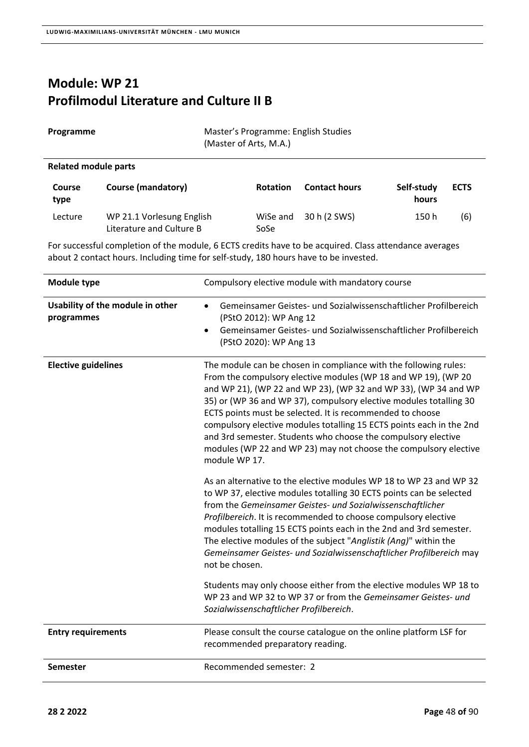#### **Module: WP 21 Profilmodul Literature and Culture II B**

| Programme | Master's Programme: English Studies<br>(Master of Arts, M.A.) |  |
|-----------|---------------------------------------------------------------|--|

#### **Related module parts**

| <b>Course</b><br>type | Course (mandatory)                                    | <b>Rotation</b>  | <b>Contact hours</b> | Self-study<br>hours | <b>ECTS</b> |
|-----------------------|-------------------------------------------------------|------------------|----------------------|---------------------|-------------|
| Lecture               | WP 21.1 Vorlesung English<br>Literature and Culture B | WiSe and<br>SoSe | 30 h (2 SWS)         | 150 h               | (6)         |

| Module type                                    | Compulsory elective module with mandatory course                                                                                                                                                                                                                                                                                                                                                                                                                                                                                                                       |
|------------------------------------------------|------------------------------------------------------------------------------------------------------------------------------------------------------------------------------------------------------------------------------------------------------------------------------------------------------------------------------------------------------------------------------------------------------------------------------------------------------------------------------------------------------------------------------------------------------------------------|
| Usability of the module in other<br>programmes | Gemeinsamer Geistes- und Sozialwissenschaftlicher Profilbereich<br>$\bullet$<br>(PStO 2012): WP Ang 12<br>Gemeinsamer Geistes- und Sozialwissenschaftlicher Profilbereich<br>$\bullet$<br>(PStO 2020): WP Ang 13                                                                                                                                                                                                                                                                                                                                                       |
| <b>Elective guidelines</b>                     | The module can be chosen in compliance with the following rules:<br>From the compulsory elective modules (WP 18 and WP 19), (WP 20<br>and WP 21), (WP 22 and WP 23), (WP 32 and WP 33), (WP 34 and WP<br>35) or (WP 36 and WP 37), compulsory elective modules totalling 30<br>ECTS points must be selected. It is recommended to choose<br>compulsory elective modules totalling 15 ECTS points each in the 2nd<br>and 3rd semester. Students who choose the compulsory elective<br>modules (WP 22 and WP 23) may not choose the compulsory elective<br>module WP 17. |
|                                                | As an alternative to the elective modules WP 18 to WP 23 and WP 32<br>to WP 37, elective modules totalling 30 ECTS points can be selected<br>from the Gemeinsamer Geistes- und Sozialwissenschaftlicher<br>Profilbereich. It is recommended to choose compulsory elective<br>modules totalling 15 ECTS points each in the 2nd and 3rd semester.<br>The elective modules of the subject "Anglistik (Ang)" within the<br>Gemeinsamer Geistes- und Sozialwissenschaftlicher Profilbereich may<br>not be chosen.                                                           |
|                                                | Students may only choose either from the elective modules WP 18 to<br>WP 23 and WP 32 to WP 37 or from the Gemeinsamer Geistes- und<br>Sozialwissenschaftlicher Profilbereich.                                                                                                                                                                                                                                                                                                                                                                                         |
| <b>Entry requirements</b>                      | Please consult the course catalogue on the online platform LSF for<br>recommended preparatory reading.                                                                                                                                                                                                                                                                                                                                                                                                                                                                 |
| <b>Semester</b>                                | Recommended semester: 2                                                                                                                                                                                                                                                                                                                                                                                                                                                                                                                                                |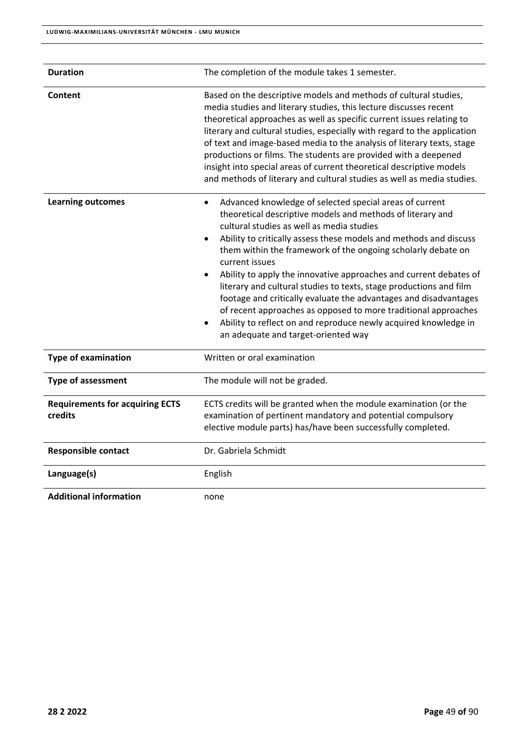| <b>Duration</b>                                   | The completion of the module takes 1 semester.                                                                                                                                                                                                                                                                                                                                                                                                                                                                                                                                                                                                                                                                                    |
|---------------------------------------------------|-----------------------------------------------------------------------------------------------------------------------------------------------------------------------------------------------------------------------------------------------------------------------------------------------------------------------------------------------------------------------------------------------------------------------------------------------------------------------------------------------------------------------------------------------------------------------------------------------------------------------------------------------------------------------------------------------------------------------------------|
| <b>Content</b>                                    | Based on the descriptive models and methods of cultural studies,<br>media studies and literary studies, this lecture discusses recent<br>theoretical approaches as well as specific current issues relating to<br>literary and cultural studies, especially with regard to the application<br>of text and image-based media to the analysis of literary texts, stage<br>productions or films. The students are provided with a deepened<br>insight into special areas of current theoretical descriptive models<br>and methods of literary and cultural studies as well as media studies.                                                                                                                                         |
| <b>Learning outcomes</b>                          | Advanced knowledge of selected special areas of current<br>$\bullet$<br>theoretical descriptive models and methods of literary and<br>cultural studies as well as media studies<br>Ability to critically assess these models and methods and discuss<br>them within the framework of the ongoing scholarly debate on<br>current issues<br>Ability to apply the innovative approaches and current debates of<br>literary and cultural studies to texts, stage productions and film<br>footage and critically evaluate the advantages and disadvantages<br>of recent approaches as opposed to more traditional approaches<br>Ability to reflect on and reproduce newly acquired knowledge in<br>an adequate and target-oriented way |
| <b>Type of examination</b>                        | Written or oral examination                                                                                                                                                                                                                                                                                                                                                                                                                                                                                                                                                                                                                                                                                                       |
| <b>Type of assessment</b>                         | The module will not be graded.                                                                                                                                                                                                                                                                                                                                                                                                                                                                                                                                                                                                                                                                                                    |
| <b>Requirements for acquiring ECTS</b><br>credits | ECTS credits will be granted when the module examination (or the<br>examination of pertinent mandatory and potential compulsory<br>elective module parts) has/have been successfully completed.                                                                                                                                                                                                                                                                                                                                                                                                                                                                                                                                   |
| <b>Responsible contact</b>                        | Dr. Gabriela Schmidt                                                                                                                                                                                                                                                                                                                                                                                                                                                                                                                                                                                                                                                                                                              |
| Language(s)                                       | English                                                                                                                                                                                                                                                                                                                                                                                                                                                                                                                                                                                                                                                                                                                           |
| <b>Additional information</b>                     | none                                                                                                                                                                                                                                                                                                                                                                                                                                                                                                                                                                                                                                                                                                                              |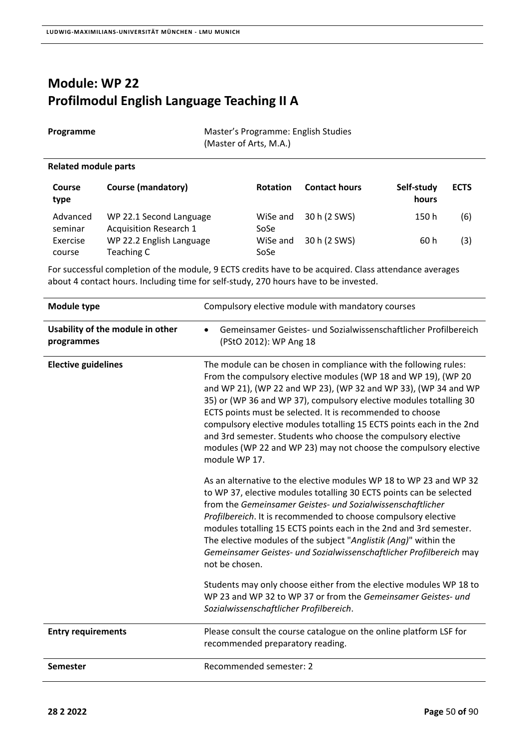#### **Module: WP 22 Profilmodul English Language Teaching II A**

**Programme Master's Programme: English Studies** (Master of Arts, M.A.)

#### **Related module parts**

| <b>Course</b><br>type | <b>Course (mandatory)</b>                                | <b>Rotation</b>  | <b>Contact hours</b> | Self-study<br>hours | <b>ECTS</b> |
|-----------------------|----------------------------------------------------------|------------------|----------------------|---------------------|-------------|
| Advanced<br>seminar   | WP 22.1 Second Language<br><b>Acquisition Research 1</b> | WiSe and<br>SoSe | 30 h (2 SWS)         | 150 h               | (6)         |
| Exercise<br>course    | WP 22.2 English Language<br>Teaching C                   | WiSe and<br>SoSe | 30 h (2 SWS)         | 60 h                | (3)         |

| <b>Module type</b>                             | Compulsory elective module with mandatory courses                                                                                                                                                                                                                                                                                                                                                                                                                                                                                                                      |
|------------------------------------------------|------------------------------------------------------------------------------------------------------------------------------------------------------------------------------------------------------------------------------------------------------------------------------------------------------------------------------------------------------------------------------------------------------------------------------------------------------------------------------------------------------------------------------------------------------------------------|
| Usability of the module in other<br>programmes | Gemeinsamer Geistes- und Sozialwissenschaftlicher Profilbereich<br>(PStO 2012): WP Ang 18                                                                                                                                                                                                                                                                                                                                                                                                                                                                              |
| <b>Elective guidelines</b>                     | The module can be chosen in compliance with the following rules:<br>From the compulsory elective modules (WP 18 and WP 19), (WP 20<br>and WP 21), (WP 22 and WP 23), (WP 32 and WP 33), (WP 34 and WP<br>35) or (WP 36 and WP 37), compulsory elective modules totalling 30<br>ECTS points must be selected. It is recommended to choose<br>compulsory elective modules totalling 15 ECTS points each in the 2nd<br>and 3rd semester. Students who choose the compulsory elective<br>modules (WP 22 and WP 23) may not choose the compulsory elective<br>module WP 17. |
|                                                | As an alternative to the elective modules WP 18 to WP 23 and WP 32<br>to WP 37, elective modules totalling 30 ECTS points can be selected<br>from the Gemeinsamer Geistes- und Sozialwissenschaftlicher<br>Profilbereich. It is recommended to choose compulsory elective<br>modules totalling 15 ECTS points each in the 2nd and 3rd semester.<br>The elective modules of the subject "Anglistik (Ang)" within the<br>Gemeinsamer Geistes- und Sozialwissenschaftlicher Profilbereich may<br>not be chosen.                                                           |
|                                                | Students may only choose either from the elective modules WP 18 to<br>WP 23 and WP 32 to WP 37 or from the Gemeinsamer Geistes- und<br>Sozialwissenschaftlicher Profilbereich.                                                                                                                                                                                                                                                                                                                                                                                         |
| <b>Entry requirements</b>                      | Please consult the course catalogue on the online platform LSF for<br>recommended preparatory reading.                                                                                                                                                                                                                                                                                                                                                                                                                                                                 |
| Semester                                       | Recommended semester: 2                                                                                                                                                                                                                                                                                                                                                                                                                                                                                                                                                |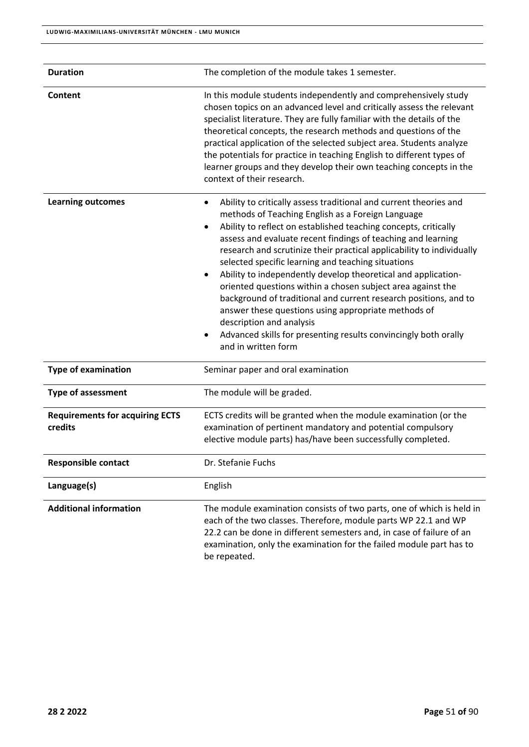| <b>Duration</b>                                   | The completion of the module takes 1 semester.                                                                                                                                                                                                                                                                                                                                                                                                                                                                                                                                                                                                                                                                                                                                 |
|---------------------------------------------------|--------------------------------------------------------------------------------------------------------------------------------------------------------------------------------------------------------------------------------------------------------------------------------------------------------------------------------------------------------------------------------------------------------------------------------------------------------------------------------------------------------------------------------------------------------------------------------------------------------------------------------------------------------------------------------------------------------------------------------------------------------------------------------|
| Content                                           | In this module students independently and comprehensively study<br>chosen topics on an advanced level and critically assess the relevant<br>specialist literature. They are fully familiar with the details of the<br>theoretical concepts, the research methods and questions of the<br>practical application of the selected subject area. Students analyze<br>the potentials for practice in teaching English to different types of<br>learner groups and they develop their own teaching concepts in the<br>context of their research.                                                                                                                                                                                                                                     |
| <b>Learning outcomes</b>                          | Ability to critically assess traditional and current theories and<br>٠<br>methods of Teaching English as a Foreign Language<br>Ability to reflect on established teaching concepts, critically<br>assess and evaluate recent findings of teaching and learning<br>research and scrutinize their practical applicability to individually<br>selected specific learning and teaching situations<br>Ability to independently develop theoretical and application-<br>oriented questions within a chosen subject area against the<br>background of traditional and current research positions, and to<br>answer these questions using appropriate methods of<br>description and analysis<br>Advanced skills for presenting results convincingly both orally<br>and in written form |
| <b>Type of examination</b>                        | Seminar paper and oral examination                                                                                                                                                                                                                                                                                                                                                                                                                                                                                                                                                                                                                                                                                                                                             |
| <b>Type of assessment</b>                         | The module will be graded.                                                                                                                                                                                                                                                                                                                                                                                                                                                                                                                                                                                                                                                                                                                                                     |
| <b>Requirements for acquiring ECTS</b><br>credits | ECTS credits will be granted when the module examination (or the<br>examination of pertinent mandatory and potential compulsory<br>elective module parts) has/have been successfully completed.                                                                                                                                                                                                                                                                                                                                                                                                                                                                                                                                                                                |
| <b>Responsible contact</b>                        | Dr. Stefanie Fuchs                                                                                                                                                                                                                                                                                                                                                                                                                                                                                                                                                                                                                                                                                                                                                             |
| Language(s)                                       | English                                                                                                                                                                                                                                                                                                                                                                                                                                                                                                                                                                                                                                                                                                                                                                        |
| <b>Additional information</b>                     | The module examination consists of two parts, one of which is held in<br>each of the two classes. Therefore, module parts WP 22.1 and WP<br>22.2 can be done in different semesters and, in case of failure of an<br>examination, only the examination for the failed module part has to<br>be repeated.                                                                                                                                                                                                                                                                                                                                                                                                                                                                       |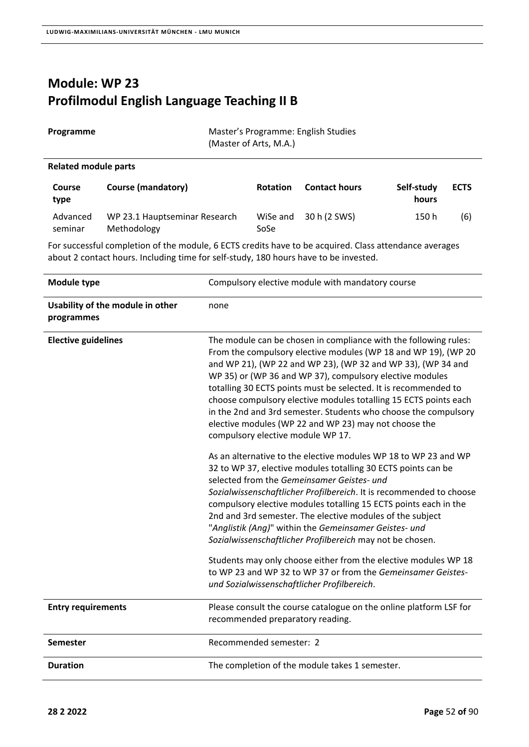# **Module: WP 23 Profilmodul English Language Teaching II B**

| Programme                   |                                              | Master's Programme: English Studies<br>(Master of Arts, M.A.) |                      |                     |             |
|-----------------------------|----------------------------------------------|---------------------------------------------------------------|----------------------|---------------------|-------------|
| <b>Related module parts</b> |                                              |                                                               |                      |                     |             |
| <b>Course</b><br>type       | Course (mandatory)                           | <b>Rotation</b>                                               | <b>Contact hours</b> | Self-study<br>hours | <b>ECTS</b> |
| Advanced<br>seminar         | WP 23.1 Hauptseminar Research<br>Methodology | WiSe and<br>SoSe                                              | 30 h (2 SWS)         | 150 h               | (6)         |

| Module type                                    | Compulsory elective module with mandatory course                                                                                                                                                                                                                                                                                                                                                                                                                                                                                                                       |
|------------------------------------------------|------------------------------------------------------------------------------------------------------------------------------------------------------------------------------------------------------------------------------------------------------------------------------------------------------------------------------------------------------------------------------------------------------------------------------------------------------------------------------------------------------------------------------------------------------------------------|
| Usability of the module in other<br>programmes | none                                                                                                                                                                                                                                                                                                                                                                                                                                                                                                                                                                   |
| <b>Elective guidelines</b>                     | The module can be chosen in compliance with the following rules:<br>From the compulsory elective modules (WP 18 and WP 19), (WP 20<br>and WP 21), (WP 22 and WP 23), (WP 32 and WP 33), (WP 34 and<br>WP 35) or (WP 36 and WP 37), compulsory elective modules<br>totalling 30 ECTS points must be selected. It is recommended to<br>choose compulsory elective modules totalling 15 ECTS points each<br>in the 2nd and 3rd semester. Students who choose the compulsory<br>elective modules (WP 22 and WP 23) may not choose the<br>compulsory elective module WP 17. |
|                                                | As an alternative to the elective modules WP 18 to WP 23 and WP<br>32 to WP 37, elective modules totalling 30 ECTS points can be<br>selected from the Gemeinsamer Geistes- und<br>Sozialwissenschaftlicher Profilbereich. It is recommended to choose<br>compulsory elective modules totalling 15 ECTS points each in the<br>2nd and 3rd semester. The elective modules of the subject<br>"Anglistik (Ang)" within the Gemeinsamer Geistes- und<br>Sozialwissenschaftlicher Profilbereich may not be chosen.                                                           |
|                                                | Students may only choose either from the elective modules WP 18<br>to WP 23 and WP 32 to WP 37 or from the Gemeinsamer Geistes-<br>und Sozialwissenschaftlicher Profilbereich.                                                                                                                                                                                                                                                                                                                                                                                         |
| <b>Entry requirements</b>                      | Please consult the course catalogue on the online platform LSF for<br>recommended preparatory reading.                                                                                                                                                                                                                                                                                                                                                                                                                                                                 |
| <b>Semester</b>                                | Recommended semester: 2                                                                                                                                                                                                                                                                                                                                                                                                                                                                                                                                                |
| <b>Duration</b>                                | The completion of the module takes 1 semester.                                                                                                                                                                                                                                                                                                                                                                                                                                                                                                                         |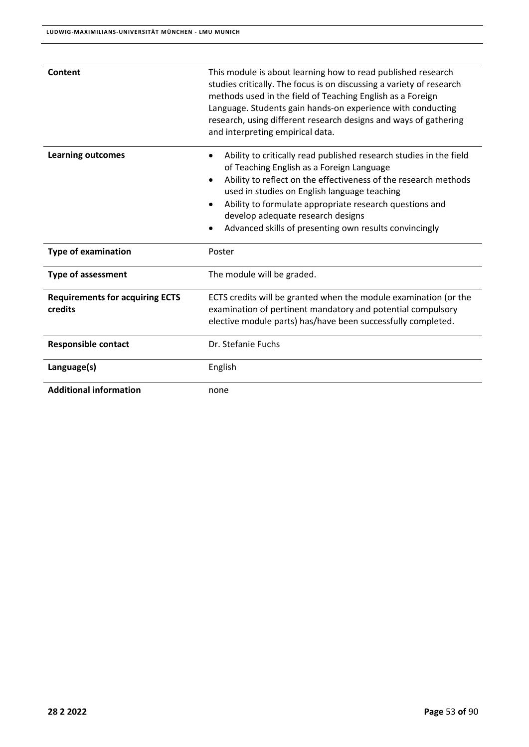| Content                                           | This module is about learning how to read published research<br>studies critically. The focus is on discussing a variety of research<br>methods used in the field of Teaching English as a Foreign<br>Language. Students gain hands-on experience with conducting<br>research, using different research designs and ways of gathering<br>and interpreting empirical data.                                              |
|---------------------------------------------------|------------------------------------------------------------------------------------------------------------------------------------------------------------------------------------------------------------------------------------------------------------------------------------------------------------------------------------------------------------------------------------------------------------------------|
| <b>Learning outcomes</b>                          | Ability to critically read published research studies in the field<br>$\bullet$<br>of Teaching English as a Foreign Language<br>Ability to reflect on the effectiveness of the research methods<br>$\bullet$<br>used in studies on English language teaching<br>Ability to formulate appropriate research questions and<br>develop adequate research designs<br>Advanced skills of presenting own results convincingly |
| <b>Type of examination</b>                        | Poster                                                                                                                                                                                                                                                                                                                                                                                                                 |
| <b>Type of assessment</b>                         | The module will be graded.                                                                                                                                                                                                                                                                                                                                                                                             |
| <b>Requirements for acquiring ECTS</b><br>credits | ECTS credits will be granted when the module examination (or the<br>examination of pertinent mandatory and potential compulsory<br>elective module parts) has/have been successfully completed.                                                                                                                                                                                                                        |
| <b>Responsible contact</b>                        | Dr. Stefanie Fuchs                                                                                                                                                                                                                                                                                                                                                                                                     |
| Language(s)                                       | English                                                                                                                                                                                                                                                                                                                                                                                                                |
| <b>Additional information</b>                     | none                                                                                                                                                                                                                                                                                                                                                                                                                   |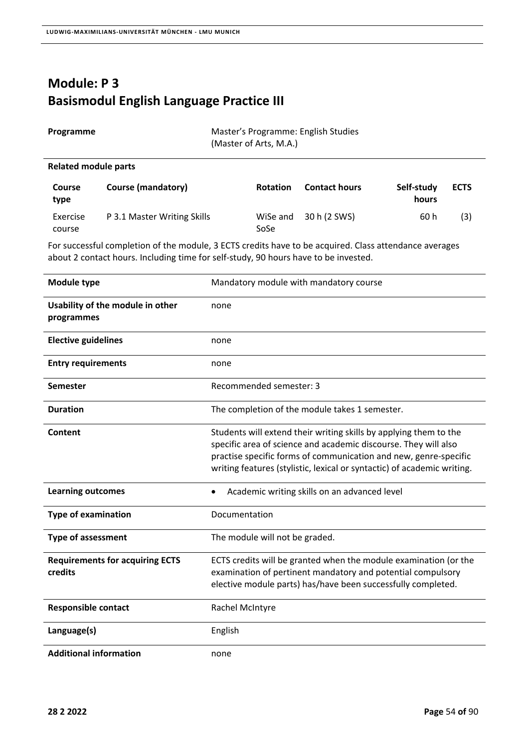# **Module: P 3 Basismodul English Language Practice III**

| Programme |  |  |
|-----------|--|--|
|-----------|--|--|

**Master's Programme: English Studies** (Master of Arts, M.A.)

#### **Related module parts**

| <b>Course</b><br>type | Course (mandatory)          | <b>Rotation</b>  | <b>Contact hours</b> | Self-study<br>hours | <b>ECTS</b> |
|-----------------------|-----------------------------|------------------|----------------------|---------------------|-------------|
| Exercise<br>course    | P 3.1 Master Writing Skills | WiSe and<br>SoSe | 30 h (2 SWS)         | 60 h                | (3)         |

| Module type                                       | Mandatory module with mandatory course                                                                                                                                                                                                                                              |
|---------------------------------------------------|-------------------------------------------------------------------------------------------------------------------------------------------------------------------------------------------------------------------------------------------------------------------------------------|
| Usability of the module in other<br>programmes    | none                                                                                                                                                                                                                                                                                |
| <b>Elective guidelines</b>                        | none                                                                                                                                                                                                                                                                                |
| <b>Entry requirements</b>                         | none                                                                                                                                                                                                                                                                                |
| <b>Semester</b>                                   | Recommended semester: 3                                                                                                                                                                                                                                                             |
| <b>Duration</b>                                   | The completion of the module takes 1 semester.                                                                                                                                                                                                                                      |
| Content                                           | Students will extend their writing skills by applying them to the<br>specific area of science and academic discourse. They will also<br>practise specific forms of communication and new, genre-specific<br>writing features (stylistic, lexical or syntactic) of academic writing. |
| <b>Learning outcomes</b>                          | Academic writing skills on an advanced level                                                                                                                                                                                                                                        |
| <b>Type of examination</b>                        | Documentation                                                                                                                                                                                                                                                                       |
| <b>Type of assessment</b>                         | The module will not be graded.                                                                                                                                                                                                                                                      |
| <b>Requirements for acquiring ECTS</b><br>credits | ECTS credits will be granted when the module examination (or the<br>examination of pertinent mandatory and potential compulsory<br>elective module parts) has/have been successfully completed.                                                                                     |
| <b>Responsible contact</b>                        | Rachel McIntyre                                                                                                                                                                                                                                                                     |
| Language(s)                                       | English                                                                                                                                                                                                                                                                             |
| <b>Additional information</b>                     | none                                                                                                                                                                                                                                                                                |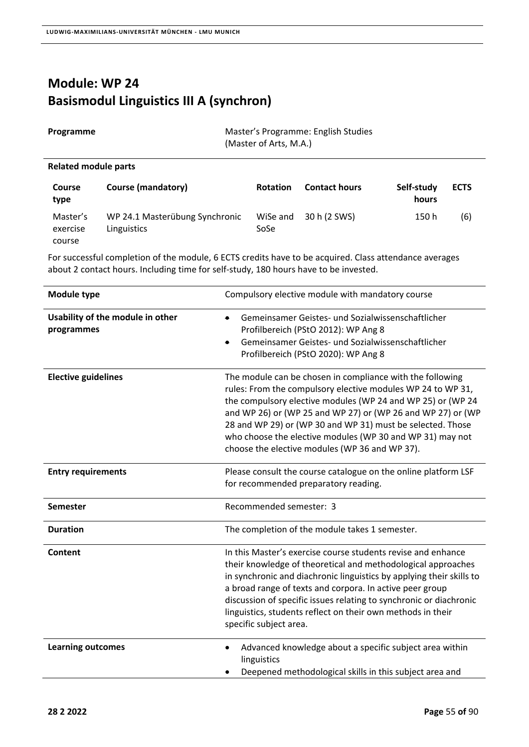### **Module: WP 24 Basismodul Linguistics III A (synchron)**

| Programme                   | Master's Programme: English Studies<br>(Master of Arts, M.A.) |                  |                      |                     |             |
|-----------------------------|---------------------------------------------------------------|------------------|----------------------|---------------------|-------------|
| <b>Related module parts</b> |                                                               |                  |                      |                     |             |
| <b>Course</b><br>type       | Course (mandatory)                                            | <b>Rotation</b>  | <b>Contact hours</b> | Self-study<br>hours | <b>ECTS</b> |
| Master's<br>exercise        | WP 24.1 Masterübung Synchronic<br>Linguistics                 | WiSe and<br>SoSe | 30 h (2 SWS)         | 150 h               | (6)         |

For successful completion of the module, 6 ECTS credits have to be acquired. Class attendance averages about 2 contact hours. Including time for self‐study, 180 hours have to be invested.

| Module type                                    | Compulsory elective module with mandatory course                                                                                                                                                                                                                                                                                                                                                                                    |
|------------------------------------------------|-------------------------------------------------------------------------------------------------------------------------------------------------------------------------------------------------------------------------------------------------------------------------------------------------------------------------------------------------------------------------------------------------------------------------------------|
| Usability of the module in other<br>programmes | Gemeinsamer Geistes- und Sozialwissenschaftlicher<br>Profilbereich (PStO 2012): WP Ang 8<br>Gemeinsamer Geistes- und Sozialwissenschaftlicher<br>$\bullet$<br>Profilbereich (PStO 2020): WP Ang 8                                                                                                                                                                                                                                   |
| <b>Elective guidelines</b>                     | The module can be chosen in compliance with the following<br>rules: From the compulsory elective modules WP 24 to WP 31,<br>the compulsory elective modules (WP 24 and WP 25) or (WP 24<br>and WP 26) or (WP 25 and WP 27) or (WP 26 and WP 27) or (WP<br>28 and WP 29) or (WP 30 and WP 31) must be selected. Those<br>who choose the elective modules (WP 30 and WP 31) may not<br>choose the elective modules (WP 36 and WP 37). |
| <b>Entry requirements</b>                      | Please consult the course catalogue on the online platform LSF<br>for recommended preparatory reading.                                                                                                                                                                                                                                                                                                                              |
| <b>Semester</b>                                | Recommended semester: 3                                                                                                                                                                                                                                                                                                                                                                                                             |
| <b>Duration</b>                                | The completion of the module takes 1 semester.                                                                                                                                                                                                                                                                                                                                                                                      |
| Content                                        | In this Master's exercise course students revise and enhance<br>their knowledge of theoretical and methodological approaches<br>in synchronic and diachronic linguistics by applying their skills to<br>a broad range of texts and corpora. In active peer group<br>discussion of specific issues relating to synchronic or diachronic<br>linguistics, students reflect on their own methods in their<br>specific subject area.     |
| <b>Learning outcomes</b>                       | Advanced knowledge about a specific subject area within<br>linguistics<br>Deepened methodological skills in this subject area and                                                                                                                                                                                                                                                                                                   |

course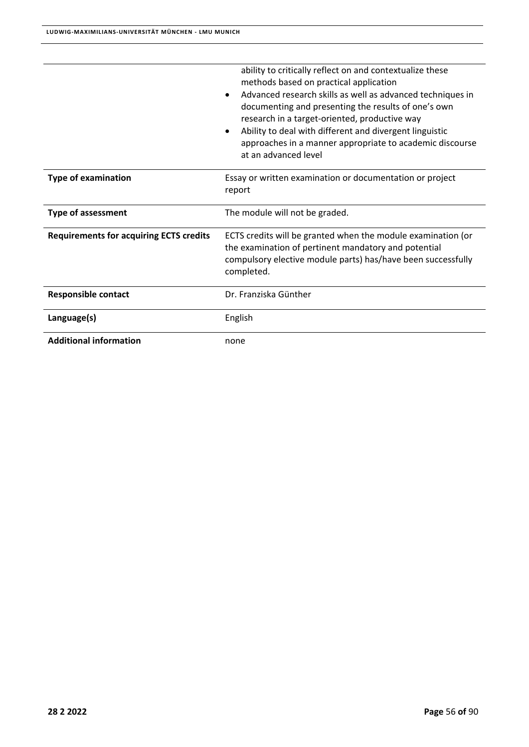|                                                | ability to critically reflect on and contextualize these<br>methods based on practical application<br>Advanced research skills as well as advanced techniques in<br>documenting and presenting the results of one's own<br>research in a target-oriented, productive way<br>Ability to deal with different and divergent linguistic<br>approaches in a manner appropriate to academic discourse<br>at an advanced level |
|------------------------------------------------|-------------------------------------------------------------------------------------------------------------------------------------------------------------------------------------------------------------------------------------------------------------------------------------------------------------------------------------------------------------------------------------------------------------------------|
| <b>Type of examination</b>                     | Essay or written examination or documentation or project<br>report                                                                                                                                                                                                                                                                                                                                                      |
| <b>Type of assessment</b>                      | The module will not be graded.                                                                                                                                                                                                                                                                                                                                                                                          |
| <b>Requirements for acquiring ECTS credits</b> | ECTS credits will be granted when the module examination (or<br>the examination of pertinent mandatory and potential<br>compulsory elective module parts) has/have been successfully<br>completed.                                                                                                                                                                                                                      |
| <b>Responsible contact</b>                     | Dr. Franziska Günther                                                                                                                                                                                                                                                                                                                                                                                                   |
| Language(s)                                    | English                                                                                                                                                                                                                                                                                                                                                                                                                 |
| <b>Additional information</b>                  | none                                                                                                                                                                                                                                                                                                                                                                                                                    |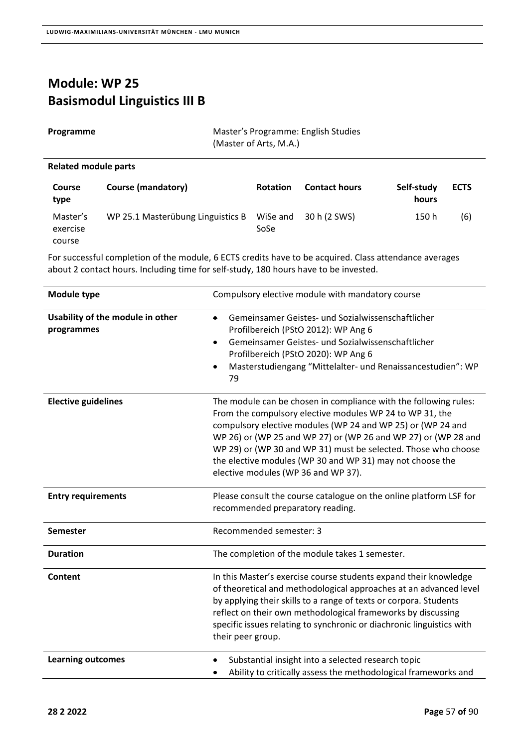#### **Module: WP 25 Basismodul Linguistics III B**

| Programme |
|-----------|
|-----------|

**Master's Programme: English Studies** (Master of Arts, M.A.)

#### **Related module parts**

| <b>Course</b><br>type          | <b>Course (mandatory)</b>         | <b>Rotation</b>  | <b>Contact hours</b> | Self-study<br>hours | <b>ECTS</b> |
|--------------------------------|-----------------------------------|------------------|----------------------|---------------------|-------------|
| Master's<br>exercise<br>course | WP 25.1 Masterübung Linguistics B | WiSe and<br>SoSe | 30 h (2 SWS)         | 150 h               | (6)         |

| <b>Module type</b>                             | Compulsory elective module with mandatory course                                                                                                                                                                                                                                                                                                                                                                                    |
|------------------------------------------------|-------------------------------------------------------------------------------------------------------------------------------------------------------------------------------------------------------------------------------------------------------------------------------------------------------------------------------------------------------------------------------------------------------------------------------------|
| Usability of the module in other<br>programmes | Gemeinsamer Geistes- und Sozialwissenschaftlicher<br>Profilbereich (PStO 2012): WP Ang 6<br>Gemeinsamer Geistes- und Sozialwissenschaftlicher<br>$\bullet$<br>Profilbereich (PStO 2020): WP Ang 6<br>Masterstudiengang "Mittelalter- und Renaissancestudien": WP<br>79                                                                                                                                                              |
| <b>Elective guidelines</b>                     | The module can be chosen in compliance with the following rules:<br>From the compulsory elective modules WP 24 to WP 31, the<br>compulsory elective modules (WP 24 and WP 25) or (WP 24 and<br>WP 26) or (WP 25 and WP 27) or (WP 26 and WP 27) or (WP 28 and<br>WP 29) or (WP 30 and WP 31) must be selected. Those who choose<br>the elective modules (WP 30 and WP 31) may not choose the<br>elective modules (WP 36 and WP 37). |
| <b>Entry requirements</b>                      | Please consult the course catalogue on the online platform LSF for<br>recommended preparatory reading.                                                                                                                                                                                                                                                                                                                              |
| <b>Semester</b>                                | Recommended semester: 3                                                                                                                                                                                                                                                                                                                                                                                                             |
| <b>Duration</b>                                | The completion of the module takes 1 semester.                                                                                                                                                                                                                                                                                                                                                                                      |
| Content                                        | In this Master's exercise course students expand their knowledge<br>of theoretical and methodological approaches at an advanced level<br>by applying their skills to a range of texts or corpora. Students<br>reflect on their own methodological frameworks by discussing<br>specific issues relating to synchronic or diachronic linguistics with<br>their peer group.                                                            |
| <b>Learning outcomes</b>                       | Substantial insight into a selected research topic<br>Ability to critically assess the methodological frameworks and                                                                                                                                                                                                                                                                                                                |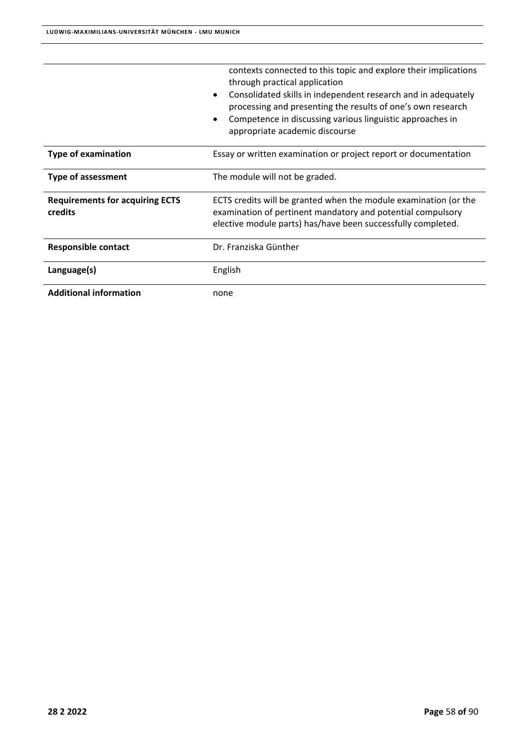|                                                          | contexts connected to this topic and explore their implications<br>through practical application<br>Consolidated skills in independent research and in adequately<br>$\bullet$<br>processing and presenting the results of one's own research<br>Competence in discussing various linguistic approaches in<br>appropriate academic discourse |
|----------------------------------------------------------|----------------------------------------------------------------------------------------------------------------------------------------------------------------------------------------------------------------------------------------------------------------------------------------------------------------------------------------------|
| <b>Type of examination</b>                               | Essay or written examination or project report or documentation                                                                                                                                                                                                                                                                              |
| <b>Type of assessment</b>                                | The module will not be graded.                                                                                                                                                                                                                                                                                                               |
| <b>Requirements for acquiring ECTS</b><br><b>credits</b> | ECTS credits will be granted when the module examination (or the<br>examination of pertinent mandatory and potential compulsory<br>elective module parts) has/have been successfully completed.                                                                                                                                              |
| <b>Responsible contact</b>                               | Dr. Franziska Günther                                                                                                                                                                                                                                                                                                                        |
| Language(s)                                              | English                                                                                                                                                                                                                                                                                                                                      |
| <b>Additional information</b>                            | none                                                                                                                                                                                                                                                                                                                                         |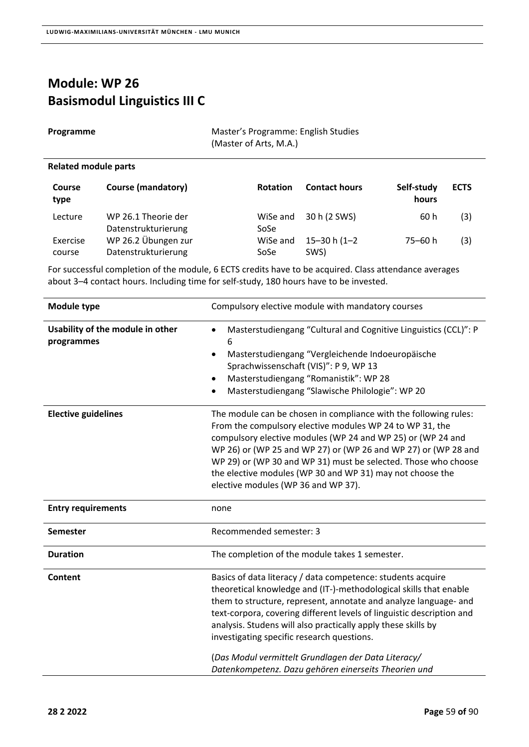Datenstrukturierung

### **Module: WP 26 Basismodul Linguistics III C**

course

 $\overline{a}$ 

| Programme                   |                                            | Master's Programme: English Studies<br>(Master of Arts, M.A.) |                      |                     |             |
|-----------------------------|--------------------------------------------|---------------------------------------------------------------|----------------------|---------------------|-------------|
| <b>Related module parts</b> |                                            |                                                               |                      |                     |             |
| <b>Course</b><br>type       | <b>Course (mandatory)</b>                  | <b>Rotation</b>                                               | <b>Contact hours</b> | Self-study<br>hours | <b>ECTS</b> |
| Lecture                     | WP 26.1 Theorie der<br>Datenstrukturierung | WiSe and<br>SoSe                                              | 30 h (2 SWS)         | 60 h                | (3)         |
| Exercise                    | WP 26.2 Übungen zur                        | WiSe and                                                      | 15–30 h (1–2         | 75–60 h             | (3)         |

For successful completion of the module, 6 ECTS credits have to be acquired. Class attendance averages about 3–4 contact hours. Including time for self‐study, 180 hours have to be invested.

SoSe

SWS)

| Module type                                    | Compulsory elective module with mandatory courses                                                                                                                                                                                                                                                                                                                                                                                                                                                           |
|------------------------------------------------|-------------------------------------------------------------------------------------------------------------------------------------------------------------------------------------------------------------------------------------------------------------------------------------------------------------------------------------------------------------------------------------------------------------------------------------------------------------------------------------------------------------|
| Usability of the module in other<br>programmes | Masterstudiengang "Cultural and Cognitive Linguistics (CCL)": P<br>6<br>Masterstudiengang "Vergleichende Indoeuropäische<br>$\bullet$<br>Sprachwissenschaft (VIS)": P 9, WP 13<br>Masterstudiengang "Romanistik": WP 28<br>Masterstudiengang "Slawische Philologie": WP 20                                                                                                                                                                                                                                  |
| <b>Elective guidelines</b>                     | The module can be chosen in compliance with the following rules:<br>From the compulsory elective modules WP 24 to WP 31, the<br>compulsory elective modules (WP 24 and WP 25) or (WP 24 and<br>WP 26) or (WP 25 and WP 27) or (WP 26 and WP 27) or (WP 28 and<br>WP 29) or (WP 30 and WP 31) must be selected. Those who choose<br>the elective modules (WP 30 and WP 31) may not choose the<br>elective modules (WP 36 and WP 37).                                                                         |
| <b>Entry requirements</b>                      | none                                                                                                                                                                                                                                                                                                                                                                                                                                                                                                        |
| Semester                                       | Recommended semester: 3                                                                                                                                                                                                                                                                                                                                                                                                                                                                                     |
| <b>Duration</b>                                | The completion of the module takes 1 semester.                                                                                                                                                                                                                                                                                                                                                                                                                                                              |
| Content                                        | Basics of data literacy / data competence: students acquire<br>theoretical knowledge and (IT-)-methodological skills that enable<br>them to structure, represent, annotate and analyze language- and<br>text-corpora, covering different levels of linguistic description and<br>analysis. Studens will also practically apply these skills by<br>investigating specific research questions.<br>(Das Modul vermittelt Grundlagen der Data Literacy/<br>Datenkompetenz. Dazu gehören einerseits Theorien und |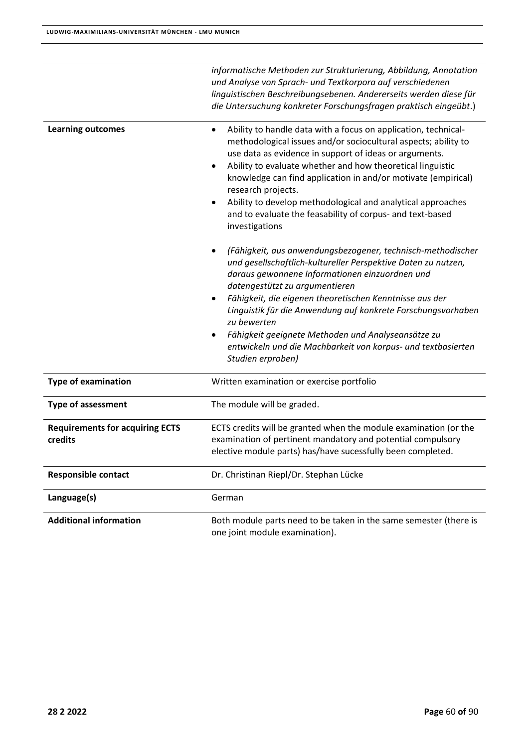| <b>Additional information</b>                     | Both module parts need to be taken in the same semester (there is<br>one joint module examination).                                                                                                                                                                                                                                                                                                                                                                                                   |
|---------------------------------------------------|-------------------------------------------------------------------------------------------------------------------------------------------------------------------------------------------------------------------------------------------------------------------------------------------------------------------------------------------------------------------------------------------------------------------------------------------------------------------------------------------------------|
| Language(s)                                       | German                                                                                                                                                                                                                                                                                                                                                                                                                                                                                                |
| <b>Responsible contact</b>                        | Dr. Christinan Riepl/Dr. Stephan Lücke                                                                                                                                                                                                                                                                                                                                                                                                                                                                |
| <b>Requirements for acquiring ECTS</b><br>credits | ECTS credits will be granted when the module examination (or the<br>examination of pertinent mandatory and potential compulsory<br>elective module parts) has/have sucessfully been completed.                                                                                                                                                                                                                                                                                                        |
| <b>Type of assessment</b>                         | The module will be graded.                                                                                                                                                                                                                                                                                                                                                                                                                                                                            |
| <b>Type of examination</b>                        | Written examination or exercise portfolio                                                                                                                                                                                                                                                                                                                                                                                                                                                             |
|                                                   | (Fähigkeit, aus anwendungsbezogener, technisch-methodischer<br>und gesellschaftlich-kultureller Perspektive Daten zu nutzen,<br>daraus gewonnene Informationen einzuordnen und<br>datengestützt zu argumentieren<br>Fähigkeit, die eigenen theoretischen Kenntnisse aus der<br>Linguistik für die Anwendung auf konkrete Forschungsvorhaben<br>zu bewerten<br>Fähigkeit geeignete Methoden und Analyseansätze zu<br>entwickeln und die Machbarkeit von korpus- und textbasierten<br>Studien erproben) |
| <b>Learning outcomes</b>                          | Ability to handle data with a focus on application, technical-<br>methodological issues and/or sociocultural aspects; ability to<br>use data as evidence in support of ideas or arguments.<br>Ability to evaluate whether and how theoretical linguistic<br>knowledge can find application in and/or motivate (empirical)<br>research projects.<br>Ability to develop methodological and analytical approaches<br>and to evaluate the feasability of corpus- and text-based<br>investigations         |
|                                                   | informatische Methoden zur Strukturierung, Abbildung, Annotation<br>und Analyse von Sprach- und Textkorpora auf verschiedenen<br>linguistischen Beschreibungsebenen. Andererseits werden diese für<br>die Untersuchung konkreter Forschungsfragen praktisch eingeübt.)                                                                                                                                                                                                                                |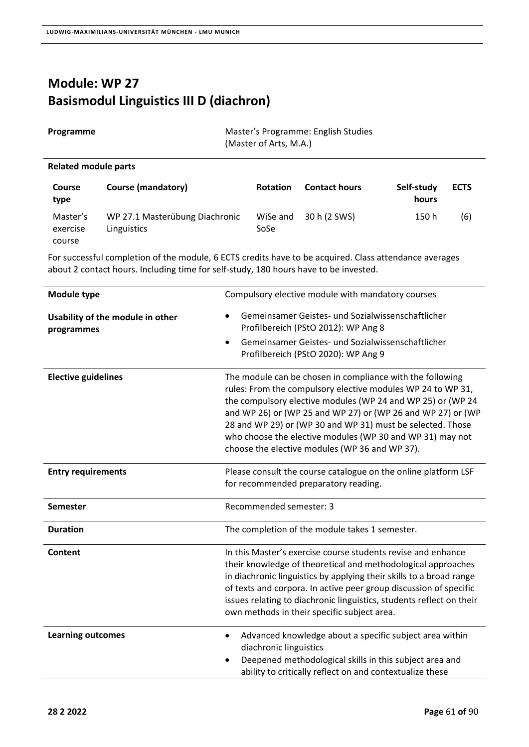# **Module: WP 27 Basismodul Linguistics III D (diachron)**

| Programme                      |                                               | (Master of Arts, M.A.) | Master's Programme: English Studies |                     |             |
|--------------------------------|-----------------------------------------------|------------------------|-------------------------------------|---------------------|-------------|
| <b>Related module parts</b>    |                                               |                        |                                     |                     |             |
| Course<br>type                 | <b>Course (mandatory)</b>                     | <b>Rotation</b>        | <b>Contact hours</b>                | Self-study<br>hours | <b>ECTS</b> |
| Master's<br>exercise<br>course | WP 27.1 Masterübung Diachronic<br>Linguistics | WiSe and<br>SoSe       | 30 h (2 SWS)                        | 150 h               | (6)         |

| Module type                                    | Compulsory elective module with mandatory courses                                                                                                                                                                                                                                                                                                                                                                                   |
|------------------------------------------------|-------------------------------------------------------------------------------------------------------------------------------------------------------------------------------------------------------------------------------------------------------------------------------------------------------------------------------------------------------------------------------------------------------------------------------------|
| Usability of the module in other<br>programmes | Gemeinsamer Geistes- und Sozialwissenschaftlicher<br>$\bullet$<br>Profilbereich (PStO 2012): WP Ang 8                                                                                                                                                                                                                                                                                                                               |
|                                                | Gemeinsamer Geistes- und Sozialwissenschaftlicher<br>$\bullet$<br>Profilbereich (PStO 2020): WP Ang 9                                                                                                                                                                                                                                                                                                                               |
| <b>Elective guidelines</b>                     | The module can be chosen in compliance with the following<br>rules: From the compulsory elective modules WP 24 to WP 31,<br>the compulsory elective modules (WP 24 and WP 25) or (WP 24<br>and WP 26) or (WP 25 and WP 27) or (WP 26 and WP 27) or (WP<br>28 and WP 29) or (WP 30 and WP 31) must be selected. Those<br>who choose the elective modules (WP 30 and WP 31) may not<br>choose the elective modules (WP 36 and WP 37). |
| <b>Entry requirements</b>                      | Please consult the course catalogue on the online platform LSF<br>for recommended preparatory reading.                                                                                                                                                                                                                                                                                                                              |
| <b>Semester</b>                                | Recommended semester: 3                                                                                                                                                                                                                                                                                                                                                                                                             |
| <b>Duration</b>                                | The completion of the module takes 1 semester.                                                                                                                                                                                                                                                                                                                                                                                      |
| <b>Content</b>                                 | In this Master's exercise course students revise and enhance<br>their knowledge of theoretical and methodological approaches<br>in diachronic linguistics by applying their skills to a broad range<br>of texts and corpora. In active peer group discussion of specific<br>issues relating to diachronic linguistics, students reflect on their<br>own methods in their specific subject area.                                     |
| <b>Learning outcomes</b>                       | Advanced knowledge about a specific subject area within<br>$\bullet$<br>diachronic linguistics<br>Deepened methodological skills in this subject area and<br>ability to critically reflect on and contextualize these                                                                                                                                                                                                               |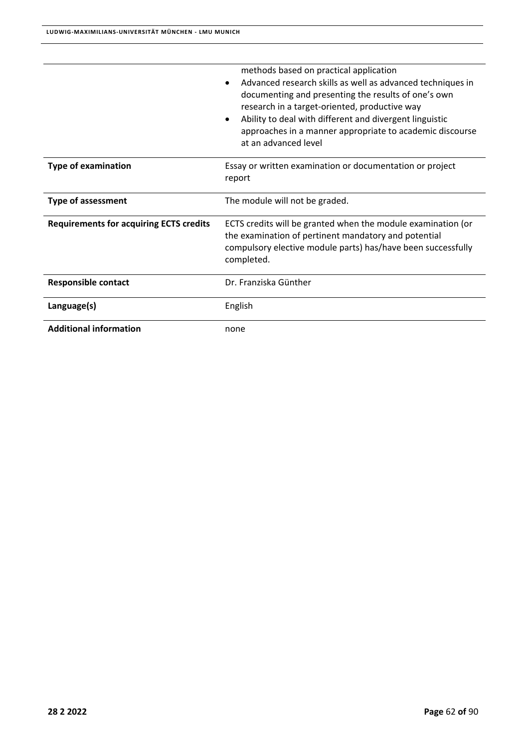|                                                | methods based on practical application<br>Advanced research skills as well as advanced techniques in<br>documenting and presenting the results of one's own<br>research in a target-oriented, productive way<br>Ability to deal with different and divergent linguistic<br>approaches in a manner appropriate to academic discourse<br>at an advanced level |  |
|------------------------------------------------|-------------------------------------------------------------------------------------------------------------------------------------------------------------------------------------------------------------------------------------------------------------------------------------------------------------------------------------------------------------|--|
| <b>Type of examination</b>                     | Essay or written examination or documentation or project<br>report                                                                                                                                                                                                                                                                                          |  |
| <b>Type of assessment</b>                      | The module will not be graded.                                                                                                                                                                                                                                                                                                                              |  |
| <b>Requirements for acquiring ECTS credits</b> | ECTS credits will be granted when the module examination (or<br>the examination of pertinent mandatory and potential<br>compulsory elective module parts) has/have been successfully<br>completed.                                                                                                                                                          |  |
| <b>Responsible contact</b>                     | Dr. Franziska Günther                                                                                                                                                                                                                                                                                                                                       |  |
| Language(s)                                    | English                                                                                                                                                                                                                                                                                                                                                     |  |
| <b>Additional information</b>                  | none                                                                                                                                                                                                                                                                                                                                                        |  |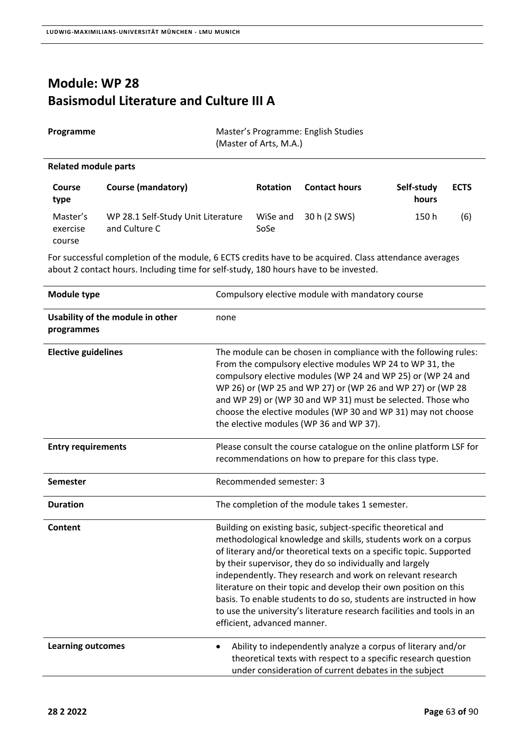#### **Module: WP 28 Basismodul Literature and Culture III A**

| Programme            | Master's Programme: English Studies<br>(Master of Arts, M.A.) |
|----------------------|---------------------------------------------------------------|
| Related module parts |                                                               |

#### **Course type Course (mandatory) Rotation Contact hours Self‐study hours ECTS**  Master's exercise course WP 28.1 Self‐Study Unit Literature and Culture C WiSe and 30 h (2 SWS) 150 h (6) SoSe

| <b>Module type</b>                             | Compulsory elective module with mandatory course                                                                                                                                                                                                                                                                                                                                                                                                                                                                                                                                   |
|------------------------------------------------|------------------------------------------------------------------------------------------------------------------------------------------------------------------------------------------------------------------------------------------------------------------------------------------------------------------------------------------------------------------------------------------------------------------------------------------------------------------------------------------------------------------------------------------------------------------------------------|
| Usability of the module in other<br>programmes | none                                                                                                                                                                                                                                                                                                                                                                                                                                                                                                                                                                               |
| <b>Elective guidelines</b>                     | The module can be chosen in compliance with the following rules:<br>From the compulsory elective modules WP 24 to WP 31, the<br>compulsory elective modules (WP 24 and WP 25) or (WP 24 and<br>WP 26) or (WP 25 and WP 27) or (WP 26 and WP 27) or (WP 28<br>and WP 29) or (WP 30 and WP 31) must be selected. Those who<br>choose the elective modules (WP 30 and WP 31) may not choose<br>the elective modules (WP 36 and WP 37).                                                                                                                                                |
| <b>Entry requirements</b>                      | Please consult the course catalogue on the online platform LSF for<br>recommendations on how to prepare for this class type.                                                                                                                                                                                                                                                                                                                                                                                                                                                       |
| <b>Semester</b>                                | Recommended semester: 3                                                                                                                                                                                                                                                                                                                                                                                                                                                                                                                                                            |
| <b>Duration</b>                                | The completion of the module takes 1 semester.                                                                                                                                                                                                                                                                                                                                                                                                                                                                                                                                     |
| Content                                        | Building on existing basic, subject-specific theoretical and<br>methodological knowledge and skills, students work on a corpus<br>of literary and/or theoretical texts on a specific topic. Supported<br>by their supervisor, they do so individually and largely<br>independently. They research and work on relevant research<br>literature on their topic and develop their own position on this<br>basis. To enable students to do so, students are instructed in how<br>to use the university's literature research facilities and tools in an<br>efficient, advanced manner. |
| <b>Learning outcomes</b>                       | Ability to independently analyze a corpus of literary and/or<br>$\bullet$<br>theoretical texts with respect to a specific research question<br>under consideration of current debates in the subject                                                                                                                                                                                                                                                                                                                                                                               |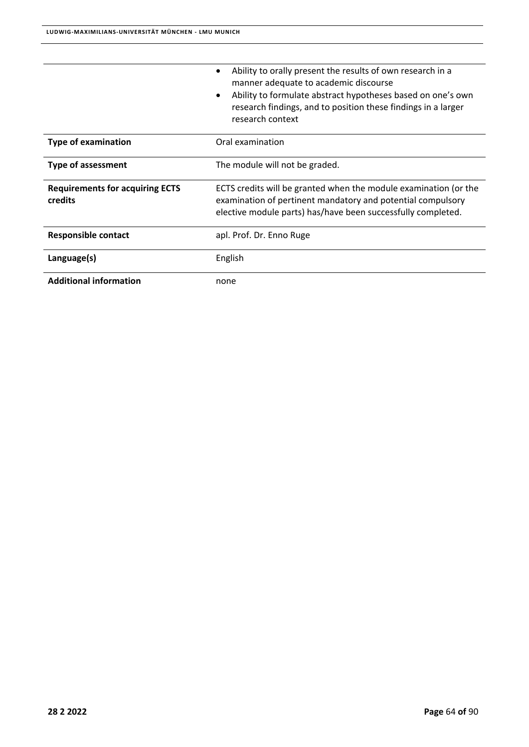|                                                   | Ability to orally present the results of own research in a<br>٠<br>manner adequate to academic discourse<br>Ability to formulate abstract hypotheses based on one's own<br>$\bullet$<br>research findings, and to position these findings in a larger<br>research context |
|---------------------------------------------------|---------------------------------------------------------------------------------------------------------------------------------------------------------------------------------------------------------------------------------------------------------------------------|
| <b>Type of examination</b>                        | Oral examination                                                                                                                                                                                                                                                          |
| <b>Type of assessment</b>                         | The module will not be graded.                                                                                                                                                                                                                                            |
| <b>Requirements for acquiring ECTS</b><br>credits | ECTS credits will be granted when the module examination (or the<br>examination of pertinent mandatory and potential compulsory<br>elective module parts) has/have been successfully completed.                                                                           |
| <b>Responsible contact</b>                        | apl. Prof. Dr. Enno Ruge                                                                                                                                                                                                                                                  |
|                                                   |                                                                                                                                                                                                                                                                           |
| Language(s)                                       | English                                                                                                                                                                                                                                                                   |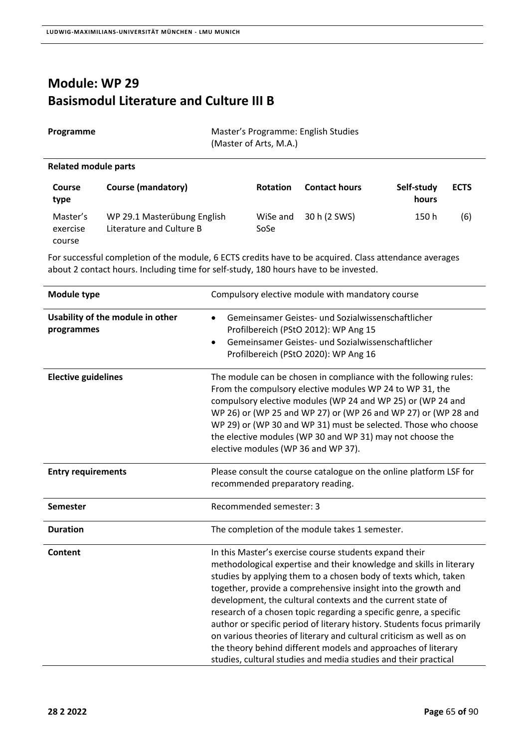#### **Module: WP 29 Basismodul Literature and Culture III B**

| Programme             |                           | Master's Programme: English Studies<br>(Master of Arts, M.A.) |                      |                     |  |
|-----------------------|---------------------------|---------------------------------------------------------------|----------------------|---------------------|--|
|                       | Related module parts      |                                                               |                      |                     |  |
| <b>Course</b><br>type | <b>Course (mandatory)</b> | <b>Rotation</b>                                               | <b>Contact hours</b> | Self-study<br>hours |  |

Master's exercise course WP 29.1 Masterübung English Literature and Culture B WiSe and 30 h (2 SWS) 150 h (6) SoSe

For successful completion of the module, 6 ECTS credits have to be acquired. Class attendance averages about 2 contact hours. Including time for self‐study, 180 hours have to be invested.

| Module type                                    | Compulsory elective module with mandatory course                                                                                                                                                                                                                                                                                                                                                                                                                                                                                                                                                                                                                                             |
|------------------------------------------------|----------------------------------------------------------------------------------------------------------------------------------------------------------------------------------------------------------------------------------------------------------------------------------------------------------------------------------------------------------------------------------------------------------------------------------------------------------------------------------------------------------------------------------------------------------------------------------------------------------------------------------------------------------------------------------------------|
| Usability of the module in other<br>programmes | Gemeinsamer Geistes- und Sozialwissenschaftlicher<br>$\bullet$<br>Profilbereich (PStO 2012): WP Ang 15<br>Gemeinsamer Geistes- und Sozialwissenschaftlicher<br>$\bullet$<br>Profilbereich (PStO 2020): WP Ang 16                                                                                                                                                                                                                                                                                                                                                                                                                                                                             |
| <b>Elective guidelines</b>                     | The module can be chosen in compliance with the following rules:<br>From the compulsory elective modules WP 24 to WP 31, the<br>compulsory elective modules (WP 24 and WP 25) or (WP 24 and<br>WP 26) or (WP 25 and WP 27) or (WP 26 and WP 27) or (WP 28 and<br>WP 29) or (WP 30 and WP 31) must be selected. Those who choose<br>the elective modules (WP 30 and WP 31) may not choose the<br>elective modules (WP 36 and WP 37).                                                                                                                                                                                                                                                          |
| <b>Entry requirements</b>                      | Please consult the course catalogue on the online platform LSF for<br>recommended preparatory reading.                                                                                                                                                                                                                                                                                                                                                                                                                                                                                                                                                                                       |
| <b>Semester</b>                                | Recommended semester: 3                                                                                                                                                                                                                                                                                                                                                                                                                                                                                                                                                                                                                                                                      |
| <b>Duration</b>                                | The completion of the module takes 1 semester.                                                                                                                                                                                                                                                                                                                                                                                                                                                                                                                                                                                                                                               |
| Content                                        | In this Master's exercise course students expand their<br>methodological expertise and their knowledge and skills in literary<br>studies by applying them to a chosen body of texts which, taken<br>together, provide a comprehensive insight into the growth and<br>development, the cultural contexts and the current state of<br>research of a chosen topic regarding a specific genre, a specific<br>author or specific period of literary history. Students focus primarily<br>on various theories of literary and cultural criticism as well as on<br>the theory behind different models and approaches of literary<br>studies, cultural studies and media studies and their practical |

**ECTS**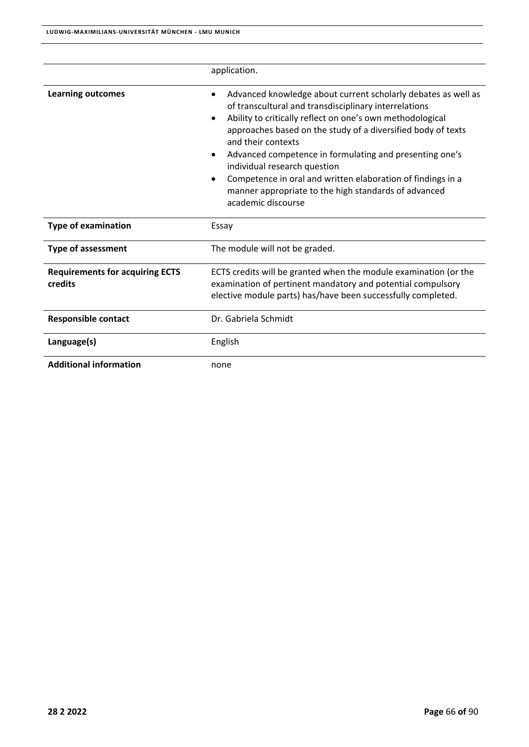|                                                   | application.                                                                                                                                                                                                                                                                                                                                                                                                                                                                                                                                     |
|---------------------------------------------------|--------------------------------------------------------------------------------------------------------------------------------------------------------------------------------------------------------------------------------------------------------------------------------------------------------------------------------------------------------------------------------------------------------------------------------------------------------------------------------------------------------------------------------------------------|
| <b>Learning outcomes</b>                          | Advanced knowledge about current scholarly debates as well as<br>of transcultural and transdisciplinary interrelations<br>Ability to critically reflect on one's own methodological<br>$\bullet$<br>approaches based on the study of a diversified body of texts<br>and their contexts<br>Advanced competence in formulating and presenting one's<br>٠<br>individual research question<br>Competence in oral and written elaboration of findings in a<br>$\bullet$<br>manner appropriate to the high standards of advanced<br>academic discourse |
| <b>Type of examination</b>                        | Essay                                                                                                                                                                                                                                                                                                                                                                                                                                                                                                                                            |
| <b>Type of assessment</b>                         | The module will not be graded.                                                                                                                                                                                                                                                                                                                                                                                                                                                                                                                   |
| <b>Requirements for acquiring ECTS</b><br>credits | ECTS credits will be granted when the module examination (or the<br>examination of pertinent mandatory and potential compulsory<br>elective module parts) has/have been successfully completed.                                                                                                                                                                                                                                                                                                                                                  |
| <b>Responsible contact</b>                        | Dr. Gabriela Schmidt                                                                                                                                                                                                                                                                                                                                                                                                                                                                                                                             |
| Language(s)                                       | English                                                                                                                                                                                                                                                                                                                                                                                                                                                                                                                                          |
| <b>Additional information</b>                     | none                                                                                                                                                                                                                                                                                                                                                                                                                                                                                                                                             |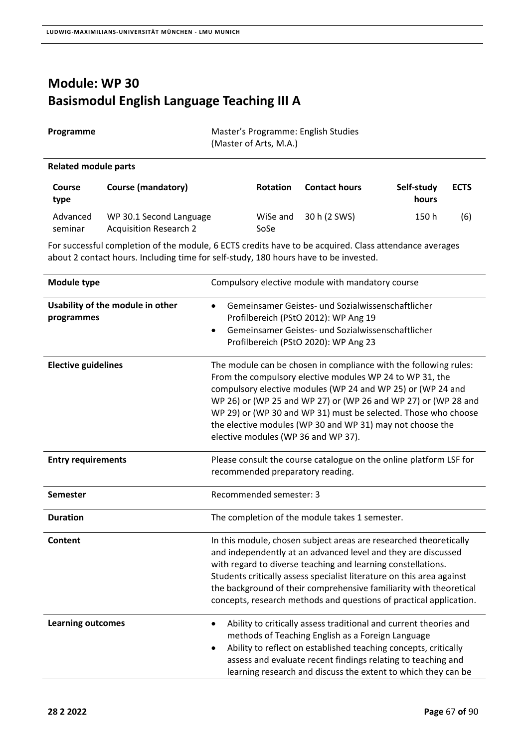### **Module: WP 30 Basismodul English Language Teaching III A**

| Programme            |                           | Master's Programme: English Studies<br>(Master of Arts, M.A.) |                      |            |  |
|----------------------|---------------------------|---------------------------------------------------------------|----------------------|------------|--|
| Related module parts |                           |                                                               |                      |            |  |
| Course               | <b>Course (mandatory)</b> | <b>Rotation</b>                                               | <b>Contact hours</b> | Self-study |  |

| type                |                                                   |      |                       | hours |     |
|---------------------|---------------------------------------------------|------|-----------------------|-------|-----|
| Advanced<br>seminar | WP 30.1 Second Language<br>Acquisition Research 2 | SoSe | WiSe and 30 h (2 SWS) | 150 h | (6) |

For successful completion of the module, 6 ECTS credits have to be acquired. Class attendance averages about 2 contact hours. Including time for self‐study, 180 hours have to be invested.

| <b>Module type</b>                             | Compulsory elective module with mandatory course                                                                                                                                                                                                                                                                                                                                                                                    |
|------------------------------------------------|-------------------------------------------------------------------------------------------------------------------------------------------------------------------------------------------------------------------------------------------------------------------------------------------------------------------------------------------------------------------------------------------------------------------------------------|
| Usability of the module in other<br>programmes | Gemeinsamer Geistes- und Sozialwissenschaftlicher<br>$\bullet$<br>Profilbereich (PStO 2012): WP Ang 19<br>Gemeinsamer Geistes- und Sozialwissenschaftlicher<br>$\bullet$<br>Profilbereich (PStO 2020): WP Ang 23                                                                                                                                                                                                                    |
| <b>Elective guidelines</b>                     | The module can be chosen in compliance with the following rules:<br>From the compulsory elective modules WP 24 to WP 31, the<br>compulsory elective modules (WP 24 and WP 25) or (WP 24 and<br>WP 26) or (WP 25 and WP 27) or (WP 26 and WP 27) or (WP 28 and<br>WP 29) or (WP 30 and WP 31) must be selected. Those who choose<br>the elective modules (WP 30 and WP 31) may not choose the<br>elective modules (WP 36 and WP 37). |
| <b>Entry requirements</b>                      | Please consult the course catalogue on the online platform LSF for<br>recommended preparatory reading.                                                                                                                                                                                                                                                                                                                              |
| <b>Semester</b>                                | Recommended semester: 3                                                                                                                                                                                                                                                                                                                                                                                                             |
| <b>Duration</b>                                | The completion of the module takes 1 semester.                                                                                                                                                                                                                                                                                                                                                                                      |
| Content                                        | In this module, chosen subject areas are researched theoretically<br>and independently at an advanced level and they are discussed<br>with regard to diverse teaching and learning constellations.<br>Students critically assess specialist literature on this area against<br>the background of their comprehensive familiarity with theoretical<br>concepts, research methods and questions of practical application.             |
| <b>Learning outcomes</b>                       | Ability to critically assess traditional and current theories and<br>$\bullet$<br>methods of Teaching English as a Foreign Language<br>Ability to reflect on established teaching concepts, critically<br>$\bullet$<br>assess and evaluate recent findings relating to teaching and<br>learning research and discuss the extent to which they can be                                                                                |

**ECTS**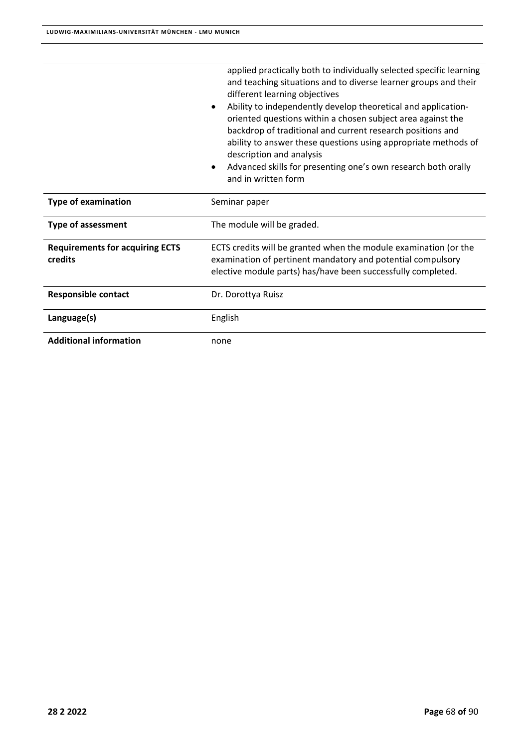|                                                   | applied practically both to individually selected specific learning<br>and teaching situations and to diverse learner groups and their<br>different learning objectives<br>Ability to independently develop theoretical and application-<br>$\bullet$<br>oriented questions within a chosen subject area against the<br>backdrop of traditional and current research positions and<br>ability to answer these questions using appropriate methods of<br>description and analysis<br>Advanced skills for presenting one's own research both orally<br>$\bullet$<br>and in written form |
|---------------------------------------------------|---------------------------------------------------------------------------------------------------------------------------------------------------------------------------------------------------------------------------------------------------------------------------------------------------------------------------------------------------------------------------------------------------------------------------------------------------------------------------------------------------------------------------------------------------------------------------------------|
| <b>Type of examination</b>                        | Seminar paper                                                                                                                                                                                                                                                                                                                                                                                                                                                                                                                                                                         |
| <b>Type of assessment</b>                         | The module will be graded.                                                                                                                                                                                                                                                                                                                                                                                                                                                                                                                                                            |
| <b>Requirements for acquiring ECTS</b><br>credits | ECTS credits will be granted when the module examination (or the<br>examination of pertinent mandatory and potential compulsory<br>elective module parts) has/have been successfully completed.                                                                                                                                                                                                                                                                                                                                                                                       |
| <b>Responsible contact</b>                        | Dr. Dorottya Ruisz                                                                                                                                                                                                                                                                                                                                                                                                                                                                                                                                                                    |
| Language(s)                                       | English                                                                                                                                                                                                                                                                                                                                                                                                                                                                                                                                                                               |
| <b>Additional information</b>                     | none                                                                                                                                                                                                                                                                                                                                                                                                                                                                                                                                                                                  |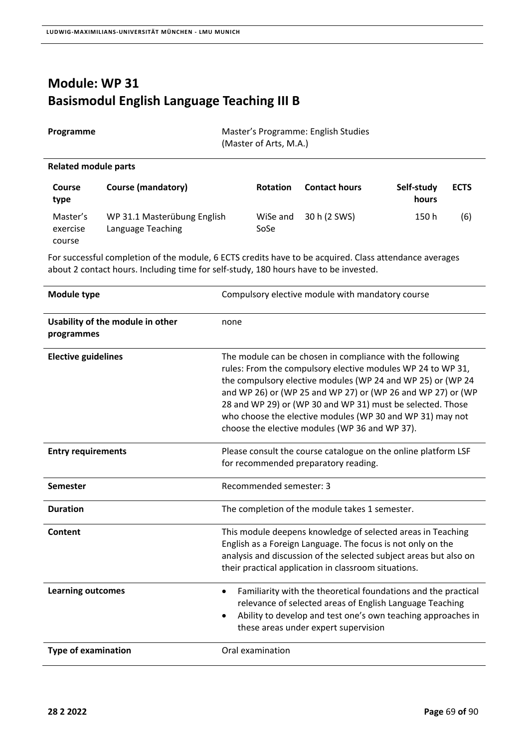### **Module: WP 31 Basismodul English Language Teaching III B**

| Master's Programme: English Studies<br>Programme<br>(Master of Arts, M.A.) |                                                  |                  |                      |                     |             |
|----------------------------------------------------------------------------|--------------------------------------------------|------------------|----------------------|---------------------|-------------|
| Related module parts                                                       |                                                  |                  |                      |                     |             |
| Course<br>type                                                             | <b>Course (mandatory)</b>                        | <b>Rotation</b>  | <b>Contact hours</b> | Self-study<br>hours | <b>ECTS</b> |
| Master's<br>exercise<br>course                                             | WP 31.1 Masterübung English<br>Language Teaching | WiSe and<br>SoSe | 30 h (2 SWS)         | 150 h               | (6)         |

| Module type                                    | Compulsory elective module with mandatory course                                                                                                                                                                                                                                                                                                                                                                                    |
|------------------------------------------------|-------------------------------------------------------------------------------------------------------------------------------------------------------------------------------------------------------------------------------------------------------------------------------------------------------------------------------------------------------------------------------------------------------------------------------------|
| Usability of the module in other<br>programmes | none                                                                                                                                                                                                                                                                                                                                                                                                                                |
| <b>Elective guidelines</b>                     | The module can be chosen in compliance with the following<br>rules: From the compulsory elective modules WP 24 to WP 31,<br>the compulsory elective modules (WP 24 and WP 25) or (WP 24<br>and WP 26) or (WP 25 and WP 27) or (WP 26 and WP 27) or (WP<br>28 and WP 29) or (WP 30 and WP 31) must be selected. Those<br>who choose the elective modules (WP 30 and WP 31) may not<br>choose the elective modules (WP 36 and WP 37). |
| <b>Entry requirements</b>                      | Please consult the course catalogue on the online platform LSF<br>for recommended preparatory reading.                                                                                                                                                                                                                                                                                                                              |
| <b>Semester</b>                                | Recommended semester: 3                                                                                                                                                                                                                                                                                                                                                                                                             |
| <b>Duration</b>                                | The completion of the module takes 1 semester.                                                                                                                                                                                                                                                                                                                                                                                      |
| Content                                        | This module deepens knowledge of selected areas in Teaching<br>English as a Foreign Language. The focus is not only on the<br>analysis and discussion of the selected subject areas but also on<br>their practical application in classroom situations.                                                                                                                                                                             |
| <b>Learning outcomes</b>                       | Familiarity with the theoretical foundations and the practical<br>$\bullet$<br>relevance of selected areas of English Language Teaching<br>Ability to develop and test one's own teaching approaches in<br>$\bullet$<br>these areas under expert supervision                                                                                                                                                                        |
| <b>Type of examination</b>                     | Oral examination                                                                                                                                                                                                                                                                                                                                                                                                                    |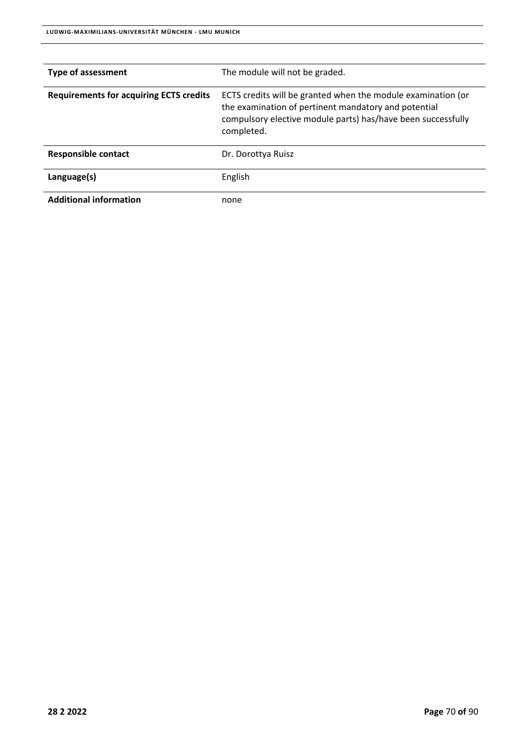| <b>Type of assessment</b>                      | The module will not be graded.                                                                                                                                                                     |
|------------------------------------------------|----------------------------------------------------------------------------------------------------------------------------------------------------------------------------------------------------|
| <b>Requirements for acquiring ECTS credits</b> | ECTS credits will be granted when the module examination (or<br>the examination of pertinent mandatory and potential<br>compulsory elective module parts) has/have been successfully<br>completed. |
| <b>Responsible contact</b>                     | Dr. Dorottya Ruisz                                                                                                                                                                                 |
| Language(s)                                    | English                                                                                                                                                                                            |
| <b>Additional information</b>                  | none                                                                                                                                                                                               |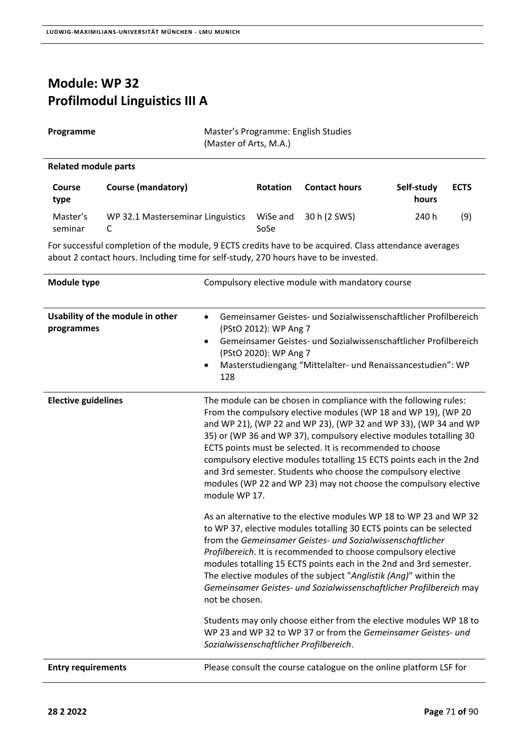#### **Module: WP 32 Profilmodul Linguistics III A**

**Programme Master's Programme: English Studies** (Master of Arts, M.A.)

#### **Related module parts**

| <b>Course</b><br>type | Course (mandatory)                | <b>Rotation</b>  | <b>Contact hours</b> | Self-study<br>hours | <b>ECTS</b> |
|-----------------------|-----------------------------------|------------------|----------------------|---------------------|-------------|
| Master's<br>seminar   | WP 32.1 Masterseminar Linguistics | WiSe and<br>SoSe | 30 h (2 SWS)         | 240 h               | (9)         |

| <b>Module type</b>                             | Compulsory elective module with mandatory course                                                                                                                                                                                                                                                                                                                                                                                                                                                                                                                       |
|------------------------------------------------|------------------------------------------------------------------------------------------------------------------------------------------------------------------------------------------------------------------------------------------------------------------------------------------------------------------------------------------------------------------------------------------------------------------------------------------------------------------------------------------------------------------------------------------------------------------------|
| Usability of the module in other<br>programmes | Gemeinsamer Geistes- und Sozialwissenschaftlicher Profilbereich<br>$\bullet$<br>(PStO 2012): WP Ang 7<br>Gemeinsamer Geistes- und Sozialwissenschaftlicher Profilbereich<br>$\bullet$<br>(PStO 2020): WP Ang 7<br>Masterstudiengang "Mittelalter- und Renaissancestudien": WP<br>$\bullet$<br>128                                                                                                                                                                                                                                                                      |
| <b>Elective guidelines</b>                     | The module can be chosen in compliance with the following rules:<br>From the compulsory elective modules (WP 18 and WP 19), (WP 20<br>and WP 21), (WP 22 and WP 23), (WP 32 and WP 33), (WP 34 and WP<br>35) or (WP 36 and WP 37), compulsory elective modules totalling 30<br>ECTS points must be selected. It is recommended to choose<br>compulsory elective modules totalling 15 ECTS points each in the 2nd<br>and 3rd semester. Students who choose the compulsory elective<br>modules (WP 22 and WP 23) may not choose the compulsory elective<br>module WP 17. |
|                                                | As an alternative to the elective modules WP 18 to WP 23 and WP 32<br>to WP 37, elective modules totalling 30 ECTS points can be selected<br>from the Gemeinsamer Geistes- und Sozialwissenschaftlicher<br>Profilbereich. It is recommended to choose compulsory elective<br>modules totalling 15 ECTS points each in the 2nd and 3rd semester.<br>The elective modules of the subject "Anglistik (Ang)" within the<br>Gemeinsamer Geistes- und Sozialwissenschaftlicher Profilbereich may<br>not be chosen.                                                           |
|                                                | Students may only choose either from the elective modules WP 18 to<br>WP 23 and WP 32 to WP 37 or from the Gemeinsamer Geistes- und<br>Sozialwissenschaftlicher Profilbereich.                                                                                                                                                                                                                                                                                                                                                                                         |
| <b>Entry requirements</b>                      | Please consult the course catalogue on the online platform LSF for                                                                                                                                                                                                                                                                                                                                                                                                                                                                                                     |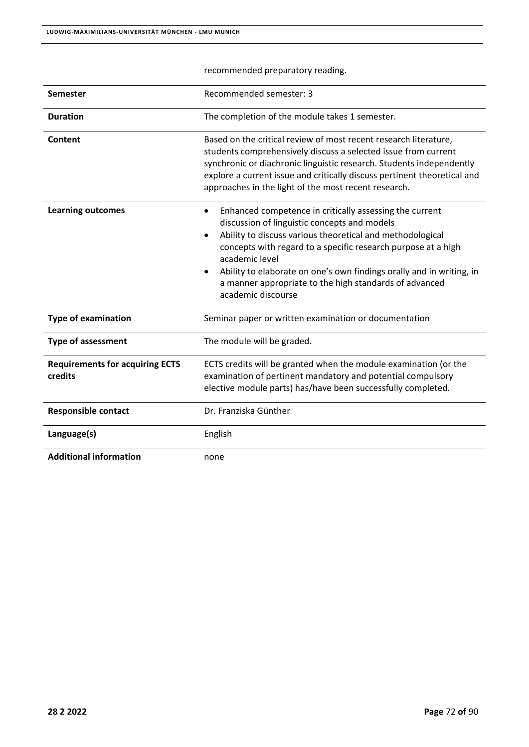|                                                   | recommended preparatory reading.                                                                                                                                                                                                                                                                                                                                                                                                                       |
|---------------------------------------------------|--------------------------------------------------------------------------------------------------------------------------------------------------------------------------------------------------------------------------------------------------------------------------------------------------------------------------------------------------------------------------------------------------------------------------------------------------------|
| Semester                                          | Recommended semester: 3                                                                                                                                                                                                                                                                                                                                                                                                                                |
| <b>Duration</b>                                   | The completion of the module takes 1 semester.                                                                                                                                                                                                                                                                                                                                                                                                         |
| Content                                           | Based on the critical review of most recent research literature,<br>students comprehensively discuss a selected issue from current<br>synchronic or diachronic linguistic research. Students independently<br>explore a current issue and critically discuss pertinent theoretical and<br>approaches in the light of the most recent research.                                                                                                         |
| <b>Learning outcomes</b>                          | Enhanced competence in critically assessing the current<br>$\bullet$<br>discussion of linguistic concepts and models<br>Ability to discuss various theoretical and methodological<br>$\bullet$<br>concepts with regard to a specific research purpose at a high<br>academic level<br>Ability to elaborate on one's own findings orally and in writing, in<br>$\bullet$<br>a manner appropriate to the high standards of advanced<br>academic discourse |
| <b>Type of examination</b>                        | Seminar paper or written examination or documentation                                                                                                                                                                                                                                                                                                                                                                                                  |
| <b>Type of assessment</b>                         | The module will be graded.                                                                                                                                                                                                                                                                                                                                                                                                                             |
| <b>Requirements for acquiring ECTS</b><br>credits | ECTS credits will be granted when the module examination (or the<br>examination of pertinent mandatory and potential compulsory<br>elective module parts) has/have been successfully completed.                                                                                                                                                                                                                                                        |
| <b>Responsible contact</b>                        | Dr. Franziska Günther                                                                                                                                                                                                                                                                                                                                                                                                                                  |
| Language(s)                                       | English                                                                                                                                                                                                                                                                                                                                                                                                                                                |
| <b>Additional information</b>                     | none                                                                                                                                                                                                                                                                                                                                                                                                                                                   |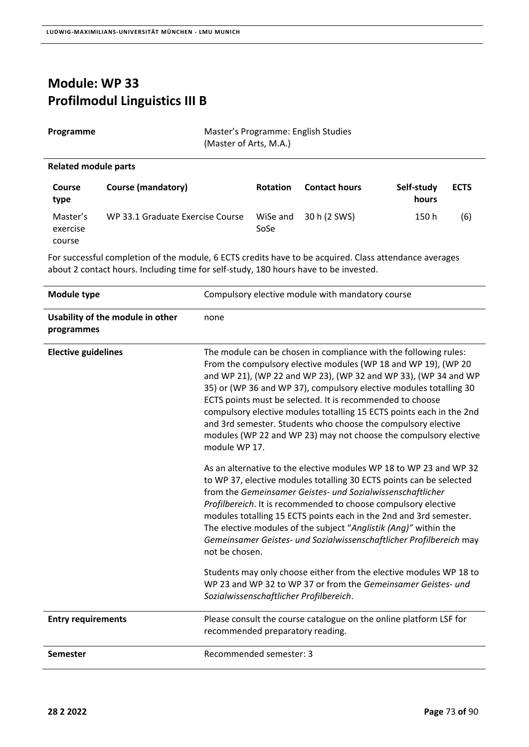## **Module: WP 33 Profilmodul Linguistics III B**

**Programme Master's Programme: English Studies** (Master of Arts, M.A.)

#### **Related module parts**

| <b>Course</b><br>type          | Course (mandatory)               | <b>Rotation</b>  | <b>Contact hours</b> | Self-study<br>hours | <b>ECTS</b> |
|--------------------------------|----------------------------------|------------------|----------------------|---------------------|-------------|
| Master's<br>exercise<br>course | WP 33.1 Graduate Exercise Course | WiSe and<br>SoSe | 30 h (2 SWS)         | 150 h               | (6)         |

For successful completion of the module, 6 ECTS credits have to be acquired. Class attendance averages about 2 contact hours. Including time for self‐study, 180 hours have to be invested.

| Module type                                    | Compulsory elective module with mandatory course                                                                                                                                                                                                                                                                                                                                                                                                                                                                                                                       |  |
|------------------------------------------------|------------------------------------------------------------------------------------------------------------------------------------------------------------------------------------------------------------------------------------------------------------------------------------------------------------------------------------------------------------------------------------------------------------------------------------------------------------------------------------------------------------------------------------------------------------------------|--|
| Usability of the module in other<br>programmes | none                                                                                                                                                                                                                                                                                                                                                                                                                                                                                                                                                                   |  |
| <b>Elective guidelines</b>                     | The module can be chosen in compliance with the following rules:<br>From the compulsory elective modules (WP 18 and WP 19), (WP 20<br>and WP 21), (WP 22 and WP 23), (WP 32 and WP 33), (WP 34 and WP<br>35) or (WP 36 and WP 37), compulsory elective modules totalling 30<br>ECTS points must be selected. It is recommended to choose<br>compulsory elective modules totalling 15 ECTS points each in the 2nd<br>and 3rd semester. Students who choose the compulsory elective<br>modules (WP 22 and WP 23) may not choose the compulsory elective<br>module WP 17. |  |
|                                                | As an alternative to the elective modules WP 18 to WP 23 and WP 32<br>to WP 37, elective modules totalling 30 ECTS points can be selected<br>from the Gemeinsamer Geistes- und Sozialwissenschaftlicher<br>Profilbereich. It is recommended to choose compulsory elective<br>modules totalling 15 ECTS points each in the 2nd and 3rd semester.<br>The elective modules of the subject "Anglistik (Ang)" within the<br>Gemeinsamer Geistes- und Sozialwissenschaftlicher Profilbereich may<br>not be chosen.                                                           |  |
|                                                | Students may only choose either from the elective modules WP 18 to<br>WP 23 and WP 32 to WP 37 or from the Gemeinsamer Geistes- und<br>Sozialwissenschaftlicher Profilbereich.                                                                                                                                                                                                                                                                                                                                                                                         |  |
| <b>Entry requirements</b>                      | Please consult the course catalogue on the online platform LSF for<br>recommended preparatory reading.                                                                                                                                                                                                                                                                                                                                                                                                                                                                 |  |
| <b>Semester</b>                                | Recommended semester: 3                                                                                                                                                                                                                                                                                                                                                                                                                                                                                                                                                |  |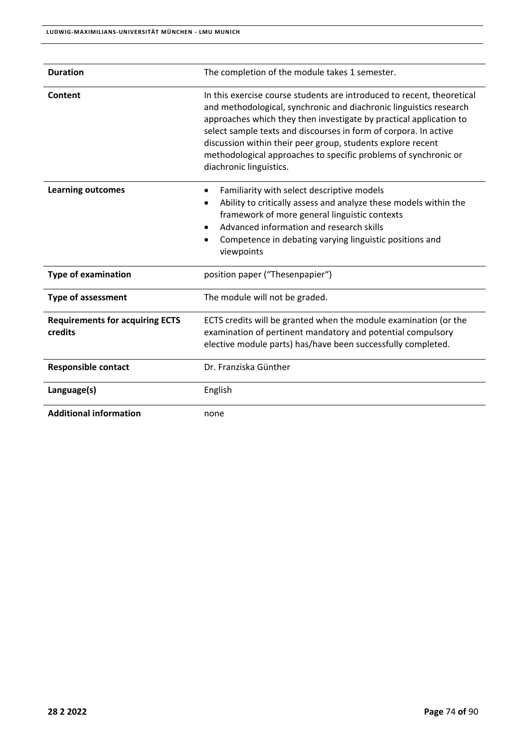| <b>Duration</b>                                   | The completion of the module takes 1 semester.                                                                                                                                                                                                                                                                                                                                                                                                      |  |
|---------------------------------------------------|-----------------------------------------------------------------------------------------------------------------------------------------------------------------------------------------------------------------------------------------------------------------------------------------------------------------------------------------------------------------------------------------------------------------------------------------------------|--|
| Content                                           | In this exercise course students are introduced to recent, theoretical<br>and methodological, synchronic and diachronic linguistics research<br>approaches which they then investigate by practical application to<br>select sample texts and discourses in form of corpora. In active<br>discussion within their peer group, students explore recent<br>methodological approaches to specific problems of synchronic or<br>diachronic linguistics. |  |
| <b>Learning outcomes</b>                          | Familiarity with select descriptive models<br>٠<br>Ability to critically assess and analyze these models within the<br>٠<br>framework of more general linguistic contexts<br>Advanced information and research skills<br>$\bullet$<br>Competence in debating varying linguistic positions and<br>viewpoints                                                                                                                                         |  |
| <b>Type of examination</b>                        | position paper ("Thesenpapier")                                                                                                                                                                                                                                                                                                                                                                                                                     |  |
| <b>Type of assessment</b>                         | The module will not be graded.                                                                                                                                                                                                                                                                                                                                                                                                                      |  |
| <b>Requirements for acquiring ECTS</b><br>credits | ECTS credits will be granted when the module examination (or the<br>examination of pertinent mandatory and potential compulsory<br>elective module parts) has/have been successfully completed.                                                                                                                                                                                                                                                     |  |
| <b>Responsible contact</b>                        | Dr. Franziska Günther                                                                                                                                                                                                                                                                                                                                                                                                                               |  |
| Language(s)                                       | English                                                                                                                                                                                                                                                                                                                                                                                                                                             |  |
| <b>Additional information</b>                     | none                                                                                                                                                                                                                                                                                                                                                                                                                                                |  |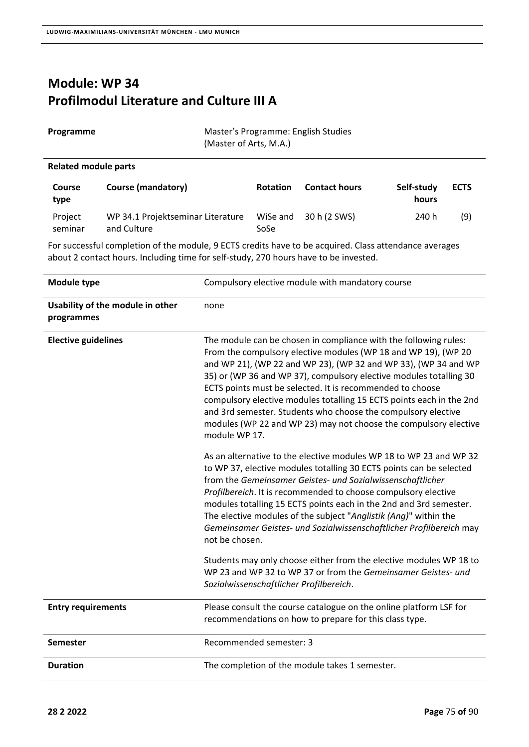and Culture

### **Module: WP 34 Profilmodul Literature and Culture III A**

| Programme<br>(Master of Arts, M.A.) |                                   |                 | Master's Programme: English Studies |                     |             |
|-------------------------------------|-----------------------------------|-----------------|-------------------------------------|---------------------|-------------|
| <b>Related module parts</b>         |                                   |                 |                                     |                     |             |
| Course<br>type                      | <b>Course (mandatory)</b>         | <b>Rotation</b> | <b>Contact hours</b>                | Self-study<br>hours | <b>ECTS</b> |
| Project                             | WP 34.1 Projektseminar Literature | WiSe and        | 30 h (2 SWS)                        | 240 h               | (9)         |

For successful completion of the module, 9 ECTS credits have to be acquired. Class attendance averages about 2 contact hours. Including time for self‐study, 270 hours have to be invested.

SoSe

| Module type                                    | Compulsory elective module with mandatory course                                                                                                                                                                                                                                                                                                                                                                                                                                                                                                                       |
|------------------------------------------------|------------------------------------------------------------------------------------------------------------------------------------------------------------------------------------------------------------------------------------------------------------------------------------------------------------------------------------------------------------------------------------------------------------------------------------------------------------------------------------------------------------------------------------------------------------------------|
| Usability of the module in other<br>programmes | none                                                                                                                                                                                                                                                                                                                                                                                                                                                                                                                                                                   |
| <b>Elective guidelines</b>                     | The module can be chosen in compliance with the following rules:<br>From the compulsory elective modules (WP 18 and WP 19), (WP 20<br>and WP 21), (WP 22 and WP 23), (WP 32 and WP 33), (WP 34 and WP<br>35) or (WP 36 and WP 37), compulsory elective modules totalling 30<br>ECTS points must be selected. It is recommended to choose<br>compulsory elective modules totalling 15 ECTS points each in the 2nd<br>and 3rd semester. Students who choose the compulsory elective<br>modules (WP 22 and WP 23) may not choose the compulsory elective<br>module WP 17. |
|                                                | As an alternative to the elective modules WP 18 to WP 23 and WP 32<br>to WP 37, elective modules totalling 30 ECTS points can be selected<br>from the Gemeinsamer Geistes- und Sozialwissenschaftlicher<br>Profilbereich. It is recommended to choose compulsory elective<br>modules totalling 15 ECTS points each in the 2nd and 3rd semester.<br>The elective modules of the subject "Anglistik (Ang)" within the<br>Gemeinsamer Geistes- und Sozialwissenschaftlicher Profilbereich may<br>not be chosen.                                                           |
|                                                | Students may only choose either from the elective modules WP 18 to<br>WP 23 and WP 32 to WP 37 or from the Gemeinsamer Geistes- und<br>Sozialwissenschaftlicher Profilbereich.                                                                                                                                                                                                                                                                                                                                                                                         |
| <b>Entry requirements</b>                      | Please consult the course catalogue on the online platform LSF for<br>recommendations on how to prepare for this class type.                                                                                                                                                                                                                                                                                                                                                                                                                                           |
| <b>Semester</b>                                | Recommended semester: 3                                                                                                                                                                                                                                                                                                                                                                                                                                                                                                                                                |
| <b>Duration</b>                                | The completion of the module takes 1 semester.                                                                                                                                                                                                                                                                                                                                                                                                                                                                                                                         |

seminar

 $\overline{a}$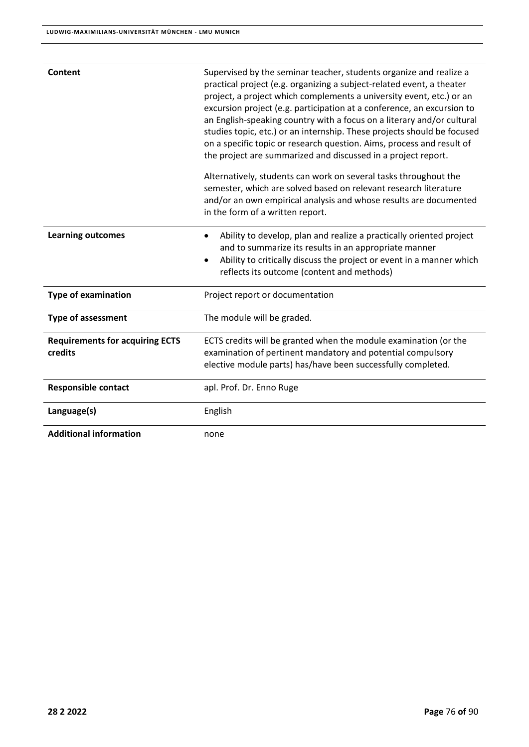| Content                                           | Supervised by the seminar teacher, students organize and realize a<br>practical project (e.g. organizing a subject-related event, a theater<br>project, a project which complements a university event, etc.) or an<br>excursion project (e.g. participation at a conference, an excursion to<br>an English-speaking country with a focus on a literary and/or cultural<br>studies topic, etc.) or an internship. These projects should be focused<br>on a specific topic or research question. Aims, process and result of<br>the project are summarized and discussed in a project report. |
|---------------------------------------------------|----------------------------------------------------------------------------------------------------------------------------------------------------------------------------------------------------------------------------------------------------------------------------------------------------------------------------------------------------------------------------------------------------------------------------------------------------------------------------------------------------------------------------------------------------------------------------------------------|
|                                                   | Alternatively, students can work on several tasks throughout the<br>semester, which are solved based on relevant research literature<br>and/or an own empirical analysis and whose results are documented<br>in the form of a written report.                                                                                                                                                                                                                                                                                                                                                |
| <b>Learning outcomes</b>                          | Ability to develop, plan and realize a practically oriented project<br>and to summarize its results in an appropriate manner<br>Ability to critically discuss the project or event in a manner which<br>reflects its outcome (content and methods)                                                                                                                                                                                                                                                                                                                                           |
| <b>Type of examination</b>                        | Project report or documentation                                                                                                                                                                                                                                                                                                                                                                                                                                                                                                                                                              |
| <b>Type of assessment</b>                         | The module will be graded.                                                                                                                                                                                                                                                                                                                                                                                                                                                                                                                                                                   |
| <b>Requirements for acquiring ECTS</b><br>credits | ECTS credits will be granted when the module examination (or the<br>examination of pertinent mandatory and potential compulsory<br>elective module parts) has/have been successfully completed.                                                                                                                                                                                                                                                                                                                                                                                              |
| <b>Responsible contact</b>                        | apl. Prof. Dr. Enno Ruge                                                                                                                                                                                                                                                                                                                                                                                                                                                                                                                                                                     |
| Language(s)                                       | English                                                                                                                                                                                                                                                                                                                                                                                                                                                                                                                                                                                      |
| <b>Additional information</b>                     | none                                                                                                                                                                                                                                                                                                                                                                                                                                                                                                                                                                                         |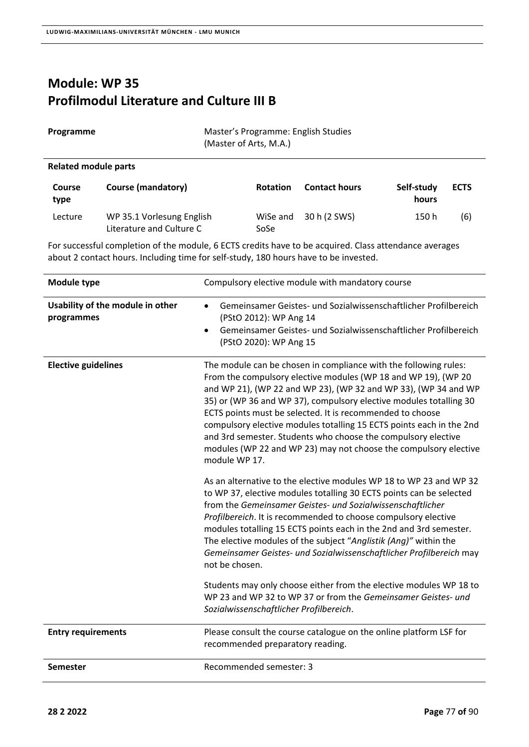## **Module: WP 35 Profilmodul Literature and Culture III B**

|                             | (Master of Arts, M.A.) |  |
|-----------------------------|------------------------|--|
| <b>Related module parts</b> |                        |  |

| <b>Course</b><br>type | <b>Course (mandatory)</b>                             | <b>Rotation</b>  | <b>Contact hours</b> | Self-study<br>hours | <b>ECTS</b> |
|-----------------------|-------------------------------------------------------|------------------|----------------------|---------------------|-------------|
| Lecture               | WP 35.1 Vorlesung English<br>Literature and Culture C | WiSe and<br>SoSe | 30 h (2 SWS)         | 150 h               | (6)         |

For successful completion of the module, 6 ECTS credits have to be acquired. Class attendance averages about 2 contact hours. Including time for self‐study, 180 hours have to be invested.

| Module type                                    | Compulsory elective module with mandatory course                                                                                                                                                                                                                                                                                                                                                                                                                                                                                                                       |
|------------------------------------------------|------------------------------------------------------------------------------------------------------------------------------------------------------------------------------------------------------------------------------------------------------------------------------------------------------------------------------------------------------------------------------------------------------------------------------------------------------------------------------------------------------------------------------------------------------------------------|
| Usability of the module in other<br>programmes | Gemeinsamer Geistes- und Sozialwissenschaftlicher Profilbereich<br>$\bullet$<br>(PStO 2012): WP Ang 14<br>Gemeinsamer Geistes- und Sozialwissenschaftlicher Profilbereich<br>$\bullet$<br>(PStO 2020): WP Ang 15                                                                                                                                                                                                                                                                                                                                                       |
| <b>Elective guidelines</b>                     | The module can be chosen in compliance with the following rules:<br>From the compulsory elective modules (WP 18 and WP 19), (WP 20<br>and WP 21), (WP 22 and WP 23), (WP 32 and WP 33), (WP 34 and WP<br>35) or (WP 36 and WP 37), compulsory elective modules totalling 30<br>ECTS points must be selected. It is recommended to choose<br>compulsory elective modules totalling 15 ECTS points each in the 2nd<br>and 3rd semester. Students who choose the compulsory elective<br>modules (WP 22 and WP 23) may not choose the compulsory elective<br>module WP 17. |
|                                                | As an alternative to the elective modules WP 18 to WP 23 and WP 32<br>to WP 37, elective modules totalling 30 ECTS points can be selected<br>from the Gemeinsamer Geistes- und Sozialwissenschaftlicher<br>Profilbereich. It is recommended to choose compulsory elective<br>modules totalling 15 ECTS points each in the 2nd and 3rd semester.<br>The elective modules of the subject "Anglistik (Ang)" within the<br>Gemeinsamer Geistes- und Sozialwissenschaftlicher Profilbereich may<br>not be chosen.                                                           |
|                                                | Students may only choose either from the elective modules WP 18 to<br>WP 23 and WP 32 to WP 37 or from the Gemeinsamer Geistes- und<br>Sozialwissenschaftlicher Profilbereich.                                                                                                                                                                                                                                                                                                                                                                                         |
| <b>Entry requirements</b>                      | Please consult the course catalogue on the online platform LSF for<br>recommended preparatory reading.                                                                                                                                                                                                                                                                                                                                                                                                                                                                 |
| <b>Semester</b>                                | Recommended semester: 3                                                                                                                                                                                                                                                                                                                                                                                                                                                                                                                                                |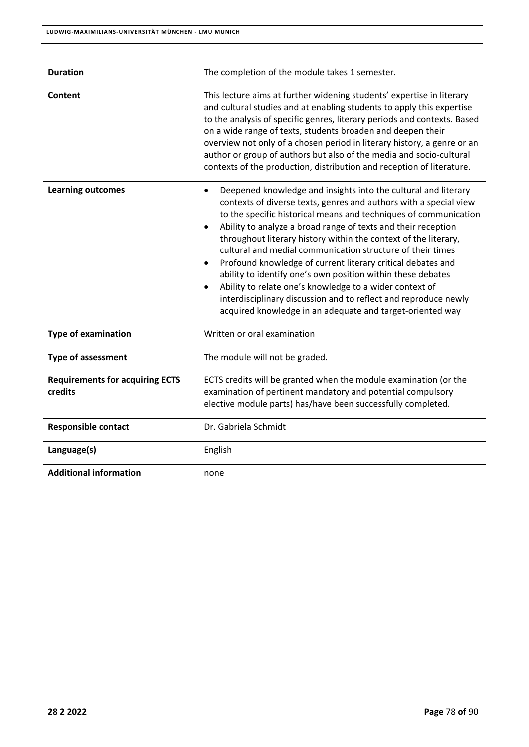| <b>Duration</b>                                   | The completion of the module takes 1 semester.                                                                                                                                                                                                                                                                                                                                                                                                                                                                                                                                                                                                                                                                                                                                         |  |
|---------------------------------------------------|----------------------------------------------------------------------------------------------------------------------------------------------------------------------------------------------------------------------------------------------------------------------------------------------------------------------------------------------------------------------------------------------------------------------------------------------------------------------------------------------------------------------------------------------------------------------------------------------------------------------------------------------------------------------------------------------------------------------------------------------------------------------------------------|--|
| Content                                           | This lecture aims at further widening students' expertise in literary<br>and cultural studies and at enabling students to apply this expertise<br>to the analysis of specific genres, literary periods and contexts. Based<br>on a wide range of texts, students broaden and deepen their<br>overview not only of a chosen period in literary history, a genre or an<br>author or group of authors but also of the media and socio-cultural<br>contexts of the production, distribution and reception of literature.                                                                                                                                                                                                                                                                   |  |
| <b>Learning outcomes</b>                          | Deepened knowledge and insights into the cultural and literary<br>$\bullet$<br>contexts of diverse texts, genres and authors with a special view<br>to the specific historical means and techniques of communication<br>Ability to analyze a broad range of texts and their reception<br>$\bullet$<br>throughout literary history within the context of the literary,<br>cultural and medial communication structure of their times<br>Profound knowledge of current literary critical debates and<br>$\bullet$<br>ability to identify one's own position within these debates<br>Ability to relate one's knowledge to a wider context of<br>$\bullet$<br>interdisciplinary discussion and to reflect and reproduce newly<br>acquired knowledge in an adequate and target-oriented way |  |
| <b>Type of examination</b>                        | Written or oral examination                                                                                                                                                                                                                                                                                                                                                                                                                                                                                                                                                                                                                                                                                                                                                            |  |
| <b>Type of assessment</b>                         | The module will not be graded.                                                                                                                                                                                                                                                                                                                                                                                                                                                                                                                                                                                                                                                                                                                                                         |  |
| <b>Requirements for acquiring ECTS</b><br>credits | ECTS credits will be granted when the module examination (or the<br>examination of pertinent mandatory and potential compulsory<br>elective module parts) has/have been successfully completed.                                                                                                                                                                                                                                                                                                                                                                                                                                                                                                                                                                                        |  |
| <b>Responsible contact</b>                        | Dr. Gabriela Schmidt                                                                                                                                                                                                                                                                                                                                                                                                                                                                                                                                                                                                                                                                                                                                                                   |  |
| Language(s)                                       | English                                                                                                                                                                                                                                                                                                                                                                                                                                                                                                                                                                                                                                                                                                                                                                                |  |
| <b>Additional information</b>                     | none                                                                                                                                                                                                                                                                                                                                                                                                                                                                                                                                                                                                                                                                                                                                                                                   |  |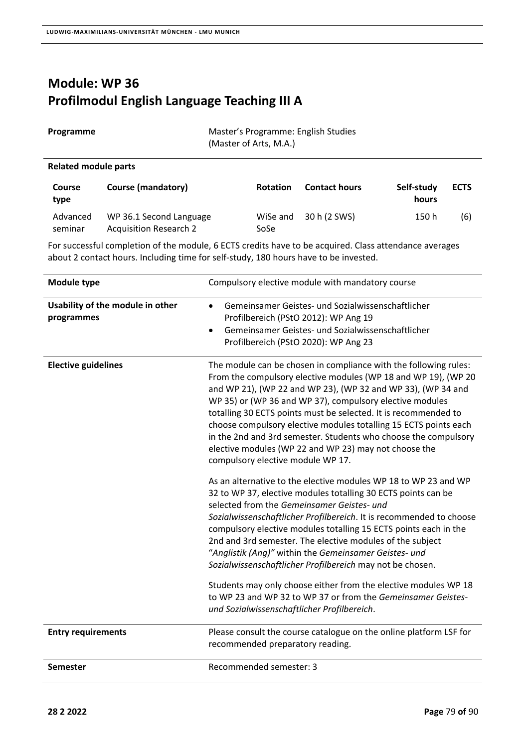# **Module: WP 36 Profilmodul English Language Teaching III A**

| Programme            | Master's Programme: English Studies<br>(Master of Arts, M.A.) |
|----------------------|---------------------------------------------------------------|
| Related module parts |                                                               |

| <b>Course</b><br>type | Course (mandatory)                                | <b>Rotation</b>  | <b>Contact hours</b> | Self-study<br>hours | <b>ECTS</b> |
|-----------------------|---------------------------------------------------|------------------|----------------------|---------------------|-------------|
| Advanced<br>seminar   | WP 36.1 Second Language<br>Acquisition Research 2 | WiSe and<br>SoSe | 30 h (2 SWS)         | 150 h               | (6)         |

For successful completion of the module, 6 ECTS credits have to be acquired. Class attendance averages about 2 contact hours. Including time for self‐study, 180 hours have to be invested.

| Module type                                    | Compulsory elective module with mandatory course                                                                                                                                                                                                                                                                                                                                                                                                                                                                                                                                                                                                                                                                                                                                                                                                                                                                                                                                                                                                                                                                                                                                                                                                                         |
|------------------------------------------------|--------------------------------------------------------------------------------------------------------------------------------------------------------------------------------------------------------------------------------------------------------------------------------------------------------------------------------------------------------------------------------------------------------------------------------------------------------------------------------------------------------------------------------------------------------------------------------------------------------------------------------------------------------------------------------------------------------------------------------------------------------------------------------------------------------------------------------------------------------------------------------------------------------------------------------------------------------------------------------------------------------------------------------------------------------------------------------------------------------------------------------------------------------------------------------------------------------------------------------------------------------------------------|
| Usability of the module in other<br>programmes | Gemeinsamer Geistes- und Sozialwissenschaftlicher<br>$\bullet$<br>Profilbereich (PStO 2012): WP Ang 19<br>Gemeinsamer Geistes- und Sozialwissenschaftlicher<br>$\bullet$<br>Profilbereich (PStO 2020): WP Ang 23                                                                                                                                                                                                                                                                                                                                                                                                                                                                                                                                                                                                                                                                                                                                                                                                                                                                                                                                                                                                                                                         |
| <b>Elective guidelines</b>                     | The module can be chosen in compliance with the following rules:<br>From the compulsory elective modules (WP 18 and WP 19), (WP 20<br>and WP 21), (WP 22 and WP 23), (WP 32 and WP 33), (WP 34 and<br>WP 35) or (WP 36 and WP 37), compulsory elective modules<br>totalling 30 ECTS points must be selected. It is recommended to<br>choose compulsory elective modules totalling 15 ECTS points each<br>in the 2nd and 3rd semester. Students who choose the compulsory<br>elective modules (WP 22 and WP 23) may not choose the<br>compulsory elective module WP 17.<br>As an alternative to the elective modules WP 18 to WP 23 and WP<br>32 to WP 37, elective modules totalling 30 ECTS points can be<br>selected from the Gemeinsamer Geistes- und<br>Sozialwissenschaftlicher Profilbereich. It is recommended to choose<br>compulsory elective modules totalling 15 ECTS points each in the<br>2nd and 3rd semester. The elective modules of the subject<br>"Anglistik (Ang)" within the Gemeinsamer Geistes- und<br>Sozialwissenschaftlicher Profilbereich may not be chosen.<br>Students may only choose either from the elective modules WP 18<br>to WP 23 and WP 32 to WP 37 or from the Gemeinsamer Geistes-<br>und Sozialwissenschaftlicher Profilbereich. |
| <b>Entry requirements</b>                      | Please consult the course catalogue on the online platform LSF for<br>recommended preparatory reading.                                                                                                                                                                                                                                                                                                                                                                                                                                                                                                                                                                                                                                                                                                                                                                                                                                                                                                                                                                                                                                                                                                                                                                   |
| <b>Semester</b>                                | Recommended semester: 3                                                                                                                                                                                                                                                                                                                                                                                                                                                                                                                                                                                                                                                                                                                                                                                                                                                                                                                                                                                                                                                                                                                                                                                                                                                  |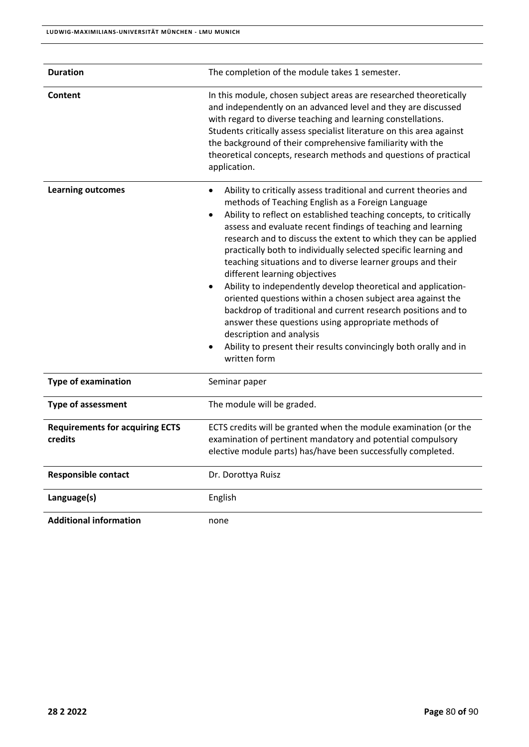| <b>Duration</b>                                   | The completion of the module takes 1 semester.                                                                                                                                                                                                                                                                                                                                                                                                                                                                                                                                                                                                                                                                                                                                                                                                                                  |
|---------------------------------------------------|---------------------------------------------------------------------------------------------------------------------------------------------------------------------------------------------------------------------------------------------------------------------------------------------------------------------------------------------------------------------------------------------------------------------------------------------------------------------------------------------------------------------------------------------------------------------------------------------------------------------------------------------------------------------------------------------------------------------------------------------------------------------------------------------------------------------------------------------------------------------------------|
| Content                                           | In this module, chosen subject areas are researched theoretically<br>and independently on an advanced level and they are discussed<br>with regard to diverse teaching and learning constellations.<br>Students critically assess specialist literature on this area against<br>the background of their comprehensive familiarity with the<br>theoretical concepts, research methods and questions of practical<br>application.                                                                                                                                                                                                                                                                                                                                                                                                                                                  |
| <b>Learning outcomes</b>                          | Ability to critically assess traditional and current theories and<br>methods of Teaching English as a Foreign Language<br>Ability to reflect on established teaching concepts, to critically<br>٠<br>assess and evaluate recent findings of teaching and learning<br>research and to discuss the extent to which they can be applied<br>practically both to individually selected specific learning and<br>teaching situations and to diverse learner groups and their<br>different learning objectives<br>Ability to independently develop theoretical and application-<br>oriented questions within a chosen subject area against the<br>backdrop of traditional and current research positions and to<br>answer these questions using appropriate methods of<br>description and analysis<br>Ability to present their results convincingly both orally and in<br>written form |
| <b>Type of examination</b>                        | Seminar paper                                                                                                                                                                                                                                                                                                                                                                                                                                                                                                                                                                                                                                                                                                                                                                                                                                                                   |
| <b>Type of assessment</b>                         | The module will be graded.                                                                                                                                                                                                                                                                                                                                                                                                                                                                                                                                                                                                                                                                                                                                                                                                                                                      |
| <b>Requirements for acquiring ECTS</b><br>credits | ECTS credits will be granted when the module examination (or the<br>examination of pertinent mandatory and potential compulsory<br>elective module parts) has/have been successfully completed.                                                                                                                                                                                                                                                                                                                                                                                                                                                                                                                                                                                                                                                                                 |
| <b>Responsible contact</b>                        | Dr. Dorottya Ruisz                                                                                                                                                                                                                                                                                                                                                                                                                                                                                                                                                                                                                                                                                                                                                                                                                                                              |
| Language(s)                                       | English                                                                                                                                                                                                                                                                                                                                                                                                                                                                                                                                                                                                                                                                                                                                                                                                                                                                         |
| <b>Additional information</b>                     | none                                                                                                                                                                                                                                                                                                                                                                                                                                                                                                                                                                                                                                                                                                                                                                                                                                                                            |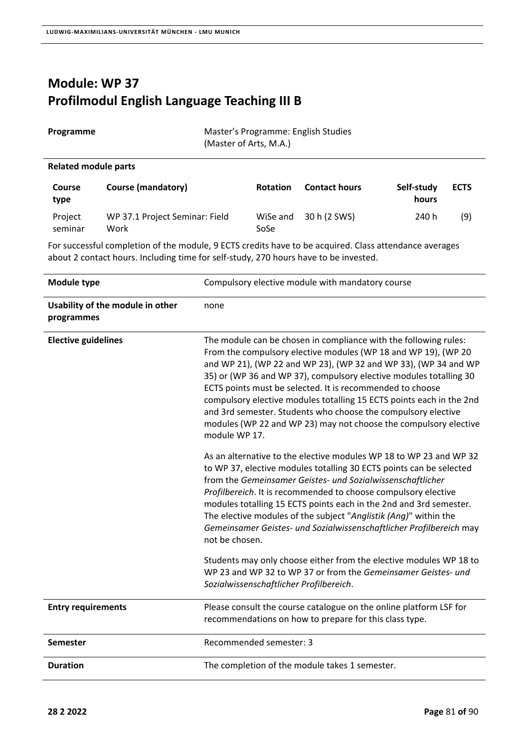# **Module: WP 37 Profilmodul English Language Teaching III B**

Programme **Access Programme:** English Studies

| <b>Related module parts</b>                                                                                                                                                                    |                                        |      |                  |                                                                                                                                    |                     |             |
|------------------------------------------------------------------------------------------------------------------------------------------------------------------------------------------------|----------------------------------------|------|------------------|------------------------------------------------------------------------------------------------------------------------------------|---------------------|-------------|
| Course<br>type                                                                                                                                                                                 | <b>Course (mandatory)</b>              |      | <b>Rotation</b>  | <b>Contact hours</b>                                                                                                               | Self-study<br>hours | <b>ECTS</b> |
| Project<br>seminar                                                                                                                                                                             | WP 37.1 Project Seminar: Field<br>Work |      | WiSe and<br>SoSe | 30 h (2 SWS)                                                                                                                       | 240 h               | (9)         |
| For successful completion of the module, 9 ECTS credits have to be acquired. Class attendance averages<br>about 2 contact hours. Including time for self-study, 270 hours have to be invested. |                                        |      |                  |                                                                                                                                    |                     |             |
| Module type                                                                                                                                                                                    |                                        |      |                  | Compulsory elective module with mandatory course                                                                                   |                     |             |
| programmes                                                                                                                                                                                     | Usability of the module in other       | none |                  |                                                                                                                                    |                     |             |
| <b>Elective guidelines</b>                                                                                                                                                                     |                                        |      |                  | The module can be chosen in compliance with the following rules:<br>From the compulsory elective modules (WP 18 and WP 19), (WP 20 |                     |             |

(Master of Arts, M.A.)

| <b>Module type</b>                             | Compulsory elective module with mandatory course                                                                                                                                                                                                                                                                                                                                                                                                                                                                                                                       |
|------------------------------------------------|------------------------------------------------------------------------------------------------------------------------------------------------------------------------------------------------------------------------------------------------------------------------------------------------------------------------------------------------------------------------------------------------------------------------------------------------------------------------------------------------------------------------------------------------------------------------|
| Usability of the module in other<br>programmes | none                                                                                                                                                                                                                                                                                                                                                                                                                                                                                                                                                                   |
| <b>Elective guidelines</b>                     | The module can be chosen in compliance with the following rules:<br>From the compulsory elective modules (WP 18 and WP 19), (WP 20<br>and WP 21), (WP 22 and WP 23), (WP 32 and WP 33), (WP 34 and WP<br>35) or (WP 36 and WP 37), compulsory elective modules totalling 30<br>ECTS points must be selected. It is recommended to choose<br>compulsory elective modules totalling 15 ECTS points each in the 2nd<br>and 3rd semester. Students who choose the compulsory elective<br>modules (WP 22 and WP 23) may not choose the compulsory elective<br>module WP 17. |
|                                                | As an alternative to the elective modules WP 18 to WP 23 and WP 32<br>to WP 37, elective modules totalling 30 ECTS points can be selected<br>from the Gemeinsamer Geistes- und Sozialwissenschaftlicher<br>Profilbereich. It is recommended to choose compulsory elective<br>modules totalling 15 ECTS points each in the 2nd and 3rd semester.<br>The elective modules of the subject "Anglistik (Ang)" within the<br>Gemeinsamer Geistes- und Sozialwissenschaftlicher Profilbereich may<br>not be chosen.                                                           |
|                                                | Students may only choose either from the elective modules WP 18 to<br>WP 23 and WP 32 to WP 37 or from the Gemeinsamer Geistes- und<br>Sozialwissenschaftlicher Profilbereich.                                                                                                                                                                                                                                                                                                                                                                                         |
| <b>Entry requirements</b>                      | Please consult the course catalogue on the online platform LSF for<br>recommendations on how to prepare for this class type.                                                                                                                                                                                                                                                                                                                                                                                                                                           |
| <b>Semester</b>                                | Recommended semester: 3                                                                                                                                                                                                                                                                                                                                                                                                                                                                                                                                                |
| <b>Duration</b>                                | The completion of the module takes 1 semester.                                                                                                                                                                                                                                                                                                                                                                                                                                                                                                                         |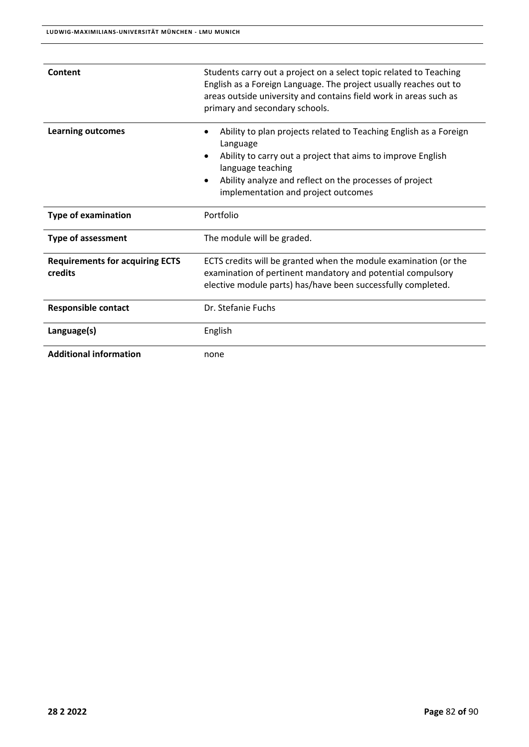| Content                                           | Students carry out a project on a select topic related to Teaching<br>English as a Foreign Language. The project usually reaches out to<br>areas outside university and contains field work in areas such as<br>primary and secondary schools.                      |  |
|---------------------------------------------------|---------------------------------------------------------------------------------------------------------------------------------------------------------------------------------------------------------------------------------------------------------------------|--|
| <b>Learning outcomes</b>                          | Ability to plan projects related to Teaching English as a Foreign<br>Language<br>Ability to carry out a project that aims to improve English<br>language teaching<br>Ability analyze and reflect on the processes of project<br>implementation and project outcomes |  |
| <b>Type of examination</b>                        | Portfolio                                                                                                                                                                                                                                                           |  |
| <b>Type of assessment</b>                         | The module will be graded.                                                                                                                                                                                                                                          |  |
| <b>Requirements for acquiring ECTS</b><br>credits | ECTS credits will be granted when the module examination (or the<br>examination of pertinent mandatory and potential compulsory<br>elective module parts) has/have been successfully completed.                                                                     |  |
| <b>Responsible contact</b>                        | Dr. Stefanie Fuchs                                                                                                                                                                                                                                                  |  |
| Language(s)                                       | English                                                                                                                                                                                                                                                             |  |
| <b>Additional information</b>                     | none                                                                                                                                                                                                                                                                |  |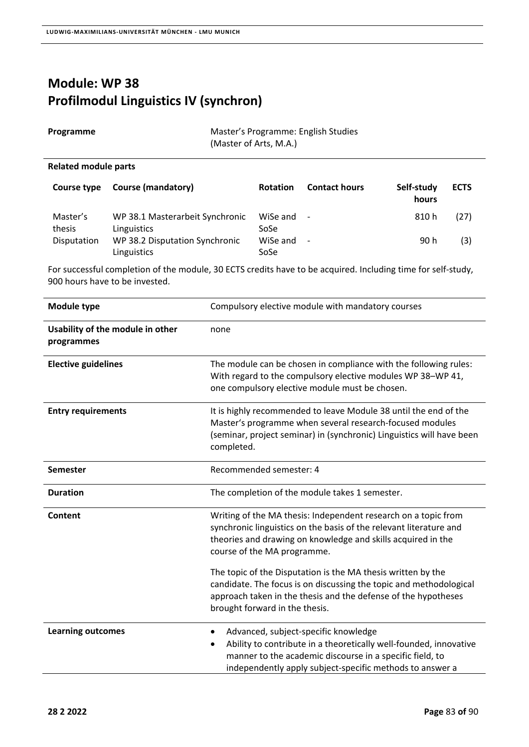## **Module: WP 38 Profilmodul Linguistics IV (synchron)**

| Programme | Master's Programme: English Studies |
|-----------|-------------------------------------|
|           | (Master of Arts, M.A.)              |

#### **Related module parts**

| Course type        | <b>Course (mandatory)</b>                      | <b>Rotation</b>      | <b>Contact hours</b>     | Self-study<br>hours | <b>ECTS</b> |
|--------------------|------------------------------------------------|----------------------|--------------------------|---------------------|-------------|
| Master's<br>thesis | WP 38.1 Masterarbeit Synchronic<br>Linguistics | WiSe and $-$<br>SoSe |                          | 810 h               | (27)        |
| Disputation        | WP 38.2 Disputation Synchronic<br>Linguistics  | WiSe and<br>SoSe     | $\overline{\phantom{a}}$ | 90 h                | (3)         |

For successful completion of the module, 30 ECTS credits have to be acquired. Including time for self‐study, 900 hours have to be invested.

| <b>Module type</b>                             | Compulsory elective module with mandatory courses                                                                                                                                                                                              |  |
|------------------------------------------------|------------------------------------------------------------------------------------------------------------------------------------------------------------------------------------------------------------------------------------------------|--|
| Usability of the module in other<br>programmes | none                                                                                                                                                                                                                                           |  |
| <b>Elective guidelines</b>                     | The module can be chosen in compliance with the following rules:<br>With regard to the compulsory elective modules WP 38-WP 41,<br>one compulsory elective module must be chosen.                                                              |  |
| <b>Entry requirements</b>                      | It is highly recommended to leave Module 38 until the end of the<br>Master's programme when several research-focused modules<br>(seminar, project seminar) in (synchronic) Linguistics will have been<br>completed.                            |  |
| <b>Semester</b>                                | Recommended semester: 4                                                                                                                                                                                                                        |  |
| <b>Duration</b>                                | The completion of the module takes 1 semester.                                                                                                                                                                                                 |  |
| Content                                        | Writing of the MA thesis: Independent research on a topic from<br>synchronic linguistics on the basis of the relevant literature and<br>theories and drawing on knowledge and skills acquired in the<br>course of the MA programme.            |  |
|                                                | The topic of the Disputation is the MA thesis written by the<br>candidate. The focus is on discussing the topic and methodological<br>approach taken in the thesis and the defense of the hypotheses<br>brought forward in the thesis.         |  |
| <b>Learning outcomes</b>                       | Advanced, subject-specific knowledge<br>$\bullet$<br>Ability to contribute in a theoretically well-founded, innovative<br>manner to the academic discourse in a specific field, to<br>independently apply subject-specific methods to answer a |  |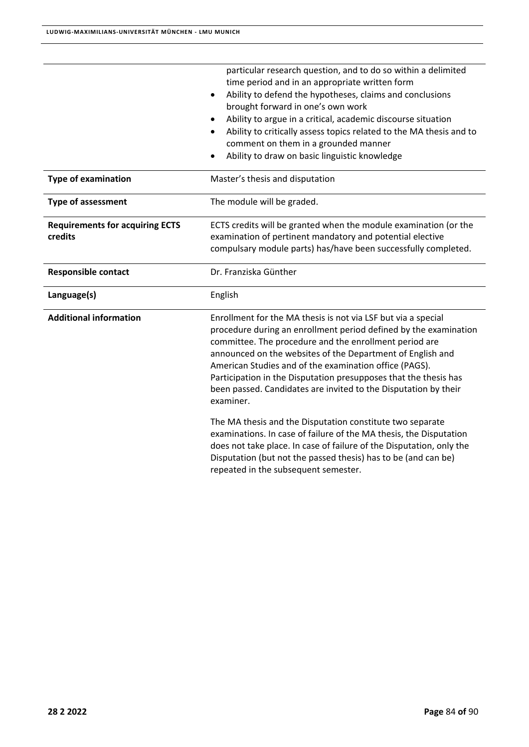|                                                   | particular research question, and to do so within a delimited<br>time period and in an appropriate written form<br>Ability to defend the hypotheses, claims and conclusions<br>$\bullet$<br>brought forward in one's own work<br>Ability to argue in a critical, academic discourse situation<br>Ability to critically assess topics related to the MA thesis and to<br>٠<br>comment on them in a grounded manner<br>Ability to draw on basic linguistic knowledge<br>$\bullet$                                                                                                                                                                                                                                                                                                              |
|---------------------------------------------------|----------------------------------------------------------------------------------------------------------------------------------------------------------------------------------------------------------------------------------------------------------------------------------------------------------------------------------------------------------------------------------------------------------------------------------------------------------------------------------------------------------------------------------------------------------------------------------------------------------------------------------------------------------------------------------------------------------------------------------------------------------------------------------------------|
| <b>Type of examination</b>                        | Master's thesis and disputation                                                                                                                                                                                                                                                                                                                                                                                                                                                                                                                                                                                                                                                                                                                                                              |
| <b>Type of assessment</b>                         | The module will be graded.                                                                                                                                                                                                                                                                                                                                                                                                                                                                                                                                                                                                                                                                                                                                                                   |
| <b>Requirements for acquiring ECTS</b><br>credits | ECTS credits will be granted when the module examination (or the<br>examination of pertinent mandatory and potential elective<br>compulsary module parts) has/have been successfully completed.                                                                                                                                                                                                                                                                                                                                                                                                                                                                                                                                                                                              |
| <b>Responsible contact</b>                        | Dr. Franziska Günther                                                                                                                                                                                                                                                                                                                                                                                                                                                                                                                                                                                                                                                                                                                                                                        |
| Language(s)                                       | English                                                                                                                                                                                                                                                                                                                                                                                                                                                                                                                                                                                                                                                                                                                                                                                      |
| <b>Additional information</b>                     | Enrollment for the MA thesis is not via LSF but via a special<br>procedure during an enrollment period defined by the examination<br>committee. The procedure and the enrollment period are<br>announced on the websites of the Department of English and<br>American Studies and of the examination office (PAGS).<br>Participation in the Disputation presupposes that the thesis has<br>been passed. Candidates are invited to the Disputation by their<br>examiner.<br>The MA thesis and the Disputation constitute two separate<br>examinations. In case of failure of the MA thesis, the Disputation<br>does not take place. In case of failure of the Disputation, only the<br>Disputation (but not the passed thesis) has to be (and can be)<br>repeated in the subsequent semester. |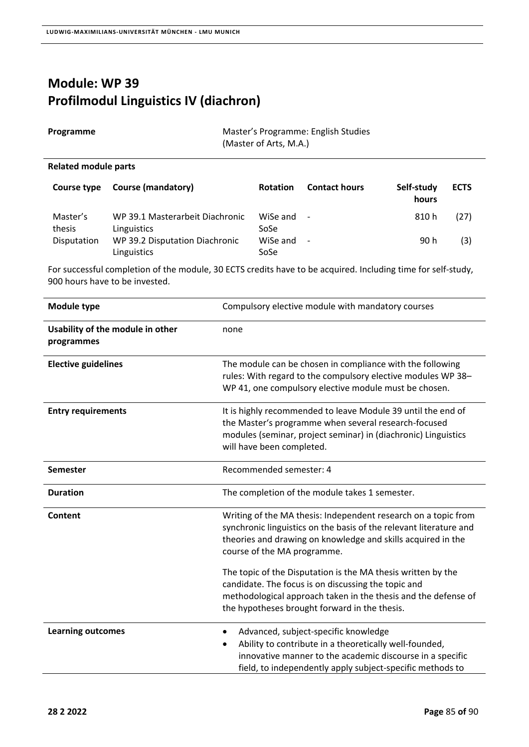## **Module: WP 39 Profilmodul Linguistics IV (diachron)**

 $\overline{a}$ 

| Programme            |                    | Master's Programme: English Studies<br>(Master of Arts, M.A.) |                      |                                     |  |
|----------------------|--------------------|---------------------------------------------------------------|----------------------|-------------------------------------|--|
| Related module parts |                    |                                                               |                      |                                     |  |
| Course type          | Course (mandatory) | <b>Rotation</b>                                               | <b>Contact hours</b> | Self-study<br><u> La La La La L</u> |  |

|             |                                 |          |                          | hours |      |
|-------------|---------------------------------|----------|--------------------------|-------|------|
| Master's    | WP 39.1 Masterarbeit Diachronic | WiSe and | $\overline{\phantom{a}}$ | 810 h | (27) |
| thesis      | Linguistics                     | SoSe     |                          |       |      |
| Disputation | WP 39.2 Disputation Diachronic  | WiSe and | $\overline{\phantom{a}}$ | 90 h  | (3)  |
|             | Linguistics                     | SoSe     |                          |       |      |

For successful completion of the module, 30 ECTS credits have to be acquired. Including time for self‐study, 900 hours have to be invested.

| Module type                                    | Compulsory elective module with mandatory courses                                                                                                                                                                                      |  |
|------------------------------------------------|----------------------------------------------------------------------------------------------------------------------------------------------------------------------------------------------------------------------------------------|--|
| Usability of the module in other<br>programmes | none                                                                                                                                                                                                                                   |  |
| <b>Elective guidelines</b>                     | The module can be chosen in compliance with the following<br>rules: With regard to the compulsory elective modules WP 38-<br>WP 41, one compulsory elective module must be chosen.                                                     |  |
| <b>Entry requirements</b>                      | It is highly recommended to leave Module 39 until the end of<br>the Master's programme when several research-focused<br>modules (seminar, project seminar) in (diachronic) Linguistics<br>will have been completed.                    |  |
| <b>Semester</b>                                | Recommended semester: 4                                                                                                                                                                                                                |  |
| <b>Duration</b>                                | The completion of the module takes 1 semester.                                                                                                                                                                                         |  |
| Content                                        | Writing of the MA thesis: Independent research on a topic from<br>synchronic linguistics on the basis of the relevant literature and<br>theories and drawing on knowledge and skills acquired in the<br>course of the MA programme.    |  |
|                                                | The topic of the Disputation is the MA thesis written by the<br>candidate. The focus is on discussing the topic and<br>methodological approach taken in the thesis and the defense of<br>the hypotheses brought forward in the thesis. |  |
| <b>Learning outcomes</b>                       | Advanced, subject-specific knowledge<br>$\bullet$<br>Ability to contribute in a theoretically well-founded,<br>innovative manner to the academic discourse in a specific<br>field, to independently apply subject-specific methods to  |  |

**ECTS**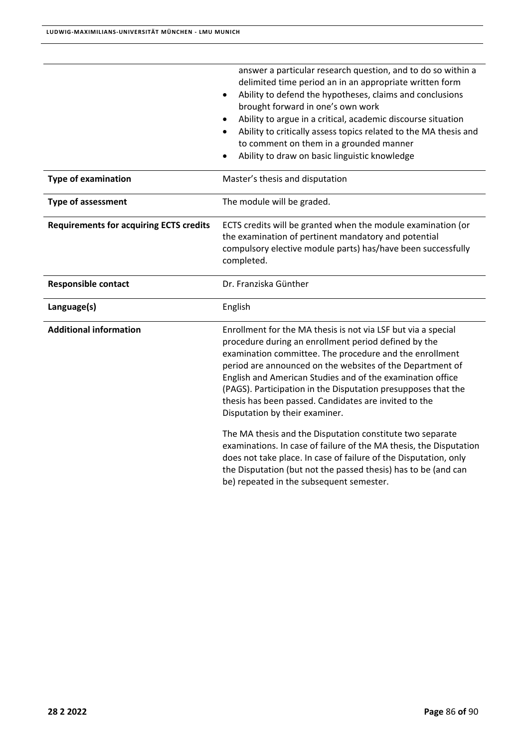|                                                | answer a particular research question, and to do so within a<br>delimited time period an in an appropriate written form<br>Ability to defend the hypotheses, claims and conclusions<br>$\bullet$<br>brought forward in one's own work<br>Ability to argue in a critical, academic discourse situation<br>Ability to critically assess topics related to the MA thesis and<br>to comment on them in a grounded manner<br>Ability to draw on basic linguistic knowledge                                                                                                                                                                                                                                                                                                                        |  |
|------------------------------------------------|----------------------------------------------------------------------------------------------------------------------------------------------------------------------------------------------------------------------------------------------------------------------------------------------------------------------------------------------------------------------------------------------------------------------------------------------------------------------------------------------------------------------------------------------------------------------------------------------------------------------------------------------------------------------------------------------------------------------------------------------------------------------------------------------|--|
| <b>Type of examination</b>                     | Master's thesis and disputation                                                                                                                                                                                                                                                                                                                                                                                                                                                                                                                                                                                                                                                                                                                                                              |  |
| <b>Type of assessment</b>                      | The module will be graded.                                                                                                                                                                                                                                                                                                                                                                                                                                                                                                                                                                                                                                                                                                                                                                   |  |
| <b>Requirements for acquiring ECTS credits</b> | ECTS credits will be granted when the module examination (or<br>the examination of pertinent mandatory and potential<br>compulsory elective module parts) has/have been successfully<br>completed.                                                                                                                                                                                                                                                                                                                                                                                                                                                                                                                                                                                           |  |
| <b>Responsible contact</b>                     | Dr. Franziska Günther                                                                                                                                                                                                                                                                                                                                                                                                                                                                                                                                                                                                                                                                                                                                                                        |  |
| Language(s)                                    | English                                                                                                                                                                                                                                                                                                                                                                                                                                                                                                                                                                                                                                                                                                                                                                                      |  |
| <b>Additional information</b>                  | Enrollment for the MA thesis is not via LSF but via a special<br>procedure during an enrollment period defined by the<br>examination committee. The procedure and the enrollment<br>period are announced on the websites of the Department of<br>English and American Studies and of the examination office<br>(PAGS). Participation in the Disputation presupposes that the<br>thesis has been passed. Candidates are invited to the<br>Disputation by their examiner.<br>The MA thesis and the Disputation constitute two separate<br>examinations. In case of failure of the MA thesis, the Disputation<br>does not take place. In case of failure of the Disputation, only<br>the Disputation (but not the passed thesis) has to be (and can<br>be) repeated in the subsequent semester. |  |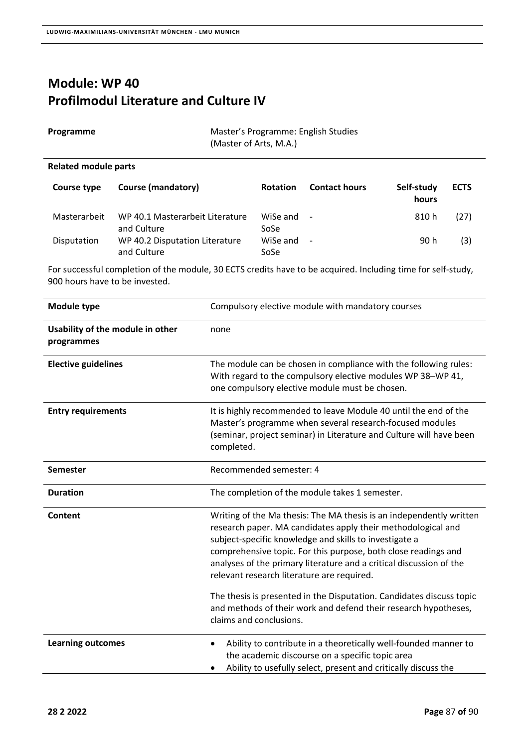## **Module: WP 40 Profilmodul Literature and Culture IV**

| Programme | Master's Programme: English Studies |
|-----------|-------------------------------------|
|           | (Master of Arts, M.A.)              |

#### **Related module parts**

| Course type  | <b>Course (mandatory)</b>                      | <b>Rotation</b>  | <b>Contact hours</b> | Self-study<br>hours | <b>ECTS</b> |
|--------------|------------------------------------------------|------------------|----------------------|---------------------|-------------|
| Masterarbeit | WP 40.1 Masterarbeit Literature<br>and Culture | WiSe and<br>SoSe | $\sim$               | 810 h               | (27)        |
| Disputation  | WP 40.2 Disputation Literature<br>and Culture  | WiSe and<br>SoSe | $\sim$               | 90 h                | (3)         |

For successful completion of the module, 30 ECTS credits have to be acquired. Including time for self‐study, 900 hours have to be invested.

| Module type                                    | Compulsory elective module with mandatory courses                                                                                                                                                                                                                                                                                                                                                                                                            |  |
|------------------------------------------------|--------------------------------------------------------------------------------------------------------------------------------------------------------------------------------------------------------------------------------------------------------------------------------------------------------------------------------------------------------------------------------------------------------------------------------------------------------------|--|
| Usability of the module in other<br>programmes | none                                                                                                                                                                                                                                                                                                                                                                                                                                                         |  |
| <b>Elective guidelines</b>                     | The module can be chosen in compliance with the following rules:<br>With regard to the compulsory elective modules WP 38-WP 41,<br>one compulsory elective module must be chosen.                                                                                                                                                                                                                                                                            |  |
| <b>Entry requirements</b>                      | It is highly recommended to leave Module 40 until the end of the<br>Master's programme when several research-focused modules<br>(seminar, project seminar) in Literature and Culture will have been<br>completed.                                                                                                                                                                                                                                            |  |
| Semester                                       | Recommended semester: 4                                                                                                                                                                                                                                                                                                                                                                                                                                      |  |
| <b>Duration</b>                                | The completion of the module takes 1 semester.                                                                                                                                                                                                                                                                                                                                                                                                               |  |
| Content                                        | Writing of the Ma thesis: The MA thesis is an independently written<br>research paper. MA candidates apply their methodological and<br>subject-specific knowledge and skills to investigate a<br>comprehensive topic. For this purpose, both close readings and<br>analyses of the primary literature and a critical discussion of the<br>relevant research literature are required.<br>The thesis is presented in the Disputation. Candidates discuss topic |  |
|                                                | and methods of their work and defend their research hypotheses,<br>claims and conclusions.                                                                                                                                                                                                                                                                                                                                                                   |  |
| <b>Learning outcomes</b>                       | Ability to contribute in a theoretically well-founded manner to<br>٠<br>the academic discourse on a specific topic area<br>Ability to usefully select, present and critically discuss the                                                                                                                                                                                                                                                                    |  |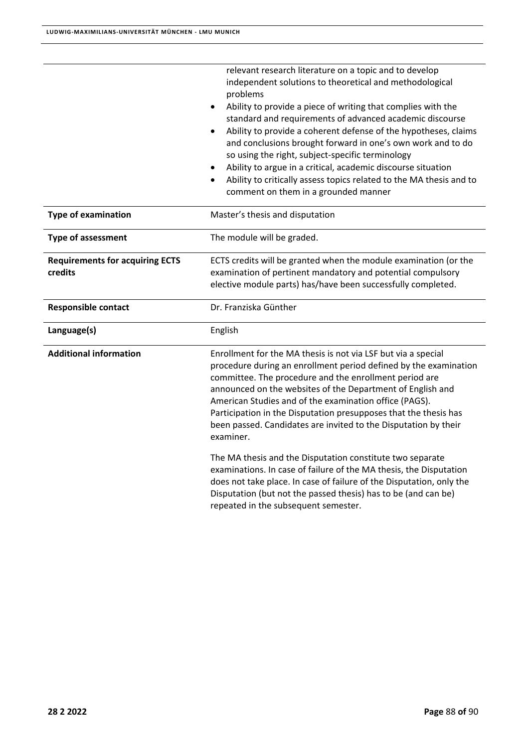|                                                   | relevant research literature on a topic and to develop<br>independent solutions to theoretical and methodological<br>problems<br>Ability to provide a piece of writing that complies with the<br>standard and requirements of advanced academic discourse<br>Ability to provide a coherent defense of the hypotheses, claims<br>and conclusions brought forward in one's own work and to do<br>so using the right, subject-specific terminology<br>Ability to argue in a critical, academic discourse situation<br>Ability to critically assess topics related to the MA thesis and to<br>$\bullet$<br>comment on them in a grounded manner |  |
|---------------------------------------------------|---------------------------------------------------------------------------------------------------------------------------------------------------------------------------------------------------------------------------------------------------------------------------------------------------------------------------------------------------------------------------------------------------------------------------------------------------------------------------------------------------------------------------------------------------------------------------------------------------------------------------------------------|--|
| <b>Type of examination</b>                        | Master's thesis and disputation                                                                                                                                                                                                                                                                                                                                                                                                                                                                                                                                                                                                             |  |
| <b>Type of assessment</b>                         | The module will be graded.                                                                                                                                                                                                                                                                                                                                                                                                                                                                                                                                                                                                                  |  |
| <b>Requirements for acquiring ECTS</b><br>credits | ECTS credits will be granted when the module examination (or the<br>examination of pertinent mandatory and potential compulsory<br>elective module parts) has/have been successfully completed.                                                                                                                                                                                                                                                                                                                                                                                                                                             |  |
| <b>Responsible contact</b>                        | Dr. Franziska Günther                                                                                                                                                                                                                                                                                                                                                                                                                                                                                                                                                                                                                       |  |
| Language(s)                                       | English                                                                                                                                                                                                                                                                                                                                                                                                                                                                                                                                                                                                                                     |  |
| <b>Additional information</b>                     | Enrollment for the MA thesis is not via LSF but via a special<br>procedure during an enrollment period defined by the examination<br>committee. The procedure and the enrollment period are<br>announced on the websites of the Department of English and<br>American Studies and of the examination office (PAGS).<br>Participation in the Disputation presupposes that the thesis has<br>been passed. Candidates are invited to the Disputation by their<br>examiner.                                                                                                                                                                     |  |
|                                                   | The MA thesis and the Disputation constitute two separate<br>examinations. In case of failure of the MA thesis, the Disputation<br>does not take place. In case of failure of the Disputation, only the<br>Disputation (but not the passed thesis) has to be (and can be)<br>repeated in the subsequent semester.                                                                                                                                                                                                                                                                                                                           |  |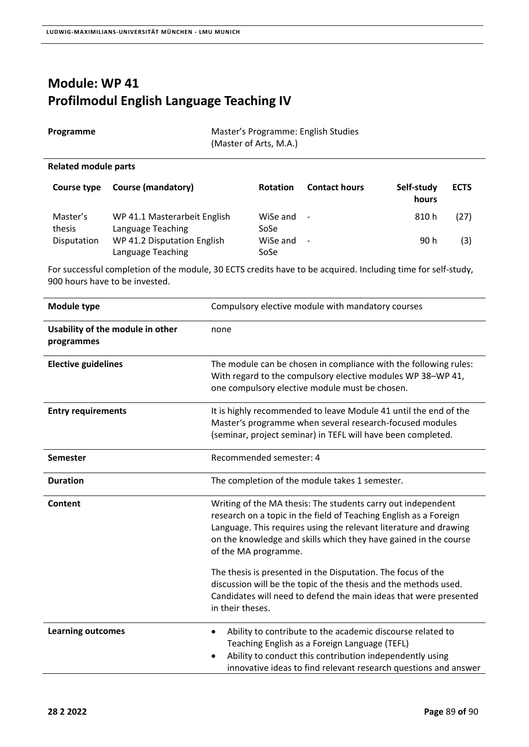## **Module: WP 41 Profilmodul English Language Teaching IV**

| Programme                   | Master's Programme: English Studies<br>(Master of Arts, M.A.) |                      |                          |                     |             |
|-----------------------------|---------------------------------------------------------------|----------------------|--------------------------|---------------------|-------------|
| <b>Related module parts</b> |                                                               |                      |                          |                     |             |
| Course type                 | <b>Course (mandatory)</b>                                     | <b>Rotation</b>      | <b>Contact hours</b>     | Self-study<br>hours | <b>ECTS</b> |
| Master's<br>thesis          | WP 41.1 Masterarbeit English<br>Language Teaching             | WiSe and $-$<br>SoSe |                          | 810 h               | (27)        |
| Disputation                 | WP 41.2 Disputation English<br>Language Teaching              | WiSe and<br>SoSe     | $\overline{\phantom{a}}$ | 90 h                | (3)         |

For successful completion of the module, 30 ECTS credits have to be acquired. Including time for self‐study, 900 hours have to be invested.

| <b>Module type</b>                             | Compulsory elective module with mandatory courses                                                                                                                                                                                                                                                  |  |
|------------------------------------------------|----------------------------------------------------------------------------------------------------------------------------------------------------------------------------------------------------------------------------------------------------------------------------------------------------|--|
| Usability of the module in other<br>programmes | none                                                                                                                                                                                                                                                                                               |  |
| <b>Elective guidelines</b>                     | The module can be chosen in compliance with the following rules:<br>With regard to the compulsory elective modules WP 38-WP 41,<br>one compulsory elective module must be chosen.                                                                                                                  |  |
| <b>Entry requirements</b>                      | It is highly recommended to leave Module 41 until the end of the<br>Master's programme when several research-focused modules<br>(seminar, project seminar) in TEFL will have been completed.                                                                                                       |  |
| <b>Semester</b>                                | Recommended semester: 4                                                                                                                                                                                                                                                                            |  |
| <b>Duration</b>                                | The completion of the module takes 1 semester.                                                                                                                                                                                                                                                     |  |
| Content                                        | Writing of the MA thesis: The students carry out independent<br>research on a topic in the field of Teaching English as a Foreign<br>Language. This requires using the relevant literature and drawing<br>on the knowledge and skills which they have gained in the course<br>of the MA programme. |  |
|                                                | The thesis is presented in the Disputation. The focus of the<br>discussion will be the topic of the thesis and the methods used.<br>Candidates will need to defend the main ideas that were presented<br>in their theses.                                                                          |  |
| <b>Learning outcomes</b>                       | Ability to contribute to the academic discourse related to<br>$\bullet$<br>Teaching English as a Foreign Language (TEFL)<br>Ability to conduct this contribution independently using<br>innovative ideas to find relevant research questions and answer                                            |  |